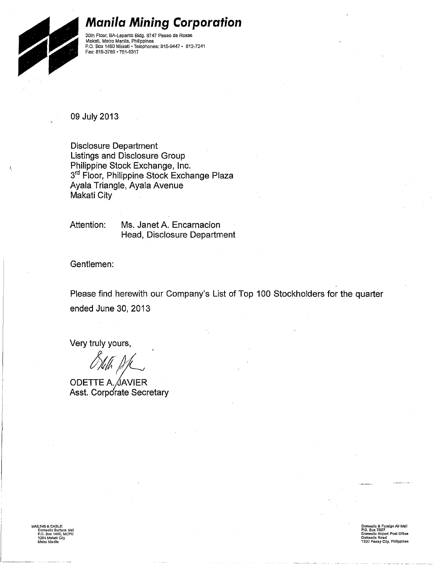

#### **Manila Mining Corporation**

20th Floor, BA-Lepanto Bidg. 8747 Paseo de Roxas<br>Makati, Metro Manila, Philippines<br>P.O. Box 1460 Makati • Telephones; 815-9447 • 812-7241 Fax: 619-3766 • 751,6317

09 July 2013

Disclosure Department Listings and Disclosure Group Philippine Stock Exchange, Inc. 3<sup>rd</sup> Floor, Philippine Stock Exchange Plaza Ayala Triangle, Ayala Avenue Makati City

Attention:

Ms. Janet A. Encarnacion Head, Disclosure Department

Gentlemen:

Please find herewith our Company's List of Top 100 Stockholders for the quarter ended June 30, 2013

Very truly yours,

http://www.<br>*http://* 

ODETTE A. JAVIER Asst. Corporate Secretary

MAILING & CABLE: Domestic Surtace Mail P.O. Box 1460, MCPO 1254 Makati Cily<br>Melro Manila

Domestic & Foreign Air Mall P.O. Box 7507 Domestic Airport Post Office Oomesllc Road 1300 Pasay City, Philippines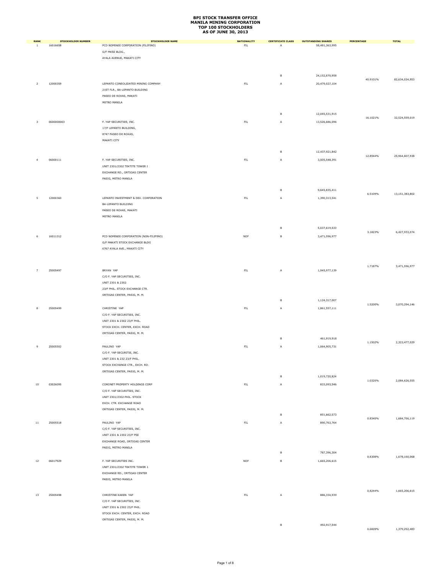| <b>RANK</b>    | <b>STOCKHOLDER NUMBER</b> | STOCKHOLDER NAME                       | <b>NATIONALITY</b> | <b>CERTIFICATE CLASS</b> | <b>OUTSTANDING SHARES</b> | PERCENTAGE | <b>TOTAL</b>   |
|----------------|---------------------------|----------------------------------------|--------------------|--------------------------|---------------------------|------------|----------------|
| <sup>1</sup>   | 16016658                  | PCD NOMINEE CORPORATION (FILIPINO)     | $\mathsf{FIL}$     | A                        | 58,481,363,995            |            |                |
|                |                           | G/F MKSE BLDG.,                        |                    |                          |                           |            |                |
|                |                           | AYALA AVENUE, MAKATI CITY              |                    |                          |                           |            |                |
|                |                           |                                        |                    |                          |                           |            |                |
|                |                           |                                        |                    |                          |                           |            |                |
|                |                           |                                        |                    | в                        | 24,152,670,958            | 40.9101%   | 82,634,034,953 |
| $\overline{2}$ | 12000359                  | LEPANTO CONSOLIDATED MINING COMPANY    | $\mathsf{FIL}$     | A                        | 20,479,027,104            |            |                |
|                |                           | 21ST FLR., BA-LEPANTO BUILDING         |                    |                          |                           |            |                |
|                |                           | PASEO DE ROXAS, MAKATI                 |                    |                          |                           |            |                |
|                |                           | METRO MANILA                           |                    |                          |                           |            |                |
|                |                           |                                        |                    |                          |                           |            |                |
|                |                           |                                        |                    | в                        | 12,045,531,915            | 16.1021%   | 32,524,559,019 |
| 3              | 0600000003                | F. YAP SECURITIES, INC.                | $\mathsf{FL}$      | A                        | 13,526,686,096            |            |                |
|                |                           | 17/F LEPANTO BUILDING,                 |                    |                          |                           |            |                |
|                |                           | 8747 PASEO DE ROXAS,                   |                    |                          |                           |            |                |
|                |                           | MAKATI CITY                            |                    |                          |                           |            |                |
|                |                           |                                        |                    |                          |                           |            |                |
|                |                           |                                        |                    | в                        | 12,437,921,842            |            |                |
| $\overline{4}$ | 06000111                  | F. YAP SECURITIES, INC.                | ${\sf FIL}$        | А                        | 3,505,548,391             | 12.8544%   | 25,964,607,938 |
|                |                           | UNIT 2301/2302 TEKTITE TOWER I         |                    |                          |                           |            |                |
|                |                           | EXCHANGE RD., ORTIGAS CENTER           |                    |                          |                           |            |                |
|                |                           | PASIG, METRO MANILA                    |                    |                          |                           |            |                |
|                |                           |                                        |                    |                          |                           |            |                |
|                |                           |                                        |                    | $\mathsf B$              | 9,645,835,411             |            |                |
|                |                           |                                        |                    |                          |                           | 6.5109%    | 13,151,383,802 |
| 5              | 12000360                  | LEPANTO INVESTMENT & DEV. CORPORATION  | $\mathsf{FIL}$     | A                        | 1,390,313,541             |            |                |
|                |                           | BA-LEPANTO BUILDING                    |                    |                          |                           |            |                |
|                |                           | PASEO DE ROXAS, MAKATI                 |                    |                          |                           |            |                |
|                |                           | METRO MANILA                           |                    |                          |                           |            |                |
|                |                           |                                        |                    |                          |                           |            |                |
|                |                           |                                        |                    | в                        | 5,037,619,533             | 3.1823%    | 6,427,933,074  |
| 6              | 16011312                  | PCD NOMINEE CORPORATION (NON-FILIPINO) | <b>NOF</b>         | в                        | 3,471,596,977             |            |                |
|                |                           | G/F MAKATI STOCK EXCHANGE BLDG         |                    |                          |                           |            |                |
|                |                           | 6767 AYALA AVE., MAKATI CITY           |                    |                          |                           |            |                |
|                |                           |                                        |                    |                          |                           |            |                |
|                |                           |                                        |                    |                          |                           |            |                |
|                |                           |                                        |                    |                          |                           | 1.7187%    | 3,471,596,977  |
| $\overline{7}$ | 25005497                  | BRYAN YAP                              | FIL                | A                        | 1,945,977,139             |            |                |
|                |                           | C/O F. YAP SECURITIES, INC.            |                    |                          |                           |            |                |
|                |                           | UNIT 2301 & 2302                       |                    |                          |                           |            |                |
|                |                           | 23/F PHIL. STOCK EXCHANGE CTR.         |                    |                          |                           |            |                |
|                |                           | ORTIGAS CENTER, PASIG, M. M.           |                    |                          |                           |            |                |
|                |                           |                                        |                    | в                        | 1,124,317,007             | 1.5200%    | 3,070,294,146  |
| 8              | 25005499                  | CHRISTINE YAP                          | $\mathsf{FIL}$     | А                        | 1,861,557,111             |            |                |
|                |                           | C/O F. YAP SECURITIES, INC.            |                    |                          |                           |            |                |
|                |                           | UNIT 2301 & 2302 23/F PHIL.            |                    |                          |                           |            |                |
|                |                           | STOCK EXCH. CENTER, EXCH. ROAD         |                    |                          |                           |            |                |
|                |                           | ORTIGAS CENTER, PASIG, M. M.           |                    |                          |                           |            |                |
|                |                           |                                        |                    | в                        | 461,919,918               |            |                |
| 9              | 25005502                  | PAULINO YAP                            | $\mathsf{FIL}$     | А                        | 1,064,905,731             | 1.1502%    | 2,323,477,029  |
|                |                           |                                        |                    |                          |                           |            |                |
|                |                           | C/O F. YAP SECURITIE, INC.             |                    |                          |                           |            |                |
|                |                           | UNIT 2301 & 232 23/F PHIL.             |                    |                          |                           |            |                |
|                |                           | STOCK EXCHANGE CTR., EXCH. RD.         |                    |                          |                           |            |                |
|                |                           | ORTIGAS CENTER, PASIG, M. M.           |                    | B                        |                           |            |                |
|                |                           |                                        |                    |                          | 1,019,720,824             | 1.0320%    | 2,084,626,555  |
| 10             | 03026095                  | CORONET PROPERTY HOLDINGS CORP         | $\mathsf{FIL}$     | А                        | 833,093,546               |            |                |
|                |                           | C/O F. YAP SECURITIES, INC.            |                    |                          |                           |            |                |
|                |                           | UNIT 2301/2302 PHIL. STOCK             |                    |                          |                           |            |                |
|                |                           | EXCH. CTR. EXCHANGE ROAD               |                    |                          |                           |            |                |
|                |                           | ORTIGAS CENTER, PASIG, M. M.           |                    |                          |                           |            |                |
|                |                           |                                        |                    | $\,$ B                   | 851,662,573               |            | 1,684,756,119  |
| $11\,$         | 25005518                  | PAULINO YAP                            | $\mathsf{FIL}$     | A                        | 890,763,764               | 0.8340%    |                |
|                |                           | C/O F. YAP SECURITIES, INC.            |                    |                          |                           |            |                |
|                |                           | UNIT 2301 & 2302 23/F PSE              |                    |                          |                           |            |                |
|                |                           | EXCHANGE ROAD, ORTIGAS CENTER          |                    |                          |                           |            |                |
|                |                           | PASIG, METRO MANILA                    |                    |                          |                           |            |                |
|                |                           |                                        |                    | в                        | 787,396,304               |            |                |
| 12             | 06017929                  | F. YAP SECURITIES INC.                 | <b>NOF</b>         | B                        | 1,665,206,615             | 0.8308%    | 1,678,160,068  |
|                |                           | UNIT 2301/2302 TEKTITE TOWER 1         |                    |                          |                           |            |                |
|                |                           | EXCHANGE RD., ORTIGAS CENTER           |                    |                          |                           |            |                |
|                |                           |                                        |                    |                          |                           |            |                |
|                |                           | PASIG, METRO MANILA                    |                    |                          |                           |            |                |
|                |                           |                                        |                    |                          |                           | 0.8244%    | 1,665,206,615  |
| 13             | 25005498                  | CHRISTINE KAREN YAP                    | ${\sf FIL}$        | Α                        | 886,334,939               |            |                |
|                |                           | C/O F. YAP SECURITIES, INC.            |                    |                          |                           |            |                |
|                |                           | UNIT 2301 & 2302 23/F PHIL.            |                    |                          |                           |            |                |
|                |                           | STOCK EXCH. CENTER, EXCH. ROAD         |                    |                          |                           |            |                |
|                |                           | ORTIGAS CENTER, PASIG, M. M.           |                    |                          |                           |            |                |
|                |                           |                                        |                    | $\,$ B                   | 492,917,544               |            |                |
|                |                           |                                        |                    |                          |                           | 0.6828%    | 1,379,252,483  |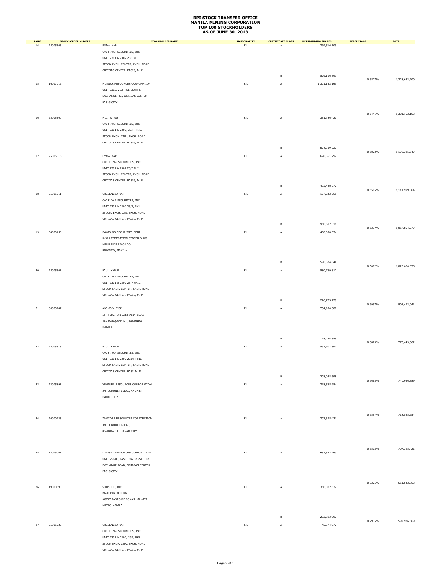| <b>RANK</b> | <b>STOCKHOLDER NUMBER</b> | STOCKHOLDER NAME                              | <b>NATIONALITY</b> | <b>CERTIFICATE CLASS</b> | <b>OUTSTANDING SHARES</b> | PERCENTAGE | <b>TOTAL</b>  |
|-------------|---------------------------|-----------------------------------------------|--------------------|--------------------------|---------------------------|------------|---------------|
| 14          | 25005505                  | EMMA YAP                                      | $\mathsf{FIL}$     | A                        | 799,516,109               |            |               |
|             |                           | C/O F. YAP SECURITIES, INC.                   |                    |                          |                           |            |               |
|             |                           | UNIT 2301 & 2302 23/F PHIL.                   |                    |                          |                           |            |               |
|             |                           | STOCK EXCH. CENTER, EXCH. ROAD                |                    |                          |                           |            |               |
|             |                           | ORTIGAS CENTER, PASIG, M. M.                  |                    | $\,$ B                   | 529,116,591               |            |               |
|             |                           |                                               |                    |                          |                           | 0.6577%    | 1,328,632,700 |
| 15          | 16017012                  | PATRICK RESOURCES CORPORATION                 | $\mathsf{FIL}$     | A                        | 1,301,152,163             |            |               |
|             |                           | UNIT 2302, 23/F PSE CENTRE                    |                    |                          |                           |            |               |
|             |                           | EXCHANGE RD., ORTIGAS CENTER<br>PASIG CITY    |                    |                          |                           |            |               |
|             |                           |                                               |                    |                          |                           |            |               |
|             |                           |                                               |                    |                          |                           | 0.6441%    | 1,301,152,163 |
| 16          | 25005500                  | PACITA YAP                                    | $\mathsf{FIL}$     | A                        | 351,786,420               |            |               |
|             |                           | C/O F. YAP SECURITIES, INC.                   |                    |                          |                           |            |               |
|             |                           | UNIT 2301 & 2302, 23/F PHIL.                  |                    |                          |                           |            |               |
|             |                           | STOCK EXCH. CTR., EXCH. ROAD                  |                    |                          |                           |            |               |
|             |                           | ORTIGAS CENTER, PASIG, M. M.                  |                    | $\,$ B                   |                           |            |               |
|             |                           |                                               |                    |                          | 824,539,227               | 0.5823%    | 1,176,325,647 |
| 17          | 25005516                  | EMMA YAP                                      | ${\sf FIL}$        | A                        | 678,551,292               |            |               |
|             |                           | C/O F. YAP SECURITIES, INC.                   |                    |                          |                           |            |               |
|             |                           | UNIT 2301 & 2302 23/F PHIL.                   |                    |                          |                           |            |               |
|             |                           | STOCK EXCH. CENTER, EXCH. ROAD                |                    |                          |                           |            |               |
|             |                           | ORTIGAS CENTER, PASIG, M. M.                  |                    | $\,$ B                   | 433,448,272               |            |               |
|             |                           |                                               |                    |                          |                           | 0.5505%    | 1,111,999,564 |
| 18          | 25005511                  | CRESENCIO YAP                                 | FIL                | A                        | 107,242,261               |            |               |
|             |                           | C/O F. YAP SECURITIES, INC.                   |                    |                          |                           |            |               |
|             |                           | UNIT 2301 & 2302 23/F, PHIL.                  |                    |                          |                           |            |               |
|             |                           | STOCK. EXCH. CTR. EXCH. ROAD                  |                    |                          |                           |            |               |
|             |                           | ORTIGAS CENTER, PASIG, M. M.                  |                    | $\,$ B                   | 950,612,016               |            |               |
|             |                           |                                               |                    |                          |                           | 0.5237%    | 1,057,854,277 |
| 19          | 04000158                  | DAVID GO SECURITIES CORP.                     | $\mathsf{FIL}$     | Α                        | 438,090,034               |            |               |
|             |                           | R-309 FEDERATION CENTER BLDG.                 |                    |                          |                           |            |               |
|             |                           | MEULLE DE BINONDO                             |                    |                          |                           |            |               |
|             |                           | BINONDO, MANILA                               |                    |                          |                           |            |               |
|             |                           |                                               |                    | в                        | 590,574,844               |            |               |
| 20          | 25005501                  | PAUL YAP JR.                                  | $\mathsf{FIL}$     | A                        | 580,769,812               | 0.5092%    | 1,028,664,878 |
|             |                           | C/O F. YAP SECURITIES, INC.                   |                    |                          |                           |            |               |
|             |                           | UNIT 2301 & 2302 23/F PHIL.                   |                    |                          |                           |            |               |
|             |                           | STOCK EXCH. CENTER, EXCH. ROAD                |                    |                          |                           |            |               |
|             |                           | ORTIGAS CENTER, PASIG, M. M.                  |                    |                          |                           |            |               |
|             |                           |                                               |                    | B                        | 226,723,229               |            |               |
| ${\bf 21}$  | 06000747                  | A/C -CKY FYSI                                 | ${\sf FIL}$        | А                        | 754,994,507               | 0.3997%    | 807,493,041   |
|             |                           | 5TH FLR., FAR EAST ASIA BLDG.                 |                    |                          |                           |            |               |
|             |                           | 416 MARQUINA ST., BINONDO                     |                    |                          |                           |            |               |
|             |                           | MANILA                                        |                    |                          |                           |            |               |
|             |                           |                                               |                    |                          |                           |            |               |
|             |                           |                                               |                    | B                        | 18,454,855                |            |               |
| 22          | 25005515                  | PAUL YAP JR.                                  | FIL                | А                        | 532,907,891               | 0.3829%    | 773,449,362   |
|             |                           | C/O F. YAP SECURITIES, INC.                   |                    |                          |                           |            |               |
|             |                           | UNIT 2301 & 2302 223/F PHIL.                  |                    |                          |                           |            |               |
|             |                           | STOCK EXCH. CENTER, EXCH. ROAD                |                    |                          |                           |            |               |
|             |                           | ORTIGAS CENTER, PASI, M. M.                   |                    |                          |                           |            |               |
|             |                           |                                               |                    | B                        | 208,038,698               |            |               |
| 23          | 22005891                  | VENTURA RESOURCES CORPORATION                 | ${\sf FIL}$        | A                        | 718,565,954               | 0.3668%    | 740,946,589   |
|             |                           | 3/F CORONET BLDG., ANDA ST.,                  |                    |                          |                           |            |               |
|             |                           | DAVAO CITY                                    |                    |                          |                           |            |               |
|             |                           |                                               |                    |                          |                           |            |               |
|             |                           |                                               |                    |                          |                           |            |               |
|             |                           |                                               |                    |                          |                           | 0.3557%    | 718,565,954   |
| 24          | 26000925                  | ZAMCORE RESOURCES CORPORATION                 | $\mathsf{FIL}$     | A                        | 707,395,421               |            |               |
|             |                           | 3/F CORONET BLDG.,<br>86 ANDA ST., DAVAO CITY |                    |                          |                           |            |               |
|             |                           |                                               |                    |                          |                           |            |               |
|             |                           |                                               |                    |                          |                           |            |               |
|             |                           |                                               |                    |                          |                           | 0.3502%    | 707,395,421   |
| 25          | 12016061                  | LINDSAY RESOURCES CORPORATION                 | $\mathsf{FIL}$     | Α                        | 651, 542, 763             |            |               |
|             |                           | UNIT 2504C, EAST TOWER PSE CTR                |                    |                          |                           |            |               |
|             |                           | EXCHANGE ROAD, ORTIGAS CENTER                 |                    |                          |                           |            |               |
|             |                           | PASIG CITY                                    |                    |                          |                           |            |               |
|             |                           |                                               |                    |                          |                           |            |               |
| 26          | 19000695                  | SHIPSIDE, INC.                                | ${\sf FIL}$        | A                        | 360,082,672               | 0.3225%    | 651, 542, 763 |
|             |                           | BA-LEPANTO BLDG.                              |                    |                          |                           |            |               |
|             |                           | #8747 PASEO DE ROXAS, MAKATI                  |                    |                          |                           |            |               |
|             |                           | METRO MANILA                                  |                    |                          |                           |            |               |
|             |                           |                                               |                    |                          |                           |            |               |
|             |                           |                                               |                    | в                        | 232,893,997               | 0.2935%    | 592,976,669   |
| 27          | 25005522                  | CRESENCIO YAP                                 | ${\sf FIL}$        | А                        | 45,574,972                |            |               |
|             |                           | C/O F. YAP SECURITIES, INC.                   |                    |                          |                           |            |               |
|             |                           | UNIT 2301 & 2302, 23F, PHIL.                  |                    |                          |                           |            |               |
|             |                           | STOCK EXCH. CTR., EXCH. ROAD                  |                    |                          |                           |            |               |

ORTIGAS CENTER, PASIG, M. M.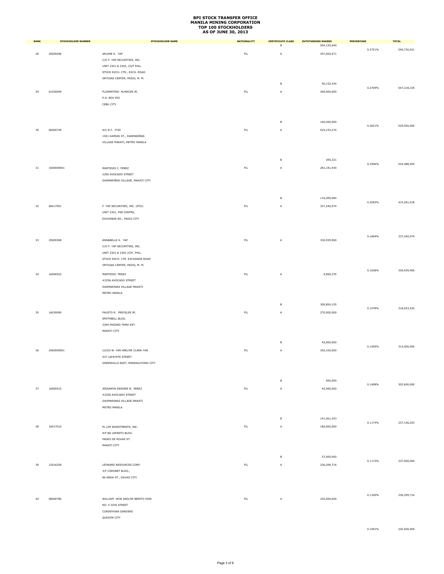| <b>RANK</b> | STOCKHOLDER NUMBER | <b>STOCKHOLDER NAME</b>                                        | <b>NATIONALITY</b> | <b>CERTIFICATE CLASS</b> | <b>OUTSTANDING SHARES</b> | PERCENTAGE | <b>TOTAL</b>  |
|-------------|--------------------|----------------------------------------------------------------|--------------------|--------------------------|---------------------------|------------|---------------|
|             |                    |                                                                |                    | в                        | 504,155,049               | 0.2721%    | 549,730,021   |
| 28          | 25005496           | ARLENE K. YAP<br>C/O F. YAP SECURITIES, INC.                   | ${\sf FIL}$        | A                        | 457,065,671               |            |               |
|             |                    | UNIT 2301 & 2302, 23/F PHIL.                                   |                    |                          |                           |            |               |
|             |                    | STOCK EXCH. CTR., EXCH. ROAD                                   |                    |                          |                           |            |               |
|             |                    | ORTIGAS CENTER, PASIG, M. M.                                   |                    | $\,$ B                   | 90,152,434                |            |               |
| 29          | 01030049           | FLORENTINO ALMACEN JR.                                         | $\mathsf{FIL}$     | A                        | 369,000,000               | 0.2709%    | 547,218,105   |
|             |                    | P.O. BOX 952                                                   |                    |                          |                           |            |               |
|             |                    | CEBU CITY                                                      |                    |                          |                           |            |               |
|             |                    |                                                                |                    |                          |                           |            |               |
|             |                    |                                                                |                    | $\,$ B                   | 160,500,000               |            |               |
| 30          | 06000749           | A/C B.Y. FYSI                                                  | $\mathsf{FIL}$     | A                        | 524,193,274               | 0.2621%    | 529,500,000   |
|             |                    | 1921 KAMIAS ST., DASMARIÑAS                                    |                    |                          |                           |            |               |
|             |                    | VILLAGE MAKATI, METRO MANILA                                   |                    |                          |                           |            |               |
|             |                    |                                                                |                    |                          |                           |            |               |
|             |                    |                                                                |                    | в                        | 295,321                   | 0.2596%    | 524,488,595   |
| 31          | 1600000001         | MARTESIO C. PEREZ                                              | ${\sf FIL}$        | A                        | 281,181,934               |            |               |
|             |                    | 2256 AVOCADO STREET<br>DASMARIÑAS VILLAGE, MAKATI CITY         |                    |                          |                           |            |               |
|             |                    |                                                                |                    |                          |                           |            |               |
|             |                    |                                                                |                    |                          |                           |            |               |
|             |                    |                                                                |                    | $\,$ B                   | 134,099,084               | 0.2055%    | 415,281,018   |
| 32          | 06017901           | F. YAP SECURITIES, INC. (PCD)                                  | $\mathsf{FIL}$     | A                        | 337,240,974               |            |               |
|             |                    | UNIT 2301, PSE CENTRE,<br>EXCHANGE RD., PASIG CITY             |                    |                          |                           |            |               |
|             |                    |                                                                |                    |                          |                           |            |               |
|             |                    |                                                                |                    |                          |                           |            |               |
| 33          | 25005508           | ANNABELLE K. YAP                                               | ${\sf FIL}$        | Α                        | 330,939,900               | 0.1669%    | 337,240,974   |
|             |                    | C/O F. YAP SECURITIES, INC.                                    |                    |                          |                           |            |               |
|             |                    | UNIT 2301 & 2302 23/F, PHIL.<br>STOCK EXCH. CTR. EXCHANGE ROAD |                    |                          |                           |            |               |
|             |                    | ORTIGAS CENTER, PASIG, M. M.                                   |                    |                          |                           |            |               |
| 34          | 16000522           | MARTESIO PEREZ                                                 | ${\sf FIL}$        | A                        | 9,069,370                 | 0.1638%    | 330,939,900   |
|             |                    | #2256 AVOCADO STREET                                           |                    |                          |                           |            |               |
|             |                    | DASMARINAS VILLAGE MAKATI                                      |                    |                          |                           |            |               |
|             |                    | METRO MANILA                                                   |                    |                          |                           |            |               |
|             |                    |                                                                |                    | $\,$ B                   | 309,854,155               |            |               |
| 35          | 16030009           | FAUSTO R. PREYSLER JR.                                         | $\mathsf{FIL}$     | A                        | 270,000,000               | 0.1578%    | 318,923,525   |
|             |                    | SMITHBELL BLDG.                                                |                    |                          |                           |            |               |
|             |                    | 2294 PASONG TAMO EXT.                                          |                    |                          |                           |            |               |
|             |                    | MAKATI CITY                                                    |                    |                          |                           |            |               |
|             |                    |                                                                |                    | в                        | 45,000,000                | 0.1559%    | 315,000,000   |
| 36          | 2500000001         | LUCIO W. YAN AND/OR CLARA YAN                                  | $\mathsf{FIL}$     | А                        | 302,100,000               |            |               |
|             |                    | 537 LAFAYETE STREET                                            |                    |                          |                           |            |               |
|             |                    | GREENHILLS EAST, MANDALUYONG CITY                              |                    |                          |                           |            |               |
|             |                    |                                                                |                    |                          |                           |            |               |
|             |                    |                                                                |                    | в                        | 500,000                   | 0.1498%    | 302,600,000   |
| 37          | 16000515           | JESSAMYN DESIREE B. PEREZ<br>#2256 AVOCADO STREET              | $\mathsf{FIL}$     | A                        | 45,585,000                |            |               |
|             |                    | DASMARINAS VILLAGE MAKATI                                      |                    |                          |                           |            |               |
|             |                    | METRO MANILA                                                   |                    |                          |                           |            |               |
|             |                    |                                                                |                    | $\,$ B                   | 191,561,253               |            |               |
| 38          | 16017010           | PL LIM INVESTMENTS, INC.                                       | $\mathsf{FIL}$     | $\mathsf A$              | 180,000,000               | 0.1174%    | 237, 146, 253 |
|             |                    | 9/F BA LEPANTO BLDG.                                           |                    |                          |                           |            |               |
|             |                    | PASEO DE ROXAS ST.                                             |                    |                          |                           |            |               |
|             |                    | MAKATI CITY                                                    |                    |                          |                           |            |               |
|             |                    |                                                                |                    | $\,$ B                   | 57,000,000                |            |               |
| 39          | 12016259           | LEONARD RESOURCES CORP.                                        | $\mathsf{FIL}$     | A                        | 236,299,716               | 0.1173%    | 237,000,000   |
|             |                    | 3/F CORONET BLDG.,                                             |                    |                          |                           |            |               |
|             |                    | 86 ANDA ST., DAVAO CITY                                        |                    |                          |                           |            |               |
|             |                    |                                                                |                    |                          |                           |            |               |
|             |                    |                                                                |                    |                          |                           | 0.1169%    | 236,299,716   |
| 40          | 08000780           | WILLIAM HOW AND/OR BENITO HOW<br>NO. 5 JOYA STREET             | $\mathsf{FIL}$     | A                        | 220,500,000               |            |               |
|             |                    | CORINTHIAN GARDENS                                             |                    |                          |                           |            |               |
|             |                    | QUEZON CITY                                                    |                    |                          |                           |            |               |
|             |                    |                                                                |                    |                          |                           |            |               |

0.1091% 220,500,000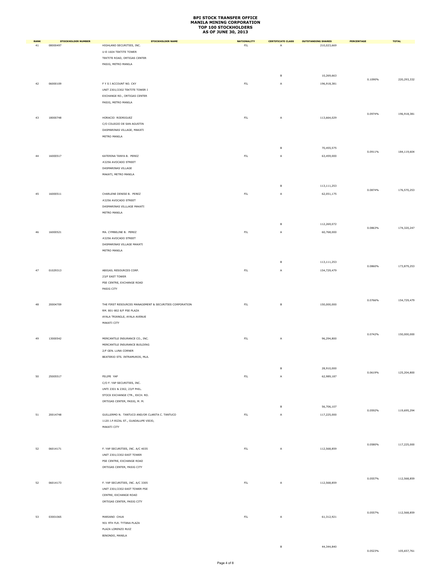| <b>RANK</b> | <b>STOCKHOLDER NUMBER</b> | <b>STOCKHOLDER NAME</b>                                        | <b>NATIONALITY</b> | <b>CERTIFICATE CLASS</b> | <b>OUTSTANDING SHARES</b> | PERCENTAGE | <b>TOTAL</b> |
|-------------|---------------------------|----------------------------------------------------------------|--------------------|--------------------------|---------------------------|------------|--------------|
| 41          | 08000497                  | HIGHLAND SECURITIES, INC.                                      | ${\sf FIL}$        | A                        | 210,023,669               |            |              |
|             |                           | U-E-1604 TEKTITE TOWER                                         |                    |                          |                           |            |              |
|             |                           | TEKTITE ROAD, ORTIGAS CENTER                                   |                    |                          |                           |            |              |
|             |                           | PASIG, METRO MANILA                                            |                    |                          |                           |            |              |
|             |                           |                                                                |                    | $\,$ B                   | 10,269,663                |            |              |
|             |                           |                                                                |                    |                          |                           | 0.1090%    | 220,293,332  |
| 42          | 06000109                  | F Y S I ACCOUNT NO. CKY                                        | ${\sf FIL}$        | Α                        | 196,918,381               |            |              |
|             |                           | UNIT 2301/2302 TEKTITE TOWER I<br>EXCHANGE RD., ORTIGAS CENTER |                    |                          |                           |            |              |
|             |                           | PASIG, METRO MANILA                                            |                    |                          |                           |            |              |
|             |                           |                                                                |                    |                          |                           |            |              |
|             |                           |                                                                |                    |                          |                           | 0.0974%    | 196,918,381  |
| 43          | 18000748                  | HORACIO RODRIGUEZ                                              | ${\sf FIL}$        | A                        | 113,664,029               |            |              |
|             |                           | C/O COLEGIO DE SAN AGUSTIN                                     |                    |                          |                           |            |              |
|             |                           | DASMARINAS VILLAGE, MAKATI                                     |                    |                          |                           |            |              |
|             |                           | METRO MANILA                                                   |                    |                          |                           |            |              |
|             |                           |                                                                |                    | B                        | 70,455,575                |            |              |
|             |                           |                                                                |                    |                          |                           | 0.0911%    | 184,119,604  |
| 44          | 16000517                  | KATERINA TANYA B. PEREZ                                        | ${\sf FIL}$        | A                        | 63,459,000                |            |              |
|             |                           | #2256 AVOCADO STREET                                           |                    |                          |                           |            |              |
|             |                           | DASMARINAS VILLAGE                                             |                    |                          |                           |            |              |
|             |                           | MAKATI, METRO MANILA                                           |                    |                          |                           |            |              |
|             |                           |                                                                |                    | в                        | 113,111,253               |            |              |
|             |                           |                                                                |                    |                          |                           | 0.0874%    | 176,570,253  |
| 45          | 16000511                  | CHARLENE DENISE B. PEREZ                                       | ${\sf FIL}$        | A                        | 62,051,175                |            |              |
|             |                           | #2256 AVOCADO STREET                                           |                    |                          |                           |            |              |
|             |                           | DASMARINAS VILLLAGE MAKATI                                     |                    |                          |                           |            |              |
|             |                           | METRO MANILA                                                   |                    |                          |                           |            |              |
|             |                           |                                                                |                    | в                        | 112,269,072               |            |              |
|             |                           |                                                                |                    |                          |                           | 0.0863%    | 174,320,247  |
| 46          | 16000521                  | MA. CYMBELINE B. PEREZ                                         | ${\sf FIL}$        | A                        | 60,768,000                |            |              |
|             |                           | #2256 AVOCADO STREET                                           |                    |                          |                           |            |              |
|             |                           | DASMARINAS VILLAGE MAKATI                                      |                    |                          |                           |            |              |
|             |                           | METRO MANILA                                                   |                    |                          |                           |            |              |
|             |                           |                                                                |                    | B                        | 113, 111, 253             |            |              |
| 47          | 01029313                  | ABIGAIL RESOURCES CORP.                                        | ${\sf FIL}$        |                          |                           | 0.0860%    | 173,879,253  |
|             |                           |                                                                |                    | A                        | 154,729,479               |            |              |
|             |                           | 23/F EAST TOWER                                                |                    |                          |                           |            |              |
|             |                           | PSE CENTRE, EXCHANGE ROAD<br>PASIG CITY                        |                    |                          |                           |            |              |
|             |                           |                                                                |                    |                          |                           |            |              |
|             |                           |                                                                |                    |                          |                           | 0.0766%    | 154,729,479  |
| 48          | 20004709                  | THE FIRST RESOURCES MANAGEMENT & SECURITIES CORPORATION        | ${\sf FIL}$        | B                        | 150,000,000               |            |              |
|             |                           | RM. 801-802 8/F PSE PLAZA                                      |                    |                          |                           |            |              |
|             |                           | AYALA TRIANGLE, AYALA AVENUE                                   |                    |                          |                           |            |              |
|             |                           | MAKATI CITY                                                    |                    |                          |                           |            |              |
|             |                           |                                                                |                    |                          |                           | 0.0742%    | 150,000,000  |
| 49          | 13000542                  | MERCANTILE INSURANCE CO., INC.                                 | ${\sf FIL}$        | A                        | 96,294,800                |            |              |
|             |                           | MERCANTILE INSURANCE BUILDING                                  |                    |                          |                           |            |              |
|             |                           | 2/F GEN. LUNA CORNER                                           |                    |                          |                           |            |              |
|             |                           | BEATERIO STS. INTRAMUROS, MLA.                                 |                    |                          |                           |            |              |
|             |                           |                                                                |                    |                          |                           |            |              |
|             |                           |                                                                |                    | B                        | 28,910,000                | 0.0619%    | 125,204,800  |
| 50          | 25005517                  | FELIPE YAP                                                     | ${\sf FIL}$        | A                        | 62,989,187                |            |              |
|             |                           | C/O F. YAP SECURITIES, INC.                                    |                    |                          |                           |            |              |
|             |                           | UNTI 2301 & 2302, 23/F PHIL.                                   |                    |                          |                           |            |              |
|             |                           | STOCK EXCHANGE CTR., EXCH. RD.                                 |                    |                          |                           |            |              |
|             |                           | ORTIGAS CENTER, PASIG, M. M.                                   |                    |                          |                           |            |              |
|             |                           |                                                                |                    | B                        | 56,706,107                | 0.0592%    | 119,695,294  |
| 51          | 20014748                  | GUILLERMO N. TANTUCO AND/OR CLARITA C. TANTUCO                 | ${\sf FIL}$        | A                        | 117,225,000               |            |              |
|             |                           | 1120 J.P.RIZAL ST., GUADALUPE VIEJO,                           |                    |                          |                           |            |              |
|             |                           | MAKATI CITY                                                    |                    |                          |                           |            |              |
|             |                           |                                                                |                    |                          |                           |            |              |
|             |                           |                                                                |                    |                          |                           |            |              |
| 52          | 06014171                  | F. YAP SECURITIES, INC. A/C 4035                               | ${\sf FIL}$        | A                        | 112,568,859               | 0.0580%    | 117,225,000  |
|             |                           | <b>UNIT 2301/2302 EAST TOWER</b>                               |                    |                          |                           |            |              |
|             |                           | PSE CENTRE, EXCHANGE ROAD                                      |                    |                          |                           |            |              |
|             |                           | ORTIGAS CENTER, PASIG CITY                                     |                    |                          |                           |            |              |
|             |                           |                                                                |                    |                          |                           |            |              |
| 52          | 06014173                  | F. YAP SECURITIES, INC. A/C 3305                               | ${\sf FIL}$        | A                        | 112,568,859               | 0.0557%    | 112,568,859  |
|             |                           | UNIT 2301/2302 EAST TOWER PSE                                  |                    |                          |                           |            |              |
|             |                           | CENTRE, EXCHANGE ROAD                                          |                    |                          |                           |            |              |
|             |                           | ORTIGAS CENTER, PASIG CITY                                     |                    |                          |                           |            |              |
|             |                           |                                                                |                    |                          |                           |            |              |
|             |                           |                                                                |                    |                          |                           | 0.0557%    | 112,568,859  |
| 53          | 03001065                  | MARIANO CHUA                                                   | ${\sf FIL}$        | A                        | 61,312,921                |            |              |
|             |                           | 901 9TH FLR. TYTANA PLAZA                                      |                    |                          |                           |            |              |
|             |                           | PLAZA LORENZO RUIZ                                             |                    |                          |                           |            |              |
|             |                           | BINONDO, MANILA                                                |                    |                          |                           |            |              |
|             |                           |                                                                |                    | $\,$ B                   | 44,344,840                |            |              |

0.0523% 105,657,761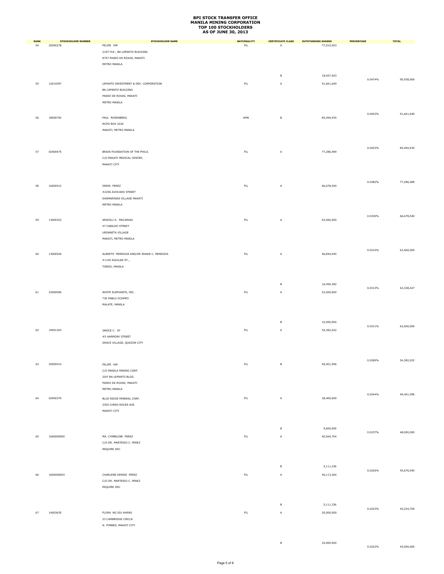| <b>RANK</b> | <b>STOCKHOLDER NUMBER</b> | <b>STOCKHOLDER NAME</b>                            | <b>NATIONALITY</b> | <b>CERTIFICATE CLASS</b> | <b>OUTSTANDING SHARES</b> | PERCENTAGE | <b>TOTAL</b> |
|-------------|---------------------------|----------------------------------------------------|--------------------|--------------------------|---------------------------|------------|--------------|
| 54          | 25000278                  | FELIPE YAP                                         | ${\sf FIL}$        | Α                        | 77,010,503                |            |              |
|             |                           | 21ST FLR., BA-LEPANTO BUILDING                     |                    |                          |                           |            |              |
|             |                           | 8747 PASEO DE ROXAS, MAKATI<br>METRO MANILA        |                    |                          |                           |            |              |
|             |                           |                                                    |                    |                          |                           |            |              |
|             |                           |                                                    |                    | в                        | 18,927,503                |            |              |
| 55          | 12014597                  | LEPANTO INVESTMENT & DEV. CORPORATION              | ${\sf FIL}$        | Α                        | 91,661,649                | 0.0474%    | 95,938,006   |
|             |                           | BA-LEPANTO BUILDING                                |                    |                          |                           |            |              |
|             |                           | PASEO DE ROXAS, MAKATI                             |                    |                          |                           |            |              |
|             |                           | METRO MANILA                                       |                    |                          |                           |            |              |
|             |                           |                                                    |                    |                          |                           |            |              |
| 56          | 18000792                  | PAUL ROSENBERG                                     | AMN                | в                        | 85,494,935                | 0.0453%    | 91,661,649   |
|             |                           | MCPO BOX 2220                                      |                    |                          |                           |            |              |
|             |                           | MAKATI, METRO MANILA                               |                    |                          |                           |            |              |
|             |                           |                                                    |                    |                          |                           |            |              |
|             |                           |                                                    |                    |                          |                           |            |              |
| 57          | 02000475                  | BRAIN FOUNDATION OF THE PHILS.                     | $\mathsf{FL}$      | А                        | 77,286,489                | 0.0423%    | 85,494,935   |
|             |                           | C/O MAKATI MEDICAL CENTER,                         |                    |                          |                           |            |              |
|             |                           | MAKATI CITY                                        |                    |                          |                           |            |              |
|             |                           |                                                    |                    |                          |                           |            |              |
|             |                           |                                                    |                    |                          |                           |            |              |
| 58          | 16000512                  | DENIS PEREZ                                        | ${\sf FIL}$        | Α                        | 66,678,540                | 0.0382%    | 77,286,489   |
|             |                           | #2256 AVOCADO STREET                               |                    |                          |                           |            |              |
|             |                           | DASMARINAS VILLAGE MAKATI                          |                    |                          |                           |            |              |
|             |                           | METRO MANILA                                       |                    |                          |                           |            |              |
|             |                           |                                                    |                    |                          |                           |            |              |
|             |                           |                                                    | ${\sf FIL}$        |                          | 63,560,000                | 0.0330%    | 66,678,540   |
| 59          | 13000323                  | ARACELI A. MACARAIG<br>47 CABILDO STREET           |                    | A                        |                           |            |              |
|             |                           | URDANETA VILLAGE                                   |                    |                          |                           |            |              |
|             |                           | MAKATI, METRO MANILA                               |                    |                          |                           |            |              |
|             |                           |                                                    |                    |                          |                           |            |              |
|             |                           |                                                    |                    |                          |                           | 0.0314%    | 63,560,000   |
| 60          | 13000520                  | ALBERTO MENDOZA AND/OR JEANIE C. MENDOZA           | $\mathsf{FIL}$     | A                        | 46,844,045                |            |              |
|             |                           | #1145 AGUILAR ST.,<br>TONDO, MANILA                |                    |                          |                           |            |              |
|             |                           |                                                    |                    |                          |                           |            |              |
|             |                           |                                                    |                    |                          |                           |            |              |
|             |                           |                                                    |                    | в                        | 16,494,382                |            |              |
| $61\,$      | 23000056                  | WHITE ELEPHANTS, INC.                              | $\mathsf{FL}$      | А                        | 52,500,000                | 0.0313%    | 63,338,427   |
|             |                           | 730 PABLO OCAMPO                                   |                    |                          |                           |            |              |
|             |                           | MALATE, MANILA                                     |                    |                          |                           |            |              |
|             |                           |                                                    |                    |                          |                           |            |              |
|             |                           |                                                    |                    |                          |                           |            |              |
|             |                           |                                                    |                    | в                        | 10,500,000                | 0.0311%    | 63,000,000   |
| 62          | 19001343                  | JANICE C. SY                                       | $\mathsf{FL}$      | А                        | 54,382,022                |            |              |
|             |                           | #5 HARMONY STREET                                  |                    |                          |                           |            |              |
|             |                           | GRACE VILLAGE, QUEZON CITY                         |                    |                          |                           |            |              |
|             |                           |                                                    |                    |                          |                           |            |              |
|             |                           |                                                    |                    |                          |                           | 0.0269%    | 54,382,022   |
| 63          | 25005514                  | FELIPE YAP                                         | ${\sf FIL}$        | в                        | 49,401,596                |            |              |
|             |                           | C/O MANILA MINING CORP.                            |                    |                          |                           |            |              |
|             |                           | 20/F BA-LEPANTO BLDG.                              |                    |                          |                           |            |              |
|             |                           | PASEO DE ROXAS, MAKATI                             |                    |                          |                           |            |              |
|             |                           | METRO MANILA                                       |                    |                          |                           | 0.0244%    | 49,401,596   |
| 64          | 02000370                  | BLUE RIDGE MINERAL CORP.                           | $\mathsf{FIL}$     | А                        | 38,400,000                |            |              |
|             |                           | 2255 CHINO ROCES AVE.                              |                    |                          |                           |            |              |
|             |                           | MAKATI CITY                                        |                    |                          |                           |            |              |
|             |                           |                                                    |                    |                          |                           |            |              |
|             |                           |                                                    |                    |                          |                           |            |              |
|             |                           |                                                    |                    | в                        | 9,600,000                 | 0.0237%    | 48,000,000   |
| 65          | 1600000005                | MA. CYMBELINE PEREZ                                | $\mathsf{FIL}$     | A                        | 40,564,704                |            |              |
|             |                           | C/O DR. MARTESIO C. PEREZ                          |                    |                          |                           |            |              |
|             |                           | REQUIRE SSC                                        |                    |                          |                           |            |              |
|             |                           |                                                    |                    |                          |                           |            |              |
|             |                           |                                                    |                    | в                        | 5,111,336                 |            |              |
|             | 1600000003                |                                                    | $\mathsf{FIL}$     |                          |                           | 0.0226%    | 45,676,040   |
| 66          |                           | CHARLENE DENISE PEREZ<br>C/O DR. MARTESIO C. PEREZ |                    | А                        | 40,113,364                |            |              |
|             |                           | REQUIRE SSC                                        |                    |                          |                           |            |              |
|             |                           |                                                    |                    |                          |                           |            |              |
|             |                           |                                                    |                    |                          |                           |            |              |
|             |                           |                                                    |                    | в                        | 5,111,336                 |            |              |
| 67          | 14003635                  | FLORA NG SIU KHENG                                 | $\mathsf{FL}$      | А                        | 20,000,000                | 0.0223%    | 45,224,700   |
|             |                           | 23 CAMBRIDGE CIRCLE                                |                    |                          |                           |            |              |
|             |                           | N. FORBES, MAKATI CITY                             |                    |                          |                           |            |              |
|             |                           |                                                    |                    |                          |                           |            |              |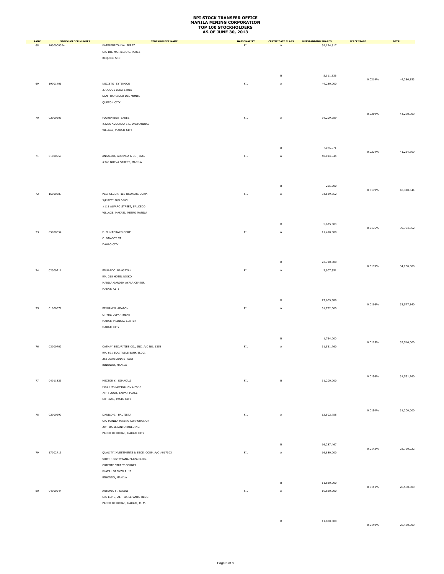| <b>RANK</b> | <b>STOCKHOLDER NUMBER</b> | <b>STOCKHOLDER NAME</b>                                                  | <b>NATIONALITY</b> | <b>CERTIFICATE CLASS</b> | <b>OUTSTANDING SHARES</b> | PERCENTAGE | <b>TOTAL</b> |
|-------------|---------------------------|--------------------------------------------------------------------------|--------------------|--------------------------|---------------------------|------------|--------------|
| 68          | 1600000004                | KATERINE TANYA PEREZ<br>C/O DR. MARTESIO C. PEREZ                        | ${\sf FIL}$        | Α                        | 39,174,817                |            |              |
|             |                           | REQUIRE SSC                                                              |                    |                          |                           |            |              |
|             |                           |                                                                          |                    |                          |                           |            |              |
|             |                           |                                                                          |                    |                          |                           |            |              |
|             |                           |                                                                          |                    | $\,$ B                   | 5,111,336                 | 0.0219%    | 44,286,153   |
| 69          | 19001401                  | NECISTO SYTENGCO<br>37 JUDGE LUNA STREET                                 | ${\sf FIL}$        | $\mathsf A$              | 44,280,000                |            |              |
|             |                           | SAN FRANCISCO DEL MONTE                                                  |                    |                          |                           |            |              |
|             |                           | QUEZON CITY                                                              |                    |                          |                           |            |              |
|             |                           |                                                                          |                    |                          |                           |            | 44,280,000   |
| 70          | 02000209                  | FLORENTINA BANEZ                                                         | ${\sf FIL}$        | A                        | 34,209,289                | 0.0219%    |              |
|             |                           | #2256 AVOCADO ST., DASMARINAS                                            |                    |                          |                           |            |              |
|             |                           | VILLAGE, MAKATI CITY                                                     |                    |                          |                           |            |              |
|             |                           |                                                                          |                    |                          |                           |            |              |
|             |                           |                                                                          |                    | в                        | 7,075,571                 | 0.0204%    | 41,284,860   |
| 71          | 01000959                  | ANSALDO, GODINEZ & CO., INC.                                             | ${\sf FIL}$        | А                        | 40,014,544                |            |              |
|             |                           | #340 NUEVA STREET, MANILA                                                |                    |                          |                           |            |              |
|             |                           |                                                                          |                    |                          |                           |            |              |
|             |                           |                                                                          |                    |                          |                           |            |              |
|             |                           |                                                                          |                    | в                        | 295,500                   | 0.0199%    | 40,310,044   |
| 72          | 16000387                  | PCCI SECURITIES BROKERS CORP.                                            | ${\sf FIL}$        | A                        | 34,129,852                |            |              |
|             |                           | 3/F PCCI BUILDING<br>#118 ALFARO STREET, SALCEDO                         |                    |                          |                           |            |              |
|             |                           | VILLAGE, MAKATI, METRO MANILA                                            |                    |                          |                           |            |              |
|             |                           |                                                                          |                    |                          |                           |            |              |
|             |                           |                                                                          |                    | в                        | 5,625,000                 | 0.0196%    | 39,754,852   |
| 73          | 05000054                  | E. N. MADRAZO CORP.                                                      | ${\sf FIL}$        | A                        | 11,490,000                |            |              |
|             |                           | C. BANGOY ST.<br>DAVAO CITY                                              |                    |                          |                           |            |              |
|             |                           |                                                                          |                    |                          |                           |            |              |
|             |                           |                                                                          |                    |                          |                           |            |              |
|             |                           |                                                                          |                    | в                        | 22,710,000                | 0.0169%    | 34,200,000   |
| 74          | 02000211                  | EDUARDO BANGAYAN                                                         | ${\sf FIL}$        | A                        | 5,907,551                 |            |              |
|             |                           | RM. 218 HOTEL NIKKO<br>MANILA GARDEN AYALA CENTER                        |                    |                          |                           |            |              |
|             |                           | MAKATI CITY                                                              |                    |                          |                           |            |              |
|             |                           |                                                                          |                    |                          |                           |            |              |
|             |                           |                                                                          |                    | в                        | 27,669,589                | 0.0166%    | 33,577,140   |
| 75          | 01000671                  | BENJAMIN ADAPON                                                          | ${\sf FIL}$        | А                        | 31,752,000                |            |              |
|             |                           | CT-MRI DEPARTMENT<br>MAKATI MEDICAL CENTER                               |                    |                          |                           |            |              |
|             |                           | MAKATI CITY                                                              |                    |                          |                           |            |              |
|             |                           |                                                                          |                    |                          |                           |            |              |
|             |                           |                                                                          |                    | в                        | 1,764,000                 | 0.0165%    | 33,516,000   |
| 76          | 03000702                  | CATHAY SECURITIES CO., INC. A/C NO. 1358<br>RM. 621 EQUITABLE BANK BLDG. | ${\sf FIL}$        | $\mathsf A$              | 31,531,760                |            |              |
|             |                           | 262 JUAN LUNA STREET                                                     |                    |                          |                           |            |              |
|             |                           | BINONDO, MANILA                                                          |                    |                          |                           |            |              |
|             |                           |                                                                          |                    |                          |                           |            |              |
| 77          | 04011829                  | HECTOR Y. DIMACALI                                                       | ${\sf FIL}$        | $\mathsf B$              | 31,200,000                | 0.0156%    | 31,531,760   |
|             |                           | FIRST PHILIPPINE IND'L PARK                                              |                    |                          |                           |            |              |
|             |                           | 7TH FLOOR, TAIPAN PLACE<br>ORTIGAS, PASIG CITY                           |                    |                          |                           |            |              |
|             |                           |                                                                          |                    |                          |                           |            |              |
|             |                           |                                                                          |                    |                          | 12,502,755                | 0.0154%    | 31,200,000   |
| 78          | 02000290                  | DANILO G. BAUTISTA<br>C/O MANILA MINING CORPORATION                      | ${\sf FIL}$        | A                        |                           |            |              |
|             |                           | 20/F BA-LEPANTO BUILDING                                                 |                    |                          |                           |            |              |
|             |                           | PASEO DE ROXAS, MAKATI CITY                                              |                    |                          |                           |            |              |
|             |                           |                                                                          |                    | в                        | 16,287,467                |            |              |
| 79          | 17002719                  | QUALITY INVESTMENTS & SECS. CORP. A/C #017003                            | ${\sf FIL}$        | А                        | 16,880,000                | 0.0142%    | 28,790,222   |
|             |                           | SUITE 1602 TYTANA PLAZA BLDG.                                            |                    |                          |                           |            |              |
|             |                           | ORIENTE STREET CORNER                                                    |                    |                          |                           |            |              |
|             |                           | PLAZA LORENZO RUIZ                                                       |                    |                          |                           |            |              |
|             |                           | BINONDO, MANILA                                                          |                    | в                        | 11,680,000                |            |              |
| 80          | 04000244                  | ARTEMIO F. DISINI                                                        | ${\sf FIL}$        | А                        | 16,680,000                | 0.0141%    | 28,560,000   |
|             |                           | C/O LCMC, 21/F BA-LEPANTO BLDG                                           |                    |                          |                           |            |              |
|             |                           | PASEO DE ROXAS, MAKATI, M. M.                                            |                    |                          |                           |            |              |
|             |                           |                                                                          |                    |                          |                           |            |              |
|             |                           |                                                                          |                    | $\,$ B                   | 11,800,000                |            |              |

0.0140% 28,480,000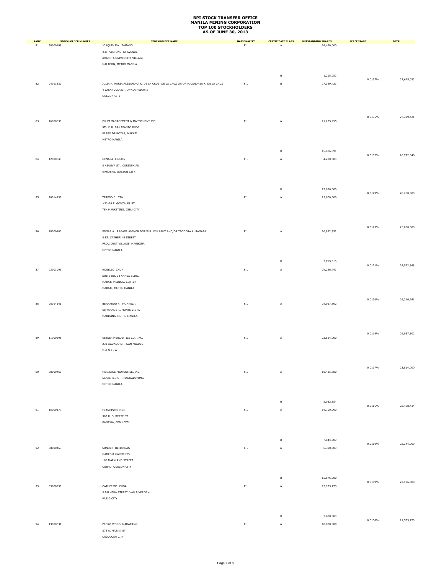| <b>RANK</b> | <b>STOCKHOLDER NUMBER</b> | <b>STOCKHOLDER NAME</b>                                                         | <b>NATIONALITY</b> | <b>CERTIFICATE CLASS</b> | <b>OUTSTANDING SHARES</b> | PERCENTAGE | <b>TOTAL</b> |
|-------------|---------------------------|---------------------------------------------------------------------------------|--------------------|--------------------------|---------------------------|------------|--------------|
| 81          | 20000198                  | JOAQUIN MA. TAMANO                                                              | FL                 | A                        | 26,460,000                |            |              |
|             |                           | #31 VICTONETTA AVENUE<br>ARANETA UNIVERSITY VILLAGE                             |                    |                          |                           |            |              |
|             |                           | MALABON, METRO MANILA                                                           |                    |                          |                           |            |              |
|             |                           |                                                                                 |                    |                          |                           |            |              |
|             |                           |                                                                                 |                    | $\,$ B                   | 1,215,052                 | 0.0137%    | 27,675,052   |
| 82          | 04011832                  | JULIA K. MARIA ALESANDRA K. DE LA CRUZ DE LA CRUZ OR OR MA.ANDREA K. DE LA CRUZ | ${\sf FIL}$        | $\,$ B                   | 27,329,421                |            |              |
|             |                           | 4 LAKANDULA ST., AYALA HEIGHTS                                                  |                    |                          |                           |            |              |
|             |                           | QUEZON CITY                                                                     |                    |                          |                           |            |              |
|             |                           |                                                                                 |                    |                          |                           |            |              |
|             |                           |                                                                                 |                    |                          |                           | 0.0135%    | 27,329,421   |
| 83          | 16000638                  | PLLIM MANAGEMENT & INVESTMENT INC.                                              | $\mathsf{FL}$      | A                        | 11,235,955                |            |              |
|             |                           | 9TH FLR. BA-LEPANTO BLDG.                                                       |                    |                          |                           |            |              |
|             |                           | PASEO DE ROXAS, MAKATI<br>METRO MANILA                                          |                    |                          |                           |            |              |
|             |                           |                                                                                 |                    |                          |                           |            |              |
|             |                           |                                                                                 |                    | $\,$ B                   | 15,486,891                |            |              |
| 84          | 12000543                  | GENARA LIMSON                                                                   | $\mathsf{FL}$      | $\overline{A}$           | 4,200,000                 | 0.0132%    | 26,722,846   |
|             |                           | 8 ABUEVA ST., CORINTHIAN                                                        |                    |                          |                           |            |              |
|             |                           | GARDENS, QUEZON CITY                                                            |                    |                          |                           |            |              |
|             |                           |                                                                                 |                    |                          |                           |            |              |
|             |                           |                                                                                 |                    | $\,$ B                   | 22,050,000                |            |              |
| 85          | 20014739                  | TERESO C. TAN                                                                   | $\mathsf{FL}$      | A                        | 25,000,000                | 0.0129%    | 26,250,000   |
|             |                           | #72-74 F. GONZALES ST.,                                                         |                    |                          |                           |            |              |
|             |                           | TSK MARKETING, CEBU CITY                                                        |                    |                          |                           |            |              |
|             |                           |                                                                                 |                    |                          |                           |            |              |
|             |                           |                                                                                 |                    |                          |                           | 0.0123%    | 25,000,000   |
| 86          | 18000400                  | EDGAR A. RAGASA AND/OR DORIS R. VILLARUZ AND/OR TEODORA A. RAGASA               | ${\sf FIL}$        | A                        | 20,872,552                |            |              |
|             |                           | 8 ST. CATHERINE STREET                                                          |                    |                          |                           |            |              |
|             |                           | PROVIDENT VILLAGE, MARIKINA                                                     |                    |                          |                           |            |              |
|             |                           | METRO MANILA                                                                    |                    |                          |                           |            |              |
|             |                           |                                                                                 |                    | $\,$ B                   | 3,719,816                 |            |              |
| 87          | 03001093                  | ROGELIO CHUA                                                                    | $\mathsf{FIL}$     | A                        | 24, 246, 741              | 0.0121%    | 24,592,368   |
|             |                           | SUITE NO. 03 ANNEX BLDG.                                                        |                    |                          |                           |            |              |
|             |                           | MAKATI MEDICAL CENTER                                                           |                    |                          |                           |            |              |
|             |                           | MAKATI, METRO MANILA                                                            |                    |                          |                           |            |              |
|             |                           |                                                                                 |                    |                          |                           | 0.0120%    | 24, 246, 741 |
| 88          | 06014141                  | BERNARDO A. FRIANEZA                                                            | $\mathsf{FIL}$     | A                        | 24,067,802                |            |              |
|             |                           | 68 YAKAL ST., MONTE VISTA                                                       |                    |                          |                           |            |              |
|             |                           | MARIKINA, METRO MANILA                                                          |                    |                          |                           |            |              |
|             |                           |                                                                                 |                    |                          |                           |            |              |
| 89          | 11000398                  | KEYSER MERCANTILE CO., INC.                                                     | ${\sf FIL}$        | Α                        | 23,814,000                | 0.0119%    | 24,067,802   |
|             |                           | 231 AGUADO ST., SAN MIGUEL                                                      |                    |                          |                           |            |              |
|             |                           | $M$ A N I L A                                                                   |                    |                          |                           |            |              |
|             |                           |                                                                                 |                    |                          |                           |            |              |
|             |                           |                                                                                 |                    |                          |                           | 0.0117%    | 23,814,000   |
| 90          | 08000469                  | HERITAGE PROPERTIES, INC.                                                       | ${\sf FIL}$        | A                        | 18,425,880                |            |              |
|             |                           | 66 UNITED ST., MANDALUYONG                                                      |                    |                          |                           |            |              |
|             |                           | METRO MANILA                                                                    |                    |                          |                           |            |              |
|             |                           |                                                                                 |                    |                          |                           |            |              |
|             |                           |                                                                                 |                    | $\,$ B                   | 5,032,554                 |            |              |
| 91          | 15000177                  | FRANCISCO ONG                                                                   | ${\sf FIL}$        | A                        | 14,700,000                | 0.0116%    | 23,458,434   |
|             |                           | 303 R. DUTERTE ST.                                                              |                    |                          |                           |            |              |
|             |                           | BANAWA, CEBU CITY                                                               |                    |                          |                           |            |              |
|             |                           |                                                                                 |                    |                          |                           |            |              |
|             |                           |                                                                                 |                    | $\,$ B                   | 7,644,000                 |            |              |
| 92          | 08000463                  | SUNDER HEMANDAS                                                                 | ${\sf FIL}$        | A                        | 6,300,000                 | 0.0110%    | 22,344,000   |
|             |                           | <b>GAMES &amp; GARMENTS</b>                                                     |                    |                          |                           |            |              |
|             |                           | 105 MARYLAND STREET                                                             |                    |                          |                           |            |              |
|             |                           | CUBAO, QUEZON CITY                                                              |                    |                          |                           |            |              |
|             |                           |                                                                                 |                    |                          |                           |            |              |
|             |                           |                                                                                 |                    | $\,$ B                   | 15,876,000                | 0.0109%    | 22,176,000   |
| 93          | 03000959                  | CATHERINE CHOA                                                                  | $\mathsf{FIL}$     | A                        | 13,933,773                |            |              |
|             |                           | 3 PALMERA STREET, VALLE VERDE 4,<br>PASIG CITY                                  |                    |                          |                           |            |              |
|             |                           |                                                                                 |                    |                          |                           |            |              |
|             |                           |                                                                                 |                    |                          |                           |            |              |
|             |                           |                                                                                 |                    | $\,$ B                   | 7,600,000                 | 0.0106%    | 21,533,773   |
| 94          | 13000331                  | PEDRO WONG MADARANG                                                             | $\mathsf{FIL}$     | A                        | 10,000,000                |            |              |
|             |                           | 275 A. MABINI ST                                                                |                    |                          |                           |            |              |
|             |                           | CALOOCAN CITY                                                                   |                    |                          |                           |            |              |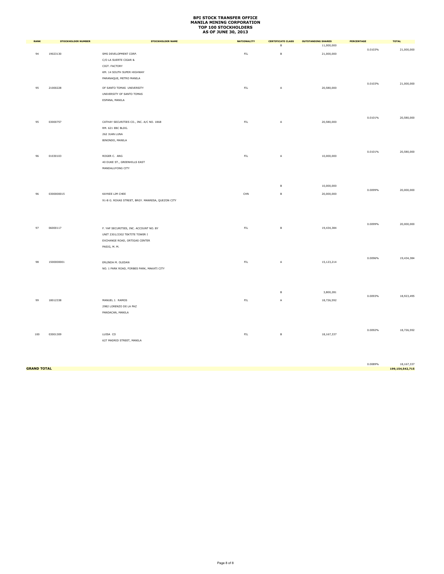| <b>RANK</b> | <b>STOCKHOLDER NUMBER</b> | <b>STOCKHOLDER NAME</b>                          | <b>NATIONALITY</b> | <b>CERTIFICATE CLASS</b> | <b>OUTSTANDING SHARES</b> | PERCENTAGE | <b>TOTAL</b> |
|-------------|---------------------------|--------------------------------------------------|--------------------|--------------------------|---------------------------|------------|--------------|
|             |                           |                                                  |                    | $\,$ B                   | 11,000,000                |            |              |
| 94          | 19023130                  | SMS DEVELOPMENT CORP.                            | ${\sf FIL}$        | $\,$ B                   | 21,000,000                | 0.0103%    | 21,000,000   |
|             |                           | C/O LA SUERTE CIGAR &                            |                    |                          |                           |            |              |
|             |                           | CIGT. FACTORY                                    |                    |                          |                           |            |              |
|             |                           | KM. 14 SOUTH SUPER HIGHWAY                       |                    |                          |                           |            |              |
|             |                           | PARANAQUE, METRO MANILA                          |                    |                          |                           |            |              |
|             |                           |                                                  |                    |                          |                           | 0.0103%    | 21,000,000   |
| 95          | 21000228                  | OF SANTO TOMAS UNIVERSITY                        | $\mathsf{FIL}$     | A                        | 20,580,000                |            |              |
|             |                           | UNIVERSITY OF SANTO TOMAS                        |                    |                          |                           |            |              |
|             |                           | ESPANA, MANILA                                   |                    |                          |                           |            |              |
|             |                           |                                                  |                    |                          |                           |            |              |
|             |                           |                                                  |                    |                          |                           |            |              |
|             |                           |                                                  |                    |                          |                           | 0.0101%    | 20,580,000   |
| 95          | 03000757                  | CATHAY SECURITIES CO., INC. A/C NO. 1868         | $\mathsf{FIL}$     | $\mathsf A$              | 20,580,000                |            |              |
|             |                           | RM. 621 EBC BLDG.                                |                    |                          |                           |            |              |
|             |                           | 262 JUAN LUNA                                    |                    |                          |                           |            |              |
|             |                           | BINONDO, MANILA                                  |                    |                          |                           |            |              |
|             |                           |                                                  |                    |                          |                           |            |              |
|             |                           |                                                  |                    |                          |                           | 0.0101%    | 20,580,000   |
| 96          | 01030103                  | ROGER C. ANG                                     | $\mathsf{FIL}$     | A                        | 10,000,000                |            |              |
|             |                           | 40 DUKE ST., GREENHILLS EAST                     |                    |                          |                           |            |              |
|             |                           | MANDALUYONG CITY                                 |                    |                          |                           |            |              |
|             |                           |                                                  |                    |                          |                           |            |              |
|             |                           |                                                  |                    |                          |                           |            |              |
|             |                           |                                                  |                    | $\,$ B                   | 10,000,000                | 0.0099%    | 20,000,000   |
| 96          | 0300000015                | KAYKEE LIM CHEE                                  | CHN                | $\,$ B                   | 20,000,000                |            |              |
|             |                           | 91-B G. ROXAS STREET, BRGY. MANRESA, QUEZON CITY |                    |                          |                           |            |              |
|             |                           |                                                  |                    |                          |                           |            |              |
|             |                           |                                                  |                    |                          |                           |            |              |
|             |                           |                                                  |                    |                          |                           |            |              |
|             |                           |                                                  |                    |                          |                           | 0.0099%    | 20,000,000   |
| 97          | 06000117                  | F. YAP SECURITIES, INC. ACCOUNT NO. BY           | $\mathsf{FIL}$     | в                        | 19,434,384                |            |              |
|             |                           | UNIT 2301/2302 TEKTITE TOWER I                   |                    |                          |                           |            |              |
|             |                           | EXCHANGE ROAD, ORTIGAS CENTER                    |                    |                          |                           |            |              |
|             |                           | PASIG, M. M.                                     |                    |                          |                           |            |              |
|             |                           |                                                  |                    |                          |                           |            |              |
| 98          | 1500000001                | ERLINDA M. OLEDAN                                | FL                 | A                        | 15,123,214                | 0.0096%    | 19,434,384   |
|             |                           | NO. 1 PARK ROAD, FORBES PARK, MAKATI CITY        |                    |                          |                           |            |              |
|             |                           |                                                  |                    |                          |                           |            |              |
|             |                           |                                                  |                    |                          |                           |            |              |
|             |                           |                                                  |                    |                          |                           |            |              |
|             |                           |                                                  |                    | $\,$ B                   | 3,800,281                 |            |              |
|             |                           |                                                  |                    |                          |                           | 0.0093%    | 18,923,495   |
| 99          | 18012338                  | MANUEL J. RAMOS                                  | FIL                | A                        | 18,726,592                |            |              |
|             |                           | 2982 LORENZO DE LA PAZ                           |                    |                          |                           |            |              |
|             |                           | PANDACAN, MANILA                                 |                    |                          |                           |            |              |
|             |                           |                                                  |                    |                          |                           |            |              |
|             |                           |                                                  |                    |                          |                           |            |              |
| 100         | 03001309                  | LUISA CO                                         | FL                 | в                        | 18,167,337                | 0.0092%    | 18,726,592   |
|             |                           | 627 MADRID STREET, MANILA                        |                    |                          |                           |            |              |
|             |                           |                                                  |                    |                          |                           |            |              |

0.0089% 18,167,337<br>**199,154,542,715 GRAND TOTAL 199,154,542,715**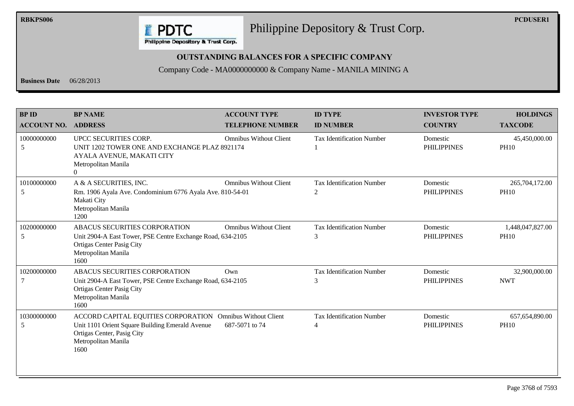

**RBKPS006 PCDUSER1** Philippine Depository & Trust Corp.

#### **OUTSTANDING BALANCES FOR A SPECIFIC COMPANY**

Company Code - MA0000000000 & Company Name - MANILA MINING A

**Business Date** 06/28/2013

| <b>BP ID</b><br><b>ACCOUNT NO.</b> | <b>BP NAME</b><br><b>ADDRESS</b>                                                                                                                                           | <b>ACCOUNT TYPE</b><br><b>TELEPHONE NUMBER</b> | <b>ID TYPE</b><br><b>ID NUMBER</b>    | <b>INVESTOR TYPE</b><br><b>COUNTRY</b> | <b>HOLDINGS</b><br><b>TAXCODE</b> |
|------------------------------------|----------------------------------------------------------------------------------------------------------------------------------------------------------------------------|------------------------------------------------|---------------------------------------|----------------------------------------|-----------------------------------|
| 10000000000<br>5                   | UPCC SECURITIES CORP.<br>UNIT 1202 TOWER ONE AND EXCHANGE PLAZ 8921174<br>AYALA AVENUE, MAKATI CITY<br>Metropolitan Manila<br>0                                            | <b>Omnibus Without Client</b>                  | <b>Tax Identification Number</b>      | Domestic<br><b>PHILIPPINES</b>         | 45,450,000.00<br><b>PH10</b>      |
| 10100000000<br>5                   | A & A SECURITIES, INC.<br>Rm. 1906 Ayala Ave. Condominium 6776 Ayala Ave. 810-54-01<br>Makati City<br>Metropolitan Manila<br>1200                                          | <b>Omnibus Without Client</b>                  | <b>Tax Identification Number</b><br>2 | Domestic<br><b>PHILIPPINES</b>         | 265,704,172.00<br><b>PH10</b>     |
| 10200000000<br>5                   | ABACUS SECURITIES CORPORATION<br>Unit 2904-A East Tower, PSE Centre Exchange Road, 634-2105<br>Ortigas Center Pasig City<br>Metropolitan Manila<br>1600                    | <b>Omnibus Without Client</b>                  | <b>Tax Identification Number</b><br>3 | Domestic<br><b>PHILIPPINES</b>         | 1,448,047,827.00<br><b>PH10</b>   |
| 10200000000                        | ABACUS SECURITIES CORPORATION<br>Unit 2904-A East Tower, PSE Centre Exchange Road, 634-2105<br><b>Ortigas Center Pasig City</b><br>Metropolitan Manila<br>1600             | Own                                            | <b>Tax Identification Number</b><br>3 | Domestic<br><b>PHILIPPINES</b>         | 32,900,000.00<br><b>NWT</b>       |
| 10300000000<br>5                   | ACCORD CAPITAL EQUITIES CORPORATION Omnibus Without Client<br>Unit 1101 Orient Square Building Emerald Avenue<br>Ortigas Center, Pasig City<br>Metropolitan Manila<br>1600 | 687-5071 to 74                                 | <b>Tax Identification Number</b><br>4 | Domestic<br><b>PHILIPPINES</b>         | 657, 654, 890.00<br><b>PH10</b>   |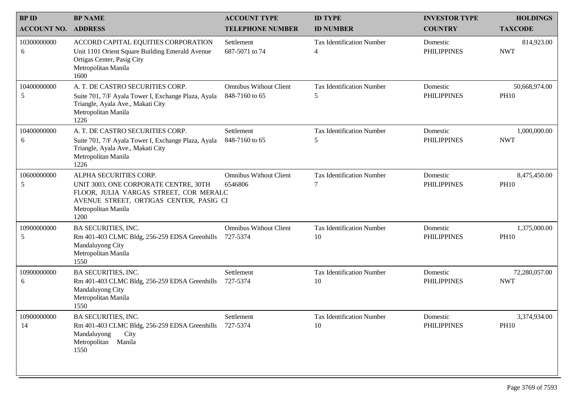| <b>BPID</b>        | <b>BP NAME</b>                                                                                                                                                                      | <b>ACCOUNT TYPE</b>                             | <b>ID TYPE</b>                         | <b>INVESTOR TYPE</b>           | <b>HOLDINGS</b>              |
|--------------------|-------------------------------------------------------------------------------------------------------------------------------------------------------------------------------------|-------------------------------------------------|----------------------------------------|--------------------------------|------------------------------|
| <b>ACCOUNT NO.</b> | <b>ADDRESS</b>                                                                                                                                                                      | <b>TELEPHONE NUMBER</b>                         | <b>ID NUMBER</b>                       | <b>COUNTRY</b>                 | <b>TAXCODE</b>               |
| 10300000000<br>6   | ACCORD CAPITAL EQUITIES CORPORATION<br>Unit 1101 Orient Square Building Emerald Avenue<br>Ortigas Center, Pasig City<br>Metropolitan Manila<br>1600                                 | Settlement<br>687-5071 to 74                    | <b>Tax Identification Number</b><br>4  | Domestic<br><b>PHILIPPINES</b> | 814,923.00<br><b>NWT</b>     |
| 10400000000<br>5   | A. T. DE CASTRO SECURITIES CORP.<br>Suite 701, 7/F Ayala Tower I, Exchange Plaza, Ayala<br>Triangle, Ayala Ave., Makati City<br>Metropolitan Manila<br>1226                         | <b>Omnibus Without Client</b><br>848-7160 to 65 | <b>Tax Identification Number</b><br>5  | Domestic<br><b>PHILIPPINES</b> | 50,668,974.00<br><b>PH10</b> |
| 10400000000<br>6   | A. T. DE CASTRO SECURITIES CORP.<br>Suite 701, 7/F Ayala Tower I, Exchange Plaza, Ayala<br>Triangle, Ayala Ave., Makati City<br>Metropolitan Manila<br>1226                         | Settlement<br>848-7160 to 65                    | <b>Tax Identification Number</b><br>5  | Domestic<br><b>PHILIPPINES</b> | 1,000,000.00<br><b>NWT</b>   |
| 10600000000<br>5   | ALPHA SECURITIES CORP.<br>UNIT 3003, ONE CORPORATE CENTRE, 30TH<br>FLOOR, JULIA VARGAS STREET, COR MERALC<br>AVENUE STREET, ORTIGAS CENTER, PASIG CI<br>Metropolitan Manila<br>1200 | <b>Omnibus Without Client</b><br>6546806        | <b>Tax Identification Number</b><br>7  | Domestic<br><b>PHILIPPINES</b> | 8,475,450.00<br><b>PH10</b>  |
| 10900000000<br>5   | <b>BA SECURITIES, INC.</b><br>Rm 401-403 CLMC Bldg, 256-259 EDSA Greenhills<br>Mandaluyong City<br>Metropolitan Manila<br>1550                                                      | <b>Omnibus Without Client</b><br>727-5374       | <b>Tax Identification Number</b><br>10 | Domestic<br><b>PHILIPPINES</b> | 1,375,000.00<br><b>PH10</b>  |
| 10900000000<br>6   | <b>BA SECURITIES, INC.</b><br>Rm 401-403 CLMC Bldg, 256-259 EDSA Greenhills<br>Mandaluyong City<br>Metropolitan Manila<br>1550                                                      | Settlement<br>727-5374                          | <b>Tax Identification Number</b><br>10 | Domestic<br><b>PHILIPPINES</b> | 72,280,057.00<br><b>NWT</b>  |
| 10900000000<br>14  | BA SECURITIES, INC.<br>Rm 401-403 CLMC Bldg, 256-259 EDSA Greenhills 727-5374<br>Mandaluyong<br>City<br>Metropolitan Manila<br>1550                                                 | Settlement                                      | Tax Identification Number<br>10        | Domestic<br><b>PHILIPPINES</b> | 3,374,934.00<br><b>PH10</b>  |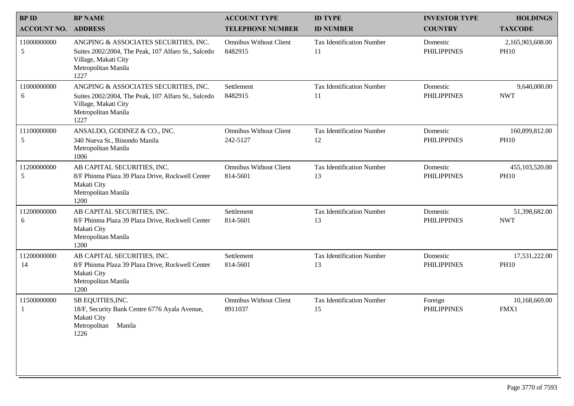| <b>BPID</b>        | <b>BP NAME</b>                                                                                                                                      | <b>ACCOUNT TYPE</b>                       | <b>ID TYPE</b>                         | <b>INVESTOR TYPE</b>           | <b>HOLDINGS</b>                 |
|--------------------|-----------------------------------------------------------------------------------------------------------------------------------------------------|-------------------------------------------|----------------------------------------|--------------------------------|---------------------------------|
| <b>ACCOUNT NO.</b> | <b>ADDRESS</b>                                                                                                                                      | <b>TELEPHONE NUMBER</b>                   | <b>ID NUMBER</b>                       | <b>COUNTRY</b>                 | <b>TAXCODE</b>                  |
| 11000000000<br>5   | ANGPING & ASSOCIATES SECURITIES, INC.<br>Suites 2002/2004, The Peak, 107 Alfaro St., Salcedo<br>Village, Makati City<br>Metropolitan Manila<br>1227 | <b>Omnibus Without Client</b><br>8482915  | <b>Tax Identification Number</b><br>11 | Domestic<br><b>PHILIPPINES</b> | 2,165,903,608.00<br><b>PH10</b> |
| 11000000000<br>6   | ANGPING & ASSOCIATES SECURITIES, INC.<br>Suites 2002/2004, The Peak, 107 Alfaro St., Salcedo<br>Village, Makati City<br>Metropolitan Manila<br>1227 | Settlement<br>8482915                     | <b>Tax Identification Number</b><br>11 | Domestic<br><b>PHILIPPINES</b> | 9,640,000.00<br><b>NWT</b>      |
| 11100000000<br>5   | ANSALDO, GODINEZ & CO., INC.<br>340 Nueva St., Binondo Manila<br>Metropolitan Manila<br>1006                                                        | <b>Omnibus Without Client</b><br>242-5127 | <b>Tax Identification Number</b><br>12 | Domestic<br><b>PHILIPPINES</b> | 160,899,812.00<br><b>PH10</b>   |
| 11200000000<br>5   | AB CAPITAL SECURITIES, INC.<br>8/F Phinma Plaza 39 Plaza Drive, Rockwell Center<br>Makati City<br>Metropolitan Manila<br>1200                       | <b>Omnibus Without Client</b><br>814-5601 | <b>Tax Identification Number</b><br>13 | Domestic<br><b>PHILIPPINES</b> | 455,103,520.00<br><b>PH10</b>   |
| 11200000000<br>6   | AB CAPITAL SECURITIES, INC.<br>8/F Phinma Plaza 39 Plaza Drive, Rockwell Center<br>Makati City<br>Metropolitan Manila<br>1200                       | Settlement<br>814-5601                    | <b>Tax Identification Number</b><br>13 | Domestic<br><b>PHILIPPINES</b> | 51,398,682.00<br><b>NWT</b>     |
| 11200000000<br>14  | AB CAPITAL SECURITIES, INC.<br>8/F Phinma Plaza 39 Plaza Drive, Rockwell Center<br>Makati City<br>Metropolitan Manila<br>1200                       | Settlement<br>814-5601                    | <b>Tax Identification Number</b><br>13 | Domestic<br><b>PHILIPPINES</b> | 17,531,222.00<br><b>PH10</b>    |
| 11500000000        | SB EQUITIES, INC.<br>18/F, Security Bank Centre 6776 Ayala Avenue,<br>Makati City<br>Metropolitan Manila<br>1226                                    | <b>Omnibus Without Client</b><br>8911037  | <b>Tax Identification Number</b><br>15 | Foreign<br><b>PHILIPPINES</b>  | 10,168,669.00<br>FMX1           |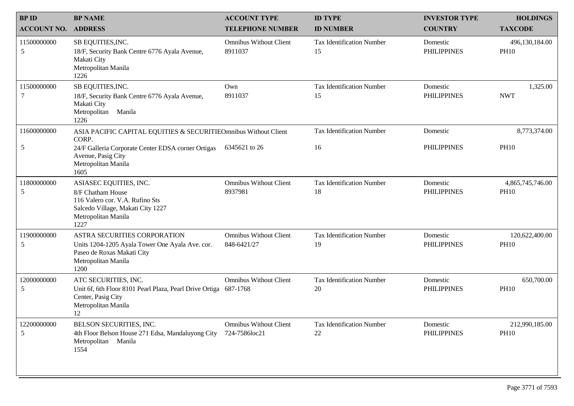| <b>BPID</b>        | <b>BP NAME</b>                                                                                                                                     | <b>ACCOUNT TYPE</b>                            | <b>ID TYPE</b>                         | <b>INVESTOR TYPE</b>           | <b>HOLDINGS</b>                 |
|--------------------|----------------------------------------------------------------------------------------------------------------------------------------------------|------------------------------------------------|----------------------------------------|--------------------------------|---------------------------------|
| <b>ACCOUNT NO.</b> | <b>ADDRESS</b>                                                                                                                                     | <b>TELEPHONE NUMBER</b>                        | <b>ID NUMBER</b>                       | <b>COUNTRY</b>                 | <b>TAXCODE</b>                  |
| 11500000000<br>5   | SB EQUITIES, INC.<br>18/F, Security Bank Centre 6776 Ayala Avenue,<br>Makati City<br>Metropolitan Manila<br>1226                                   | <b>Omnibus Without Client</b><br>8911037       | <b>Tax Identification Number</b><br>15 | Domestic<br><b>PHILIPPINES</b> | 496,130,184.00<br><b>PH10</b>   |
| 11500000000<br>7   | SB EQUITIES, INC.<br>18/F, Security Bank Centre 6776 Ayala Avenue,<br>Makati City<br>Metropolitan Manila<br>1226                                   | Own<br>8911037                                 | <b>Tax Identification Number</b><br>15 | Domestic<br><b>PHILIPPINES</b> | 1,325.00<br><b>NWT</b>          |
| 11600000000        | ASIA PACIFIC CAPITAL EQUITIES & SECURITIEOmnibus Without Client<br>CORP.                                                                           |                                                | <b>Tax Identification Number</b>       | Domestic                       | 8,773,374.00                    |
| 5                  | 24/F Galleria Corporate Center EDSA corner Ortigas<br>Avenue, Pasig City<br>Metropolitan Manila<br>1605                                            | 6345621 to 26                                  | 16                                     | <b>PHILIPPINES</b>             | <b>PH10</b>                     |
| 11800000000<br>5   | ASIASEC EQUITIES, INC.<br>8/F Chatham House<br>116 Valero cor. V.A. Rufino Sts<br>Salcedo Village, Makati City 1227<br>Metropolitan Manila<br>1227 | <b>Omnibus Without Client</b><br>8937981       | <b>Tax Identification Number</b><br>18 | Domestic<br><b>PHILIPPINES</b> | 4,865,745,746.00<br><b>PH10</b> |
| 11900000000<br>5   | ASTRA SECURITIES CORPORATION<br>Units 1204-1205 Ayala Tower One Ayala Ave. cor.<br>Paseo de Roxas Makati City<br>Metropolitan Manila<br>1200       | <b>Omnibus Without Client</b><br>848-6421/27   | <b>Tax Identification Number</b><br>19 | Domestic<br><b>PHILIPPINES</b> | 120,622,400.00<br><b>PH10</b>   |
| 12000000000<br>5   | ATC SECURITIES, INC.<br>Unit 6f, 6th Floor 8101 Pearl Plaza, Pearl Drive Ortiga 687-1768<br>Center, Pasig City<br>Metropolitan Manila<br>12        | <b>Omnibus Without Client</b>                  | <b>Tax Identification Number</b><br>20 | Domestic<br><b>PHILIPPINES</b> | 650,700.00<br><b>PH10</b>       |
| 12200000000<br>5   | BELSON SECURITIES, INC.<br>4th Floor Belson House 271 Edsa, Mandaluyong City<br>Metropolitan Manila<br>1554                                        | <b>Omnibus Without Client</b><br>724-7586loc21 | Tax Identification Number<br>22        | Domestic<br><b>PHILIPPINES</b> | 212,990,185.00<br><b>PH10</b>   |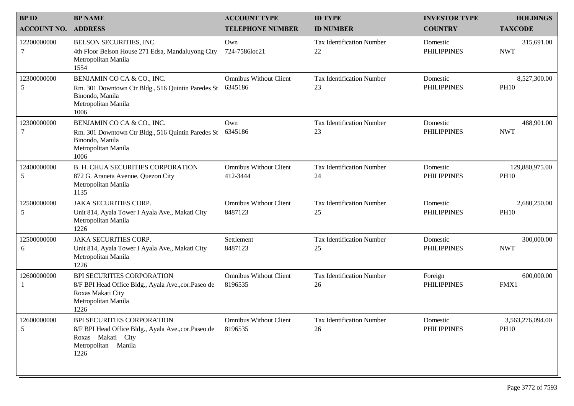| <b>BPID</b>        | <b>BP NAME</b>                                                                                                                                | <b>ACCOUNT TYPE</b>                       | <b>ID TYPE</b>                         | <b>INVESTOR TYPE</b>           | <b>HOLDINGS</b>                 |
|--------------------|-----------------------------------------------------------------------------------------------------------------------------------------------|-------------------------------------------|----------------------------------------|--------------------------------|---------------------------------|
| <b>ACCOUNT NO.</b> | <b>ADDRESS</b>                                                                                                                                | <b>TELEPHONE NUMBER</b>                   | <b>ID NUMBER</b>                       | <b>COUNTRY</b>                 | <b>TAXCODE</b>                  |
| 12200000000<br>7   | BELSON SECURITIES, INC.<br>4th Floor Belson House 271 Edsa, Mandaluyong City<br>Metropolitan Manila<br>1554                                   | Own<br>724-7586loc21                      | <b>Tax Identification Number</b><br>22 | Domestic<br><b>PHILIPPINES</b> | 315,691.00<br><b>NWT</b>        |
| 12300000000<br>5   | BENJAMIN CO CA & CO., INC.<br>Rm. 301 Downtown Ctr Bldg., 516 Quintin Paredes St<br>Binondo, Manila<br>Metropolitan Manila<br>1006            | <b>Omnibus Without Client</b><br>6345186  | <b>Tax Identification Number</b><br>23 | Domestic<br><b>PHILIPPINES</b> | 8,527,300.00<br><b>PH10</b>     |
| 12300000000<br>7   | BENJAMIN CO CA & CO., INC.<br>Rm. 301 Downtown Ctr Bldg., 516 Quintin Paredes St<br>Binondo, Manila<br>Metropolitan Manila<br>1006            | Own<br>6345186                            | <b>Tax Identification Number</b><br>23 | Domestic<br><b>PHILIPPINES</b> | 488,901.00<br><b>NWT</b>        |
| 12400000000<br>5   | <b>B. H. CHUA SECURITIES CORPORATION</b><br>872 G. Araneta Avenue, Quezon City<br>Metropolitan Manila<br>1135                                 | <b>Omnibus Without Client</b><br>412-3444 | <b>Tax Identification Number</b><br>24 | Domestic<br><b>PHILIPPINES</b> | 129,880,975.00<br><b>PH10</b>   |
| 12500000000<br>5   | <b>JAKA SECURITIES CORP.</b><br>Unit 814, Ayala Tower I Ayala Ave., Makati City<br>Metropolitan Manila<br>1226                                | <b>Omnibus Without Client</b><br>8487123  | <b>Tax Identification Number</b><br>25 | Domestic<br><b>PHILIPPINES</b> | 2,680,250.00<br><b>PH10</b>     |
| 12500000000<br>6   | <b>JAKA SECURITIES CORP.</b><br>Unit 814, Ayala Tower I Ayala Ave., Makati City<br>Metropolitan Manila<br>1226                                | Settlement<br>8487123                     | <b>Tax Identification Number</b><br>25 | Domestic<br><b>PHILIPPINES</b> | 300,000.00<br><b>NWT</b>        |
| 12600000000        | <b>BPI SECURITIES CORPORATION</b><br>8/F BPI Head Office Bldg., Ayala Ave., cor. Paseo de<br>Roxas Makati City<br>Metropolitan Manila<br>1226 | <b>Omnibus Without Client</b><br>8196535  | <b>Tax Identification Number</b><br>26 | Foreign<br><b>PHILIPPINES</b>  | 600,000.00<br>FMX1              |
| 12600000000<br>5   | BPI SECURITIES CORPORATION<br>8/F BPI Head Office Bldg., Ayala Ave., cor. Paseo de<br>Roxas Makati City<br>Metropolitan Manila<br>1226        | <b>Omnibus Without Client</b><br>8196535  | Tax Identification Number<br>26        | Domestic<br><b>PHILIPPINES</b> | 3,563,276,094.00<br><b>PH10</b> |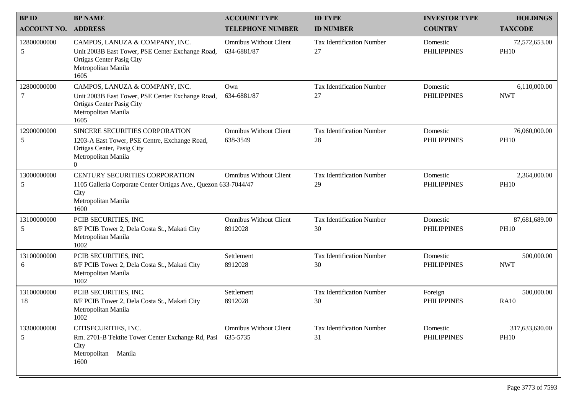| <b>BPID</b>        | <b>BP NAME</b>                                                                                                                                   | <b>ACCOUNT TYPE</b>                          | <b>ID TYPE</b>                         | <b>INVESTOR TYPE</b>           | <b>HOLDINGS</b>               |
|--------------------|--------------------------------------------------------------------------------------------------------------------------------------------------|----------------------------------------------|----------------------------------------|--------------------------------|-------------------------------|
| <b>ACCOUNT NO.</b> | <b>ADDRESS</b>                                                                                                                                   | <b>TELEPHONE NUMBER</b>                      | <b>ID NUMBER</b>                       | <b>COUNTRY</b>                 | <b>TAXCODE</b>                |
| 12800000000<br>5   | CAMPOS, LANUZA & COMPANY, INC.<br>Unit 2003B East Tower, PSE Center Exchange Road,<br>Ortigas Center Pasig City<br>Metropolitan Manila<br>1605   | <b>Omnibus Without Client</b><br>634-6881/87 | <b>Tax Identification Number</b><br>27 | Domestic<br><b>PHILIPPINES</b> | 72,572,653.00<br><b>PH10</b>  |
| 12800000000        | CAMPOS, LANUZA & COMPANY, INC.<br>Unit 2003B East Tower, PSE Center Exchange Road,<br>Ortigas Center Pasig City<br>Metropolitan Manila<br>1605   | Own<br>634-6881/87                           | <b>Tax Identification Number</b><br>27 | Domestic<br><b>PHILIPPINES</b> | 6,110,000.00<br><b>NWT</b>    |
| 12900000000<br>5   | SINCERE SECURITIES CORPORATION<br>1203-A East Tower, PSE Centre, Exchange Road,<br>Ortigas Center, Pasig City<br>Metropolitan Manila<br>$\theta$ | <b>Omnibus Without Client</b><br>638-3549    | <b>Tax Identification Number</b><br>28 | Domestic<br><b>PHILIPPINES</b> | 76,060,000.00<br><b>PH10</b>  |
| 13000000000<br>5   | <b>CENTURY SECURITIES CORPORATION</b><br>1105 Galleria Corporate Center Ortigas Ave., Quezon 633-7044/47<br>City<br>Metropolitan Manila<br>1600  | <b>Omnibus Without Client</b>                | <b>Tax Identification Number</b><br>29 | Domestic<br><b>PHILIPPINES</b> | 2,364,000.00<br><b>PH10</b>   |
| 13100000000<br>5   | PCIB SECURITIES, INC.<br>8/F PCIB Tower 2, Dela Costa St., Makati City<br>Metropolitan Manila<br>1002                                            | <b>Omnibus Without Client</b><br>8912028     | <b>Tax Identification Number</b><br>30 | Domestic<br><b>PHILIPPINES</b> | 87,681,689.00<br><b>PH10</b>  |
| 13100000000<br>6   | PCIB SECURITIES, INC.<br>8/F PCIB Tower 2, Dela Costa St., Makati City<br>Metropolitan Manila<br>1002                                            | Settlement<br>8912028                        | <b>Tax Identification Number</b><br>30 | Domestic<br><b>PHILIPPINES</b> | 500,000.00<br><b>NWT</b>      |
| 13100000000<br>18  | PCIB SECURITIES, INC.<br>8/F PCIB Tower 2, Dela Costa St., Makati City<br>Metropolitan Manila<br>1002                                            | Settlement<br>8912028                        | <b>Tax Identification Number</b><br>30 | Foreign<br><b>PHILIPPINES</b>  | 500,000.00<br><b>RA10</b>     |
| 13300000000<br>5   | CITISECURITIES, INC.<br>Rm. 2701-B Tektite Tower Center Exchange Rd, Pasi<br>City<br>Metropolitan<br>Manila<br>1600                              | <b>Omnibus Without Client</b><br>635-5735    | <b>Tax Identification Number</b><br>31 | Domestic<br><b>PHILIPPINES</b> | 317,633,630.00<br><b>PH10</b> |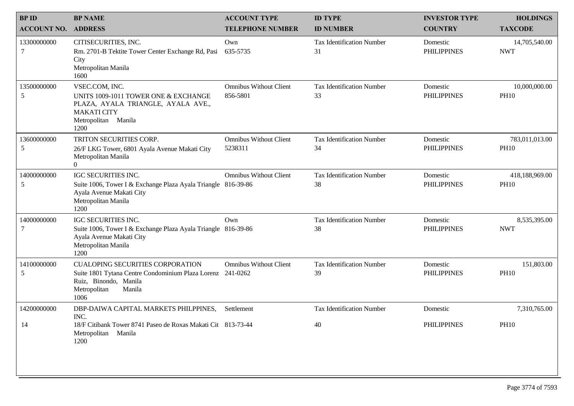| <b>BPID</b>        | <b>BP NAME</b>                                                                                                                                                   | <b>ACCOUNT TYPE</b>                       | <b>ID TYPE</b>                         | <b>INVESTOR TYPE</b>           | <b>HOLDINGS</b>               |
|--------------------|------------------------------------------------------------------------------------------------------------------------------------------------------------------|-------------------------------------------|----------------------------------------|--------------------------------|-------------------------------|
| <b>ACCOUNT NO.</b> | <b>ADDRESS</b>                                                                                                                                                   | <b>TELEPHONE NUMBER</b>                   | <b>ID NUMBER</b>                       | <b>COUNTRY</b>                 | <b>TAXCODE</b>                |
| 13300000000<br>7   | CITISECURITIES, INC.<br>Rm. 2701-B Tektite Tower Center Exchange Rd, Pasi<br>City<br>Metropolitan Manila<br>1600                                                 | Own<br>635-5735                           | <b>Tax Identification Number</b><br>31 | Domestic<br><b>PHILIPPINES</b> | 14,705,540.00<br><b>NWT</b>   |
| 13500000000<br>5   | VSEC.COM, INC.<br>UNITS 1009-1011 TOWER ONE & EXCHANGE<br>PLAZA, AYALA TRIANGLE, AYALA AVE.,<br><b>MAKATI CITY</b><br>Metropolitan Manila<br>1200                | <b>Omnibus Without Client</b><br>856-5801 | <b>Tax Identification Number</b><br>33 | Domestic<br><b>PHILIPPINES</b> | 10,000,000.00<br><b>PH10</b>  |
| 13600000000<br>5   | TRITON SECURITIES CORP.<br>26/F LKG Tower, 6801 Ayala Avenue Makati City<br>Metropolitan Manila<br>$\theta$                                                      | <b>Omnibus Without Client</b><br>5238311  | <b>Tax Identification Number</b><br>34 | Domestic<br><b>PHILIPPINES</b> | 783,011,013.00<br><b>PH10</b> |
| 14000000000<br>5   | IGC SECURITIES INC.<br>Suite 1006, Tower I & Exchange Plaza Ayala Triangle 816-39-86<br>Ayala Avenue Makati City<br>Metropolitan Manila<br>1200                  | <b>Omnibus Without Client</b>             | <b>Tax Identification Number</b><br>38 | Domestic<br><b>PHILIPPINES</b> | 418,188,969.00<br><b>PH10</b> |
| 14000000000<br>7   | IGC SECURITIES INC.<br>Suite 1006, Tower I & Exchange Plaza Ayala Triangle 816-39-86<br>Ayala Avenue Makati City<br>Metropolitan Manila<br>1200                  | Own                                       | <b>Tax Identification Number</b><br>38 | Domestic<br><b>PHILIPPINES</b> | 8,535,395.00<br><b>NWT</b>    |
| 14100000000<br>5   | <b>CUALOPING SECURITIES CORPORATION</b><br>Suite 1801 Tytana Centre Condominium Plaza Lorenz 241-0262<br>Ruiz, Binondo, Manila<br>Metropolitan<br>Manila<br>1006 | <b>Omnibus Without Client</b>             | <b>Tax Identification Number</b><br>39 | Domestic<br><b>PHILIPPINES</b> | 151,803.00<br><b>PH10</b>     |
| 14200000000        | DBP-DAIWA CAPITAL MARKETS PHILPPINES,<br>INC.                                                                                                                    | Settlement                                | <b>Tax Identification Number</b>       | Domestic                       | 7,310,765.00                  |
| 14                 | 18/F Citibank Tower 8741 Paseo de Roxas Makati Cit 813-73-44<br>Metropolitan Manila<br>1200                                                                      |                                           | 40                                     | <b>PHILIPPINES</b>             | <b>PH10</b>                   |
|                    |                                                                                                                                                                  |                                           |                                        |                                |                               |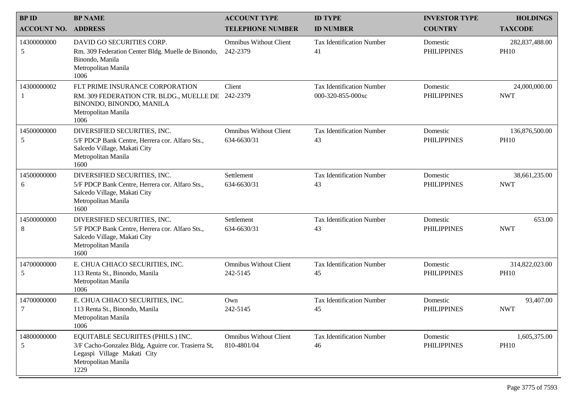| <b>BPID</b>        | <b>BP NAME</b>                                                                                                                                          | <b>ACCOUNT TYPE</b>                          | <b>ID TYPE</b>                                        | <b>INVESTOR TYPE</b>           | <b>HOLDINGS</b>               |
|--------------------|---------------------------------------------------------------------------------------------------------------------------------------------------------|----------------------------------------------|-------------------------------------------------------|--------------------------------|-------------------------------|
| <b>ACCOUNT NO.</b> | <b>ADDRESS</b>                                                                                                                                          | <b>TELEPHONE NUMBER</b>                      | <b>ID NUMBER</b>                                      | <b>COUNTRY</b>                 | <b>TAXCODE</b>                |
| 14300000000<br>5   | DAVID GO SECURITIES CORP.<br>Rm. 309 Federation Center Bldg. Muelle de Binondo,<br>Binondo, Manila<br>Metropolitan Manila<br>1006                       | <b>Omnibus Without Client</b><br>242-2379    | <b>Tax Identification Number</b><br>41                | Domestic<br><b>PHILIPPINES</b> | 282,837,488.00<br><b>PH10</b> |
| 14300000002<br>1   | FLT PRIME INSURANCE CORPORATION<br>RM. 309 FEDERATION CTR. BLDG., MUELLE DE<br>BINONDO, BINONDO, MANILA<br>Metropolitan Manila<br>1006                  | Client<br>242-2379                           | <b>Tax Identification Number</b><br>000-320-855-000xc | Domestic<br><b>PHILIPPINES</b> | 24,000,000.00<br><b>NWT</b>   |
| 14500000000<br>5   | DIVERSIFIED SECURITIES, INC.<br>5/F PDCP Bank Centre, Herrera cor. Alfaro Sts.,<br>Salcedo Village, Makati City<br>Metropolitan Manila<br>1600          | <b>Omnibus Without Client</b><br>634-6630/31 | <b>Tax Identification Number</b><br>43                | Domestic<br><b>PHILIPPINES</b> | 136,876,500.00<br><b>PH10</b> |
| 14500000000<br>6   | DIVERSIFIED SECURITIES, INC.<br>5/F PDCP Bank Centre, Herrera cor. Alfaro Sts.,<br>Salcedo Village, Makati City<br>Metropolitan Manila<br>1600          | Settlement<br>634-6630/31                    | <b>Tax Identification Number</b><br>43                | Domestic<br><b>PHILIPPINES</b> | 38,661,235.00<br><b>NWT</b>   |
| 14500000000<br>8   | DIVERSIFIED SECURITIES, INC.<br>5/F PDCP Bank Centre, Herrera cor. Alfaro Sts.,<br>Salcedo Village, Makati City<br>Metropolitan Manila<br>1600          | Settlement<br>634-6630/31                    | <b>Tax Identification Number</b><br>43                | Domestic<br><b>PHILIPPINES</b> | 653.00<br><b>NWT</b>          |
| 14700000000<br>5   | E. CHUA CHIACO SECURITIES, INC.<br>113 Renta St., Binondo, Manila<br>Metropolitan Manila<br>1006                                                        | <b>Omnibus Without Client</b><br>242-5145    | <b>Tax Identification Number</b><br>45                | Domestic<br><b>PHILIPPINES</b> | 314,822,023.00<br><b>PH10</b> |
| 14700000000<br>7   | E. CHUA CHIACO SECURITIES, INC.<br>113 Renta St., Binondo, Manila<br>Metropolitan Manila<br>1006                                                        | Own<br>242-5145                              | <b>Tax Identification Number</b><br>45                | Domestic<br><b>PHILIPPINES</b> | 93,407.00<br><b>NWT</b>       |
| 14800000000<br>5   | EQUITABLE SECURIITES (PHILS.) INC.<br>3/F Cacho-Gonzalez Bldg, Aguirre cor. Trasierra St,<br>Legaspi Village Makati City<br>Metropolitan Manila<br>1229 | <b>Omnibus Without Client</b><br>810-4801/04 | <b>Tax Identification Number</b><br>46                | Domestic<br><b>PHILIPPINES</b> | 1,605,375.00<br><b>PH10</b>   |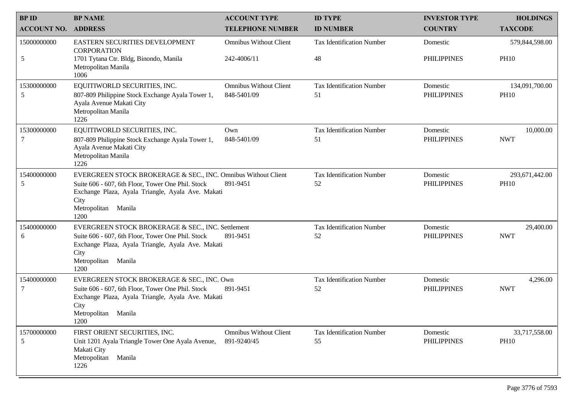| <b>BPID</b>        | <b>BP NAME</b>                                                                                                                                                                                                    | <b>ACCOUNT TYPE</b>                          | <b>ID TYPE</b>                         | <b>INVESTOR TYPE</b>           | <b>HOLDINGS</b>               |
|--------------------|-------------------------------------------------------------------------------------------------------------------------------------------------------------------------------------------------------------------|----------------------------------------------|----------------------------------------|--------------------------------|-------------------------------|
| <b>ACCOUNT NO.</b> | <b>ADDRESS</b>                                                                                                                                                                                                    | <b>TELEPHONE NUMBER</b>                      | <b>ID NUMBER</b>                       | <b>COUNTRY</b>                 | <b>TAXCODE</b>                |
| 15000000000        | EASTERN SECURITIES DEVELOPMENT<br><b>CORPORATION</b>                                                                                                                                                              | <b>Omnibus Without Client</b>                | <b>Tax Identification Number</b>       | Domestic                       | 579,844,598.00                |
| 5                  | 1701 Tytana Ctr. Bldg, Binondo, Manila<br>Metropolitan Manila<br>1006                                                                                                                                             | 242-4006/11                                  | 48                                     | <b>PHILIPPINES</b>             | <b>PH10</b>                   |
| 15300000000<br>5   | EQUITIWORLD SECURITIES, INC.<br>807-809 Philippine Stock Exchange Ayala Tower 1,<br>Ayala Avenue Makati City<br>Metropolitan Manila<br>1226                                                                       | <b>Omnibus Without Client</b><br>848-5401/09 | <b>Tax Identification Number</b><br>51 | Domestic<br><b>PHILIPPINES</b> | 134,091,700.00<br><b>PH10</b> |
| 15300000000<br>7   | EQUITIWORLD SECURITIES, INC.<br>807-809 Philippine Stock Exchange Ayala Tower 1,<br>Ayala Avenue Makati City<br>Metropolitan Manila<br>1226                                                                       | Own<br>848-5401/09                           | <b>Tax Identification Number</b><br>51 | Domestic<br><b>PHILIPPINES</b> | 10,000.00<br><b>NWT</b>       |
| 15400000000<br>5   | EVERGREEN STOCK BROKERAGE & SEC., INC. Omnibus Without Client<br>Suite 606 - 607, 6th Floor, Tower One Phil. Stock<br>Exchange Plaza, Ayala Triangle, Ayala Ave. Makati<br>City<br>Manila<br>Metropolitan<br>1200 | 891-9451                                     | <b>Tax Identification Number</b><br>52 | Domestic<br><b>PHILIPPINES</b> | 293,671,442.00<br><b>PH10</b> |
| 15400000000<br>6   | EVERGREEN STOCK BROKERAGE & SEC., INC. Settlement<br>Suite 606 - 607, 6th Floor, Tower One Phil. Stock<br>Exchange Plaza, Ayala Triangle, Ayala Ave. Makati<br>City<br>Manila<br>Metropolitan<br>1200             | 891-9451                                     | <b>Tax Identification Number</b><br>52 | Domestic<br><b>PHILIPPINES</b> | 29,400.00<br><b>NWT</b>       |
| 15400000000<br>7   | EVERGREEN STOCK BROKERAGE & SEC., INC. Own<br>Suite 606 - 607, 6th Floor, Tower One Phil. Stock<br>Exchange Plaza, Ayala Triangle, Ayala Ave. Makati<br>City<br>Metropolitan Manila<br>1200                       | 891-9451                                     | <b>Tax Identification Number</b><br>52 | Domestic<br><b>PHILIPPINES</b> | 4,296.00<br><b>NWT</b>        |
| 15700000000<br>5   | FIRST ORIENT SECURITIES, INC.<br>Unit 1201 Ayala Triangle Tower One Ayala Avenue,<br>Makati City<br>Metropolitan<br>Manila<br>1226                                                                                | <b>Omnibus Without Client</b><br>891-9240/45 | Tax Identification Number<br>55        | Domestic<br><b>PHILIPPINES</b> | 33,717,558.00<br><b>PH10</b>  |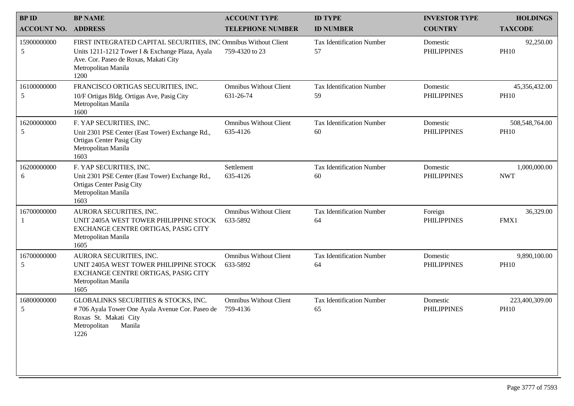| <b>BP NAME</b>                                                                                                                                     | <b>ACCOUNT TYPE</b>                        | <b>ID TYPE</b>                                                  | <b>INVESTOR TYPE</b>           | <b>HOLDINGS</b>               |
|----------------------------------------------------------------------------------------------------------------------------------------------------|--------------------------------------------|-----------------------------------------------------------------|--------------------------------|-------------------------------|
| <b>ADDRESS</b>                                                                                                                                     | <b>TELEPHONE NUMBER</b>                    | <b>ID NUMBER</b>                                                | <b>COUNTRY</b>                 | <b>TAXCODE</b>                |
| Units 1211-1212 Tower I & Exchange Plaza, Ayala<br>Ave. Cor. Paseo de Roxas, Makati City<br>Metropolitan Manila<br>1200                            | 759-4320 to 23                             | <b>Tax Identification Number</b><br>57                          | Domestic<br><b>PHILIPPINES</b> | 92,250.00<br><b>PH10</b>      |
| FRANCISCO ORTIGAS SECURITIES, INC.<br>10/F Ortigas Bldg. Ortigas Ave, Pasig City<br>Metropolitan Manila<br>1600                                    | <b>Omnibus Without Client</b><br>631-26-74 | <b>Tax Identification Number</b><br>59                          | Domestic<br><b>PHILIPPINES</b> | 45,356,432.00<br><b>PH10</b>  |
| F. YAP SECURITIES, INC.<br>Unit 2301 PSE Center (East Tower) Exchange Rd.,<br><b>Ortigas Center Pasig City</b><br>Metropolitan Manila<br>1603      | <b>Omnibus Without Client</b><br>635-4126  | <b>Tax Identification Number</b><br>60                          | Domestic<br><b>PHILIPPINES</b> | 508,548,764.00<br><b>PH10</b> |
| F. YAP SECURITIES, INC.<br>Unit 2301 PSE Center (East Tower) Exchange Rd.,<br><b>Ortigas Center Pasig City</b><br>Metropolitan Manila<br>1603      | Settlement<br>635-4126                     | <b>Tax Identification Number</b><br>60                          | Domestic<br><b>PHILIPPINES</b> | 1,000,000.00<br><b>NWT</b>    |
| AURORA SECURITIES, INC.<br>UNIT 2405A WEST TOWER PHILIPPINE STOCK<br>EXCHANGE CENTRE ORTIGAS, PASIG CITY<br>Metropolitan Manila<br>1605            | <b>Omnibus Without Client</b><br>633-5892  | <b>Tax Identification Number</b><br>64                          | Foreign<br><b>PHILIPPINES</b>  | 36,329.00<br>FMX1             |
| AURORA SECURITIES, INC.<br>UNIT 2405A WEST TOWER PHILIPPINE STOCK<br>EXCHANGE CENTRE ORTIGAS, PASIG CITY<br>Metropolitan Manila<br>1605            | <b>Omnibus Without Client</b><br>633-5892  | <b>Tax Identification Number</b><br>64                          | Domestic<br><b>PHILIPPINES</b> | 9,890,100.00<br><b>PH10</b>   |
| GLOBALINKS SECURITIES & STOCKS, INC.<br>#706 Ayala Tower One Ayala Avenue Cor. Paseo de<br>Roxas St. Makati City<br>Metropolitan<br>Manila<br>1226 | <b>Omnibus Without Client</b><br>759-4136  | <b>Tax Identification Number</b><br>65                          | Domestic<br><b>PHILIPPINES</b> | 223,400,309.00<br><b>PH10</b> |
|                                                                                                                                                    |                                            | FIRST INTEGRATED CAPITAL SECURITIES, INC Omnibus Without Client |                                |                               |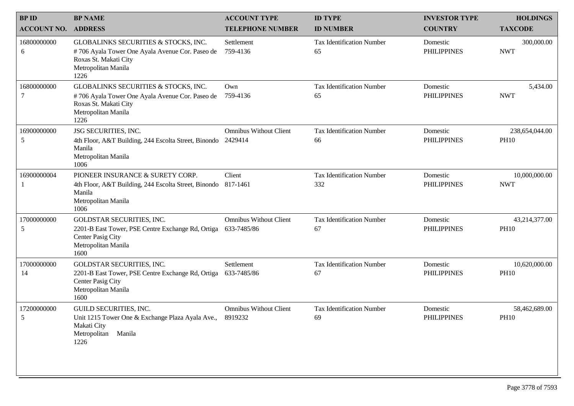| <b>BPID</b>           | <b>BP NAME</b>                                                                                                                                  | <b>ACCOUNT TYPE</b>                          | <b>ID TYPE</b>                          | <b>INVESTOR TYPE</b>           | <b>HOLDINGS</b>               |
|-----------------------|-------------------------------------------------------------------------------------------------------------------------------------------------|----------------------------------------------|-----------------------------------------|--------------------------------|-------------------------------|
| <b>ACCOUNT NO.</b>    | <b>ADDRESS</b>                                                                                                                                  | <b>TELEPHONE NUMBER</b>                      | <b>ID NUMBER</b>                        | <b>COUNTRY</b>                 | <b>TAXCODE</b>                |
| 16800000000<br>6      | GLOBALINKS SECURITIES & STOCKS, INC.<br>#706 Ayala Tower One Ayala Avenue Cor. Paseo de<br>Roxas St. Makati City<br>Metropolitan Manila<br>1226 | Settlement<br>759-4136                       | <b>Tax Identification Number</b><br>65  | Domestic<br><b>PHILIPPINES</b> | 300,000.00<br><b>NWT</b>      |
| 16800000000<br>7      | GLOBALINKS SECURITIES & STOCKS, INC.<br>#706 Ayala Tower One Ayala Avenue Cor. Paseo de<br>Roxas St. Makati City<br>Metropolitan Manila<br>1226 | Own<br>759-4136                              | <b>Tax Identification Number</b><br>65  | Domestic<br><b>PHILIPPINES</b> | 5,434.00<br><b>NWT</b>        |
| 16900000000<br>5      | JSG SECURITIES, INC.<br>4th Floor, A&T Building, 244 Escolta Street, Binondo<br>Manila<br>Metropolitan Manila<br>1006                           | <b>Omnibus Without Client</b><br>2429414     | <b>Tax Identification Number</b><br>66  | Domestic<br><b>PHILIPPINES</b> | 238,654,044.00<br><b>PH10</b> |
| 16900000004           | PIONEER INSURANCE & SURETY CORP.<br>4th Floor, A&T Building, 244 Escolta Street, Binondo 817-1461<br>Manila<br>Metropolitan Manila<br>1006      | Client                                       | <b>Tax Identification Number</b><br>332 | Domestic<br><b>PHILIPPINES</b> | 10,000,000.00<br><b>NWT</b>   |
| 17000000000<br>5      | GOLDSTAR SECURITIES, INC.<br>2201-B East Tower, PSE Centre Exchange Rd, Ortiga<br>Center Pasig City<br>Metropolitan Manila<br>1600              | <b>Omnibus Without Client</b><br>633-7485/86 | <b>Tax Identification Number</b><br>67  | Domestic<br><b>PHILIPPINES</b> | 43,214,377.00<br><b>PH10</b>  |
| 17000000000<br>14     | GOLDSTAR SECURITIES, INC.<br>2201-B East Tower, PSE Centre Exchange Rd, Ortiga<br>Center Pasig City<br>Metropolitan Manila<br>1600              | Settlement<br>633-7485/86                    | <b>Tax Identification Number</b><br>67  | Domestic<br><b>PHILIPPINES</b> | 10,620,000.00<br><b>PH10</b>  |
| 17200000000<br>$\leq$ | GUILD SECURITIES, INC.<br>Unit 1215 Tower One & Exchange Plaza Ayala Ave., 8919232<br>Makati City<br>Metropolitan<br>Manila<br>1226             | <b>Omnibus Without Client</b>                | <b>Tax Identification Number</b><br>69  | Domestic<br><b>PHILIPPINES</b> | 58,462,689.00<br><b>PH10</b>  |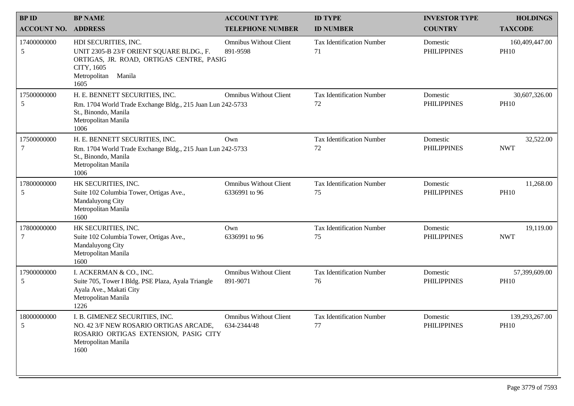| <b>BPID</b>        | <b>BP NAME</b>                                                                                                                                               | <b>ACCOUNT TYPE</b>                            | <b>ID TYPE</b>                         | <b>INVESTOR TYPE</b>           | <b>HOLDINGS</b>               |
|--------------------|--------------------------------------------------------------------------------------------------------------------------------------------------------------|------------------------------------------------|----------------------------------------|--------------------------------|-------------------------------|
| <b>ACCOUNT NO.</b> | <b>ADDRESS</b>                                                                                                                                               | <b>TELEPHONE NUMBER</b>                        | <b>ID NUMBER</b>                       | <b>COUNTRY</b>                 | <b>TAXCODE</b>                |
| 17400000000<br>5   | HDI SECURITIES, INC.<br>UNIT 2305-B 23/F ORIENT SQUARE BLDG., F.<br>ORTIGAS, JR. ROAD, ORTIGAS CENTRE, PASIG<br>CITY, 1605<br>Metropolitan<br>Manila<br>1605 | <b>Omnibus Without Client</b><br>891-9598      | <b>Tax Identification Number</b><br>71 | Domestic<br><b>PHILIPPINES</b> | 160,409,447.00<br><b>PH10</b> |
| 17500000000<br>5   | H. E. BENNETT SECURITIES, INC.<br>Rm. 1704 World Trade Exchange Bldg., 215 Juan Lun 242-5733<br>St., Binondo, Manila<br>Metropolitan Manila<br>1006          | <b>Omnibus Without Client</b>                  | <b>Tax Identification Number</b><br>72 | Domestic<br><b>PHILIPPINES</b> | 30,607,326.00<br><b>PH10</b>  |
| 17500000000<br>7   | H. E. BENNETT SECURITIES, INC.<br>Rm. 1704 World Trade Exchange Bldg., 215 Juan Lun 242-5733<br>St., Binondo, Manila<br>Metropolitan Manila<br>1006          | Own                                            | <b>Tax Identification Number</b><br>72 | Domestic<br><b>PHILIPPINES</b> | 32,522.00<br><b>NWT</b>       |
| 17800000000<br>5   | HK SECURITIES, INC.<br>Suite 102 Columbia Tower, Ortigas Ave.,<br>Mandaluyong City<br>Metropolitan Manila<br>1600                                            | <b>Omnibus Without Client</b><br>6336991 to 96 | <b>Tax Identification Number</b><br>75 | Domestic<br><b>PHILIPPINES</b> | 11,268.00<br><b>PH10</b>      |
| 17800000000<br>7   | HK SECURITIES, INC.<br>Suite 102 Columbia Tower, Ortigas Ave.,<br>Mandaluyong City<br>Metropolitan Manila<br>1600                                            | Own<br>6336991 to 96                           | <b>Tax Identification Number</b><br>75 | Domestic<br><b>PHILIPPINES</b> | 19,119.00<br><b>NWT</b>       |
| 17900000000<br>5   | I. ACKERMAN & CO., INC.<br>Suite 705, Tower I Bldg. PSE Plaza, Ayala Triangle<br>Ayala Ave., Makati City<br>Metropolitan Manila<br>1226                      | <b>Omnibus Without Client</b><br>891-9071      | <b>Tax Identification Number</b><br>76 | Domestic<br><b>PHILIPPINES</b> | 57,399,609.00<br><b>PH10</b>  |
| 18000000000<br>5   | I. B. GIMENEZ SECURITIES, INC.<br>NO. 42 3/F NEW ROSARIO ORTIGAS ARCADE,<br>ROSARIO ORTIGAS EXTENSION, PASIG CITY<br>Metropolitan Manila<br>1600             | <b>Omnibus Without Client</b><br>634-2344/48   | Tax Identification Number<br>77        | Domestic<br><b>PHILIPPINES</b> | 139,293,267.00<br><b>PH10</b> |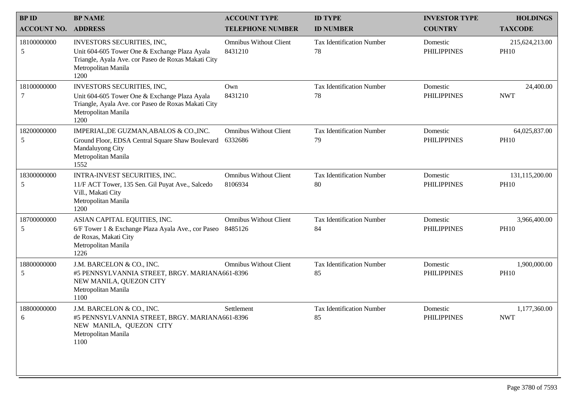| <b>BPID</b>                | <b>BP NAME</b>                                                                                                                                                           | <b>ACCOUNT TYPE</b>                      | <b>ID TYPE</b>                         | <b>INVESTOR TYPE</b>           | <b>HOLDINGS</b>               |
|----------------------------|--------------------------------------------------------------------------------------------------------------------------------------------------------------------------|------------------------------------------|----------------------------------------|--------------------------------|-------------------------------|
| <b>ACCOUNT NO. ADDRESS</b> |                                                                                                                                                                          | <b>TELEPHONE NUMBER</b>                  | <b>ID NUMBER</b>                       | <b>COUNTRY</b>                 | <b>TAXCODE</b>                |
| 18100000000<br>5           | <b>INVESTORS SECURITIES, INC.</b><br>Unit 604-605 Tower One & Exchange Plaza Ayala<br>Triangle, Ayala Ave. cor Paseo de Roxas Makati City<br>Metropolitan Manila<br>1200 | <b>Omnibus Without Client</b><br>8431210 | <b>Tax Identification Number</b><br>78 | Domestic<br><b>PHILIPPINES</b> | 215,624,213.00<br><b>PH10</b> |
| 18100000000<br>7           | INVESTORS SECURITIES, INC,<br>Unit 604-605 Tower One & Exchange Plaza Ayala<br>Triangle, Ayala Ave. cor Paseo de Roxas Makati City<br>Metropolitan Manila<br>1200        | Own<br>8431210                           | <b>Tax Identification Number</b><br>78 | Domestic<br><b>PHILIPPINES</b> | 24,400.00<br><b>NWT</b>       |
| 18200000000<br>5           | IMPERIAL, DE GUZMAN, ABALOS & CO., INC.<br>Ground Floor, EDSA Central Square Shaw Boulevard<br>Mandaluyong City<br>Metropolitan Manila<br>1552                           | <b>Omnibus Without Client</b><br>6332686 | <b>Tax Identification Number</b><br>79 | Domestic<br><b>PHILIPPINES</b> | 64,025,837.00<br><b>PH10</b>  |
| 18300000000<br>5           | INTRA-INVEST SECURITIES, INC.<br>11/F ACT Tower, 135 Sen. Gil Puyat Ave., Salcedo<br>Vill., Makati City<br>Metropolitan Manila<br>1200                                   | <b>Omnibus Without Client</b><br>8106934 | <b>Tax Identification Number</b><br>80 | Domestic<br><b>PHILIPPINES</b> | 131,115,200.00<br><b>PH10</b> |
| 18700000000<br>5           | ASIAN CAPITAL EQUITIES, INC.<br>6/F Tower 1 & Exchange Plaza Ayala Ave., cor Paseo<br>de Roxas, Makati City<br>Metropolitan Manila<br>1226                               | <b>Omnibus Without Client</b><br>8485126 | <b>Tax Identification Number</b><br>84 | Domestic<br><b>PHILIPPINES</b> | 3,966,400.00<br><b>PH10</b>   |
| 18800000000<br>5           | J.M. BARCELON & CO., INC.<br>#5 PENNSYLVANNIA STREET, BRGY. MARIANA661-8396<br>NEW MANILA, QUEZON CITY<br>Metropolitan Manila<br>1100                                    | <b>Omnibus Without Client</b>            | <b>Tax Identification Number</b><br>85 | Domestic<br><b>PHILIPPINES</b> | 1,900,000.00<br><b>PH10</b>   |
| 18800000000<br>6           | J.M. BARCELON & CO., INC.<br>#5 PENNSYLVANNIA STREET, BRGY. MARIANA661-8396<br>NEW MANILA, QUEZON CITY<br>Metropolitan Manila<br>1100                                    | Settlement                               | <b>Tax Identification Number</b><br>85 | Domestic<br><b>PHILIPPINES</b> | 1,177,360.00<br><b>NWT</b>    |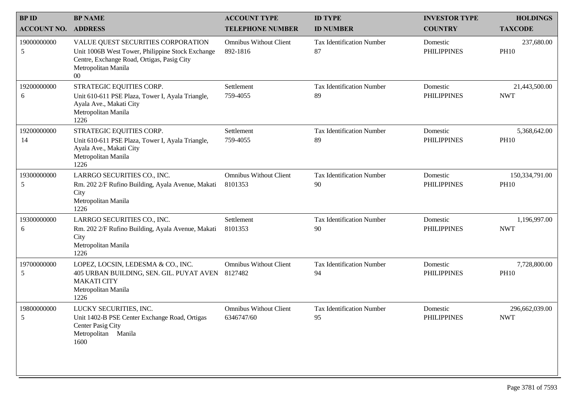| <b>BPID</b>        | <b>BP NAME</b>                                                                                                                                                        | <b>ACCOUNT TYPE</b>                         | <b>ID TYPE</b>                         | <b>INVESTOR TYPE</b>           | <b>HOLDINGS</b>               |
|--------------------|-----------------------------------------------------------------------------------------------------------------------------------------------------------------------|---------------------------------------------|----------------------------------------|--------------------------------|-------------------------------|
| <b>ACCOUNT NO.</b> | <b>ADDRESS</b>                                                                                                                                                        | <b>TELEPHONE NUMBER</b>                     | <b>ID NUMBER</b>                       | <b>COUNTRY</b>                 | <b>TAXCODE</b>                |
| 19000000000<br>5   | VALUE QUEST SECURITIES CORPORATION<br>Unit 1006B West Tower, Philippine Stock Exchange<br>Centre, Exchange Road, Ortigas, Pasig City<br>Metropolitan Manila<br>$00\,$ | <b>Omnibus Without Client</b><br>892-1816   | <b>Tax Identification Number</b><br>87 | Domestic<br><b>PHILIPPINES</b> | 237,680.00<br><b>PH10</b>     |
| 19200000000<br>6   | STRATEGIC EQUITIES CORP.<br>Unit 610-611 PSE Plaza, Tower I, Ayala Triangle,<br>Ayala Ave., Makati City<br>Metropolitan Manila<br>1226                                | Settlement<br>759-4055                      | <b>Tax Identification Number</b><br>89 | Domestic<br><b>PHILIPPINES</b> | 21,443,500.00<br><b>NWT</b>   |
| 19200000000<br>14  | STRATEGIC EQUITIES CORP.<br>Unit 610-611 PSE Plaza, Tower I, Ayala Triangle,<br>Ayala Ave., Makati City<br>Metropolitan Manila<br>1226                                | Settlement<br>759-4055                      | <b>Tax Identification Number</b><br>89 | Domestic<br><b>PHILIPPINES</b> | 5,368,642.00<br><b>PH10</b>   |
| 19300000000<br>5   | LARRGO SECURITIES CO., INC.<br>Rm. 202 2/F Rufino Building, Ayala Avenue, Makati<br>City<br>Metropolitan Manila<br>1226                                               | <b>Omnibus Without Client</b><br>8101353    | <b>Tax Identification Number</b><br>90 | Domestic<br><b>PHILIPPINES</b> | 150,334,791.00<br><b>PH10</b> |
| 19300000000<br>6   | LARRGO SECURITIES CO., INC.<br>Rm. 202 2/F Rufino Building, Ayala Avenue, Makati<br>City<br>Metropolitan Manila<br>1226                                               | Settlement<br>8101353                       | <b>Tax Identification Number</b><br>90 | Domestic<br><b>PHILIPPINES</b> | 1,196,997.00<br><b>NWT</b>    |
| 19700000000<br>5   | LOPEZ, LOCSIN, LEDESMA & CO., INC.<br>405 URBAN BUILDING, SEN. GIL. PUYAT AVEN 8127482<br><b>MAKATI CITY</b><br>Metropolitan Manila<br>1226                           | <b>Omnibus Without Client</b>               | <b>Tax Identification Number</b><br>94 | Domestic<br><b>PHILIPPINES</b> | 7,728,800.00<br><b>PH10</b>   |
| 19800000000<br>5   | LUCKY SECURITIES, INC.<br>Unit 1402-B PSE Center Exchange Road, Ortigas<br>Center Pasig City<br>Metropolitan Manila<br>1600                                           | <b>Omnibus Without Client</b><br>6346747/60 | <b>Tax Identification Number</b><br>95 | Domestic<br><b>PHILIPPINES</b> | 296,662,039.00<br><b>NWT</b>  |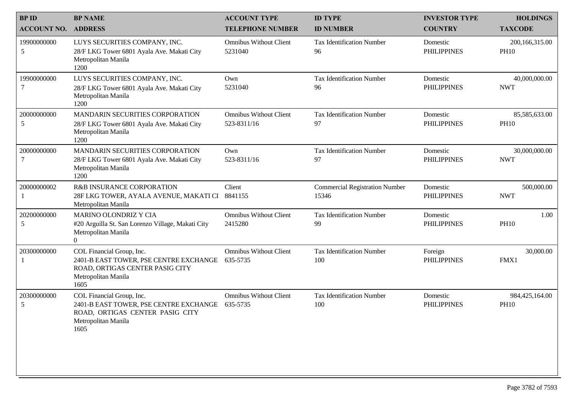| <b>BPID</b>                | <b>BP NAME</b>                                                                                                                        | <b>ACCOUNT TYPE</b>                          | <b>ID TYPE</b>                                 | <b>INVESTOR TYPE</b>           | <b>HOLDINGS</b>               |
|----------------------------|---------------------------------------------------------------------------------------------------------------------------------------|----------------------------------------------|------------------------------------------------|--------------------------------|-------------------------------|
| <b>ACCOUNT NO. ADDRESS</b> |                                                                                                                                       | <b>TELEPHONE NUMBER</b>                      | <b>ID NUMBER</b>                               | <b>COUNTRY</b>                 | <b>TAXCODE</b>                |
| 19900000000<br>5           | LUYS SECURITIES COMPANY, INC.<br>28/F LKG Tower 6801 Ayala Ave. Makati City<br>Metropolitan Manila<br>1200                            | <b>Omnibus Without Client</b><br>5231040     | <b>Tax Identification Number</b><br>96         | Domestic<br><b>PHILIPPINES</b> | 200,166,315.00<br><b>PH10</b> |
| 19900000000<br>7           | LUYS SECURITIES COMPANY, INC.<br>28/F LKG Tower 6801 Ayala Ave. Makati City<br>Metropolitan Manila<br>1200                            | Own<br>5231040                               | <b>Tax Identification Number</b><br>96         | Domestic<br><b>PHILIPPINES</b> | 40,000,000.00<br><b>NWT</b>   |
| 20000000000<br>5           | MANDARIN SECURITIES CORPORATION<br>28/F LKG Tower 6801 Ayala Ave. Makati City<br>Metropolitan Manila<br>1200                          | <b>Omnibus Without Client</b><br>523-8311/16 | <b>Tax Identification Number</b><br>97         | Domestic<br><b>PHILIPPINES</b> | 85,585,633.00<br><b>PH10</b>  |
| 20000000000<br>7           | MANDARIN SECURITIES CORPORATION<br>28/F LKG Tower 6801 Ayala Ave. Makati City<br>Metropolitan Manila<br>1200                          | Own<br>523-8311/16                           | <b>Tax Identification Number</b><br>97         | Domestic<br><b>PHILIPPINES</b> | 30,000,000.00<br><b>NWT</b>   |
| 20000000002                | R&B INSURANCE CORPORATION<br>28F LKG TOWER, AYALA AVENUE, MAKATI CI<br>Metropolitan Manila                                            | Client<br>8841155                            | <b>Commercial Registration Number</b><br>15346 | Domestic<br><b>PHILIPPINES</b> | 500,000.00<br><b>NWT</b>      |
| 20200000000<br>5           | MARINO OLONDRIZ Y CIA<br>#20 Arguilla St. San Lorenzo Village, Makati City<br>Metropolitan Manila<br>$\overline{0}$                   | <b>Omnibus Without Client</b><br>2415280     | <b>Tax Identification Number</b><br>99         | Domestic<br><b>PHILIPPINES</b> | 1.00<br><b>PH10</b>           |
| 20300000000                | COL Financial Group, Inc.<br>2401-B EAST TOWER, PSE CENTRE EXCHANGE<br>ROAD, ORTIGAS CENTER PASIG CITY<br>Metropolitan Manila<br>1605 | <b>Omnibus Without Client</b><br>635-5735    | <b>Tax Identification Number</b><br>100        | Foreign<br><b>PHILIPPINES</b>  | 30,000.00<br>FMX1             |
| 20300000000<br>5           | COL Financial Group, Inc.<br>2401-B EAST TOWER, PSE CENTRE EXCHANGE<br>ROAD, ORTIGAS CENTER PASIG CITY<br>Metropolitan Manila<br>1605 | <b>Omnibus Without Client</b><br>635-5735    | <b>Tax Identification Number</b><br>100        | Domestic<br><b>PHILIPPINES</b> | 984,425,164.00<br><b>PH10</b> |
|                            |                                                                                                                                       |                                              |                                                |                                |                               |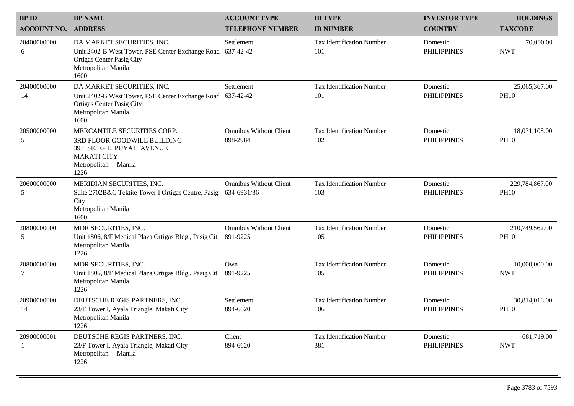| <b>BPID</b>        | <b>BP NAME</b>                                                                                                                              | <b>ACCOUNT TYPE</b>                          | <b>ID TYPE</b>                          | <b>INVESTOR TYPE</b>           | <b>HOLDINGS</b>               |
|--------------------|---------------------------------------------------------------------------------------------------------------------------------------------|----------------------------------------------|-----------------------------------------|--------------------------------|-------------------------------|
| <b>ACCOUNT NO.</b> | <b>ADDRESS</b>                                                                                                                              | <b>TELEPHONE NUMBER</b>                      | <b>ID NUMBER</b>                        | <b>COUNTRY</b>                 | <b>TAXCODE</b>                |
| 20400000000<br>6   | DA MARKET SECURITIES, INC.<br>Unit 2402-B West Tower, PSE Center Exchange Road<br>Ortigas Center Pasig City<br>Metropolitan Manila<br>1600  | Settlement<br>637-42-42                      | <b>Tax Identification Number</b><br>101 | Domestic<br><b>PHILIPPINES</b> | 70,000.00<br><b>NWT</b>       |
| 20400000000<br>14  | DA MARKET SECURITIES, INC.<br>Unit 2402-B West Tower, PSE Center Exchange Road<br>Ortigas Center Pasig City<br>Metropolitan Manila<br>1600  | Settlement<br>637-42-42                      | <b>Tax Identification Number</b><br>101 | Domestic<br><b>PHILIPPINES</b> | 25,065,367.00<br><b>PH10</b>  |
| 20500000000<br>5   | MERCANTILE SECURITIES CORP.<br>3RD FLOOR GOODWILL BUILDING<br>393 SE. GIL PUYAT AVENUE<br><b>MAKATI CITY</b><br>Metropolitan Manila<br>1226 | <b>Omnibus Without Client</b><br>898-2984    | <b>Tax Identification Number</b><br>102 | Domestic<br><b>PHILIPPINES</b> | 18,031,108.00<br><b>PH10</b>  |
| 20600000000<br>5   | MERIDIAN SECURITIES, INC.<br>Suite 2702B&C Tektite Tower I Ortigas Centre, Pasig<br>City<br>Metropolitan Manila<br>1600                     | <b>Omnibus Without Client</b><br>634-6931/36 | <b>Tax Identification Number</b><br>103 | Domestic<br><b>PHILIPPINES</b> | 229,784,867.00<br><b>PH10</b> |
| 20800000000<br>5   | MDR SECURITIES, INC.<br>Unit 1806, 8/F Medical Plaza Ortigas Bldg., Pasig Cit<br>Metropolitan Manila<br>1226                                | <b>Omnibus Without Client</b><br>891-9225    | <b>Tax Identification Number</b><br>105 | Domestic<br><b>PHILIPPINES</b> | 210,749,562.00<br><b>PH10</b> |
| 20800000000<br>7   | MDR SECURITIES, INC.<br>Unit 1806, 8/F Medical Plaza Ortigas Bldg., Pasig Cit<br>Metropolitan Manila<br>1226                                | Own<br>891-9225                              | <b>Tax Identification Number</b><br>105 | Domestic<br><b>PHILIPPINES</b> | 10,000,000.00<br><b>NWT</b>   |
| 20900000000<br>14  | DEUTSCHE REGIS PARTNERS, INC.<br>23/F Tower I, Ayala Triangle, Makati City<br>Metropolitan Manila<br>1226                                   | Settlement<br>894-6620                       | <b>Tax Identification Number</b><br>106 | Domestic<br><b>PHILIPPINES</b> | 30,814,018.00<br><b>PH10</b>  |
| 20900000001        | DEUTSCHE REGIS PARTNERS, INC.<br>23/F Tower I, Ayala Triangle, Makati City<br>Metropolitan Manila<br>1226                                   | Client<br>894-6620                           | <b>Tax Identification Number</b><br>381 | Domestic<br><b>PHILIPPINES</b> | 681,719.00<br><b>NWT</b>      |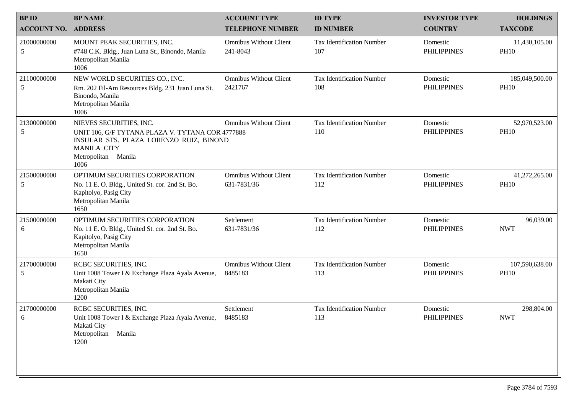| <b>BPID</b>                | <b>BP NAME</b>                                                                                                                                                              | <b>ACCOUNT TYPE</b>                          | <b>ID TYPE</b>                          | <b>INVESTOR TYPE</b>           | <b>HOLDINGS</b>               |
|----------------------------|-----------------------------------------------------------------------------------------------------------------------------------------------------------------------------|----------------------------------------------|-----------------------------------------|--------------------------------|-------------------------------|
| <b>ACCOUNT NO. ADDRESS</b> |                                                                                                                                                                             | <b>TELEPHONE NUMBER</b>                      | <b>ID NUMBER</b>                        | <b>COUNTRY</b>                 | <b>TAXCODE</b>                |
| 21000000000<br>5           | MOUNT PEAK SECURITIES, INC.<br>#748 C.K. Bldg., Juan Luna St., Binondo, Manila<br>Metropolitan Manila<br>1006                                                               | <b>Omnibus Without Client</b><br>241-8043    | <b>Tax Identification Number</b><br>107 | Domestic<br><b>PHILIPPINES</b> | 11,430,105.00<br><b>PH10</b>  |
| 21100000000<br>5           | NEW WORLD SECURITIES CO., INC.<br>Rm. 202 Fil-Am Resources Bldg. 231 Juan Luna St.<br>Binondo, Manila<br>Metropolitan Manila<br>1006                                        | <b>Omnibus Without Client</b><br>2421767     | <b>Tax Identification Number</b><br>108 | Domestic<br><b>PHILIPPINES</b> | 185,049,500.00<br><b>PH10</b> |
| 21300000000<br>5           | NIEVES SECURITIES, INC.<br>UNIT 106, G/F TYTANA PLAZA V. TYTANA COR 4777888<br>INSULAR STS. PLAZA LORENZO RUIZ, BINOND<br><b>MANILA CITY</b><br>Metropolitan Manila<br>1006 | <b>Omnibus Without Client</b>                | <b>Tax Identification Number</b><br>110 | Domestic<br><b>PHILIPPINES</b> | 52,970,523.00<br><b>PH10</b>  |
| 21500000000<br>5           | OPTIMUM SECURITIES CORPORATION<br>No. 11 E. O. Bldg., United St. cor. 2nd St. Bo.<br>Kapitolyo, Pasig City<br>Metropolitan Manila<br>1650                                   | <b>Omnibus Without Client</b><br>631-7831/36 | <b>Tax Identification Number</b><br>112 | Domestic<br><b>PHILIPPINES</b> | 41,272,265.00<br><b>PH10</b>  |
| 21500000000<br>6           | OPTIMUM SECURITIES CORPORATION<br>No. 11 E. O. Bldg., United St. cor. 2nd St. Bo.<br>Kapitolyo, Pasig City<br>Metropolitan Manila<br>1650                                   | Settlement<br>631-7831/36                    | <b>Tax Identification Number</b><br>112 | Domestic<br><b>PHILIPPINES</b> | 96,039.00<br><b>NWT</b>       |
| 21700000000<br>5           | RCBC SECURITIES, INC.<br>Unit 1008 Tower I & Exchange Plaza Ayala Avenue,<br>Makati City<br>Metropolitan Manila<br>1200                                                     | <b>Omnibus Without Client</b><br>8485183     | <b>Tax Identification Number</b><br>113 | Domestic<br><b>PHILIPPINES</b> | 107,590,638.00<br><b>PH10</b> |
| 21700000000<br>6           | RCBC SECURITIES, INC.<br>Unit 1008 Tower I & Exchange Plaza Ayala Avenue, 8485183<br>Makati City<br>Metropolitan Manila<br>1200                                             | Settlement                                   | <b>Tax Identification Number</b><br>113 | Domestic<br><b>PHILIPPINES</b> | 298,804.00<br><b>NWT</b>      |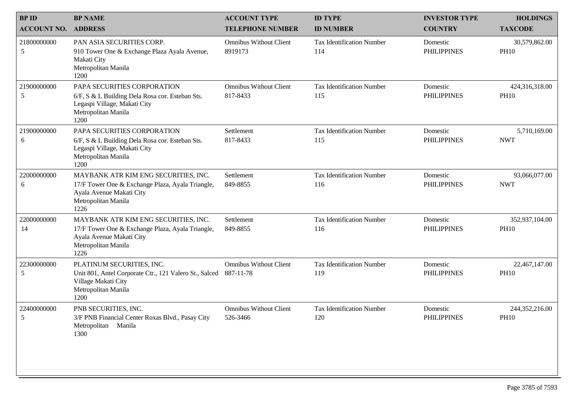| <b>BPID</b>        | <b>BP NAME</b>                                                                                                                                      | <b>ACCOUNT TYPE</b>                        | <b>ID TYPE</b>                          | <b>INVESTOR TYPE</b>           | <b>HOLDINGS</b>               |
|--------------------|-----------------------------------------------------------------------------------------------------------------------------------------------------|--------------------------------------------|-----------------------------------------|--------------------------------|-------------------------------|
| <b>ACCOUNT NO.</b> | <b>ADDRESS</b>                                                                                                                                      | <b>TELEPHONE NUMBER</b>                    | <b>ID NUMBER</b>                        | <b>COUNTRY</b>                 | <b>TAXCODE</b>                |
| 21800000000<br>5   | PAN ASIA SECURITIES CORP.<br>910 Tower One & Exchange Plaza Ayala Avenue,<br>Makati City<br>Metropolitan Manila<br>1200                             | <b>Omnibus Without Client</b><br>8919173   | <b>Tax Identification Number</b><br>114 | Domestic<br><b>PHILIPPINES</b> | 30,579,862.00<br><b>PH10</b>  |
| 21900000000<br>5   | PAPA SECURITIES CORPORATION<br>6/F, S & L Building Dela Rosa cor. Esteban Sts.<br>Legaspi Village, Makati City<br>Metropolitan Manila<br>1200       | <b>Omnibus Without Client</b><br>817-8433  | <b>Tax Identification Number</b><br>115 | Domestic<br><b>PHILIPPINES</b> | 424,316,318.00<br><b>PH10</b> |
| 21900000000<br>6   | PAPA SECURITIES CORPORATION<br>6/F, S & L Building Dela Rosa cor. Esteban Sts.<br>Legaspi Village, Makati City<br>Metropolitan Manila<br>1200       | Settlement<br>817-8433                     | <b>Tax Identification Number</b><br>115 | Domestic<br><b>PHILIPPINES</b> | 5,710,169.00<br><b>NWT</b>    |
| 22000000000<br>6   | MAYBANK ATR KIM ENG SECURITIES, INC.<br>17/F Tower One & Exchange Plaza, Ayala Triangle,<br>Ayala Avenue Makati City<br>Metropolitan Manila<br>1226 | Settlement<br>849-8855                     | <b>Tax Identification Number</b><br>116 | Domestic<br><b>PHILIPPINES</b> | 93,066,077.00<br><b>NWT</b>   |
| 22000000000<br>14  | MAYBANK ATR KIM ENG SECURITIES, INC.<br>17/F Tower One & Exchange Plaza, Ayala Triangle,<br>Ayala Avenue Makati City<br>Metropolitan Manila<br>1226 | Settlement<br>849-8855                     | <b>Tax Identification Number</b><br>116 | Domestic<br><b>PHILIPPINES</b> | 352,937,104.00<br><b>PH10</b> |
| 22300000000<br>5   | PLATINUM SECURITIES, INC.<br>Unit 801, Antel Corporate Ctr., 121 Valero St., Salced<br>Village Makati City<br>Metropolitan Manila<br>1200           | <b>Omnibus Without Client</b><br>887-11-78 | <b>Tax Identification Number</b><br>119 | Domestic<br><b>PHILIPPINES</b> | 22,467,147.00<br><b>PH10</b>  |
| 22400000000<br>5   | PNB SECURITIES, INC.<br>3/F PNB Financial Center Roxas Blvd., Pasay City<br>Metropolitan Manila<br>1300                                             | <b>Omnibus Without Client</b><br>526-3466  | <b>Tax Identification Number</b><br>120 | Domestic<br><b>PHILIPPINES</b> | 244,352,216.00<br><b>PH10</b> |
|                    |                                                                                                                                                     |                                            |                                         |                                |                               |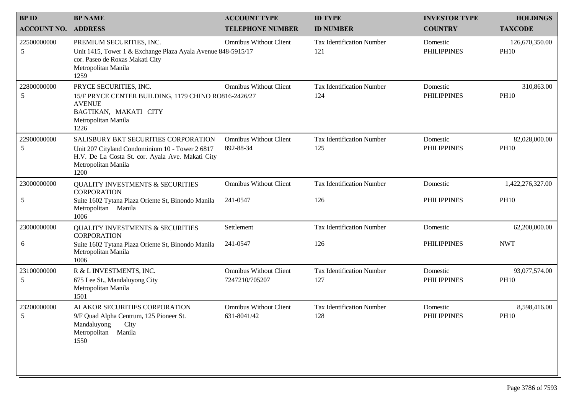| <b>BPID</b>                | <b>BP NAME</b>                                                                                                                                                             | <b>ACCOUNT TYPE</b>                             | <b>ID TYPE</b>                          | <b>INVESTOR TYPE</b>           | <b>HOLDINGS</b>               |
|----------------------------|----------------------------------------------------------------------------------------------------------------------------------------------------------------------------|-------------------------------------------------|-----------------------------------------|--------------------------------|-------------------------------|
| <b>ACCOUNT NO. ADDRESS</b> |                                                                                                                                                                            | <b>TELEPHONE NUMBER</b>                         | <b>ID NUMBER</b>                        | <b>COUNTRY</b>                 | <b>TAXCODE</b>                |
| 22500000000<br>5           | PREMIUM SECURITIES, INC.<br>Unit 1415, Tower 1 & Exchange Plaza Ayala Avenue 848-5915/17<br>cor. Paseo de Roxas Makati City<br>Metropolitan Manila<br>1259                 | <b>Omnibus Without Client</b>                   | <b>Tax Identification Number</b><br>121 | Domestic<br><b>PHILIPPINES</b> | 126,670,350.00<br><b>PH10</b> |
| 22800000000<br>5           | PRYCE SECURITIES, INC.<br>15/F PRYCE CENTER BUILDING, 1179 CHINO RO816-2426/27<br><b>AVENUE</b><br>BAGTIKAN, MAKATI CITY<br>Metropolitan Manila<br>1226                    | <b>Omnibus Without Client</b>                   | <b>Tax Identification Number</b><br>124 | Domestic<br><b>PHILIPPINES</b> | 310,863.00<br><b>PH10</b>     |
| 22900000000<br>5           | SALISBURY BKT SECURITIES CORPORATION<br>Unit 207 Cityland Condominium 10 - Tower 2 6817<br>H.V. De La Costa St. cor. Ayala Ave. Makati City<br>Metropolitan Manila<br>1200 | <b>Omnibus Without Client</b><br>892-88-34      | <b>Tax Identification Number</b><br>125 | Domestic<br><b>PHILIPPINES</b> | 82,028,000.00<br><b>PH10</b>  |
| 23000000000                | <b>QUALITY INVESTMENTS &amp; SECURITIES</b><br><b>CORPORATION</b>                                                                                                          | <b>Omnibus Without Client</b>                   | <b>Tax Identification Number</b>        | Domestic                       | 1,422,276,327.00              |
| 5                          | Suite 1602 Tytana Plaza Oriente St, Binondo Manila<br>Metropolitan Manila<br>1006                                                                                          | 241-0547                                        | 126                                     | <b>PHILIPPINES</b>             | <b>PH10</b>                   |
| 23000000000                | <b>QUALITY INVESTMENTS &amp; SECURITIES</b><br><b>CORPORATION</b>                                                                                                          | Settlement                                      | <b>Tax Identification Number</b>        | Domestic                       | 62,200,000.00                 |
| 6                          | Suite 1602 Tytana Plaza Oriente St, Binondo Manila<br>Metropolitan Manila<br>1006                                                                                          | 241-0547                                        | 126                                     | <b>PHILIPPINES</b>             | <b>NWT</b>                    |
| 23100000000<br>5           | R & L INVESTMENTS, INC.<br>675 Lee St., Mandaluyong City<br>Metropolitan Manila<br>1501                                                                                    | <b>Omnibus Without Client</b><br>7247210/705207 | <b>Tax Identification Number</b><br>127 | Domestic<br><b>PHILIPPINES</b> | 93,077,574.00<br><b>PH10</b>  |
| 23200000000<br>5           | ALAKOR SECURITIES CORPORATION<br>9/F Quad Alpha Centrum, 125 Pioneer St.<br>Mandaluyong<br>City<br>Manila<br>Metropolitan<br>1550                                          | <b>Omnibus Without Client</b><br>631-8041/42    | <b>Tax Identification Number</b><br>128 | Domestic<br><b>PHILIPPINES</b> | 8,598,416.00<br><b>PH10</b>   |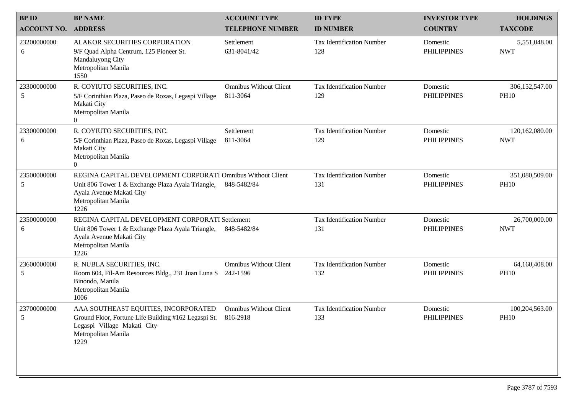| <b>BPID</b>           | <b>BP NAME</b>                                                                                                                                                              | <b>ACCOUNT TYPE</b>                       | <b>ID TYPE</b>                          | <b>INVESTOR TYPE</b>           | <b>HOLDINGS</b>               |
|-----------------------|-----------------------------------------------------------------------------------------------------------------------------------------------------------------------------|-------------------------------------------|-----------------------------------------|--------------------------------|-------------------------------|
| <b>ACCOUNT NO.</b>    | <b>ADDRESS</b>                                                                                                                                                              | <b>TELEPHONE NUMBER</b>                   | <b>ID NUMBER</b>                        | <b>COUNTRY</b>                 | <b>TAXCODE</b>                |
| 23200000000<br>6      | ALAKOR SECURITIES CORPORATION<br>9/F Quad Alpha Centrum, 125 Pioneer St.<br>Mandaluyong City<br>Metropolitan Manila<br>1550                                                 | Settlement<br>631-8041/42                 | <b>Tax Identification Number</b><br>128 | Domestic<br><b>PHILIPPINES</b> | 5,551,048.00<br><b>NWT</b>    |
| 23300000000<br>5      | R. COYIUTO SECURITIES, INC.<br>5/F Corinthian Plaza, Paseo de Roxas, Legaspi Village<br>Makati City<br>Metropolitan Manila<br>$\overline{0}$                                | <b>Omnibus Without Client</b><br>811-3064 | <b>Tax Identification Number</b><br>129 | Domestic<br><b>PHILIPPINES</b> | 306,152,547.00<br><b>PH10</b> |
| 23300000000<br>6      | R. COYIUTO SECURITIES, INC.<br>5/F Corinthian Plaza, Paseo de Roxas, Legaspi Village<br>Makati City<br>Metropolitan Manila<br>$\Omega$                                      | Settlement<br>811-3064                    | <b>Tax Identification Number</b><br>129 | Domestic<br><b>PHILIPPINES</b> | 120,162,080.00<br><b>NWT</b>  |
| 23500000000<br>5      | REGINA CAPITAL DEVELOPMENT CORPORATI Omnibus Without Client<br>Unit 806 Tower 1 & Exchange Plaza Ayala Triangle,<br>Ayala Avenue Makati City<br>Metropolitan Manila<br>1226 | 848-5482/84                               | <b>Tax Identification Number</b><br>131 | Domestic<br><b>PHILIPPINES</b> | 351,080,509.00<br><b>PH10</b> |
| 23500000000<br>6      | REGINA CAPITAL DEVELOPMENT CORPORATI Settlement<br>Unit 806 Tower 1 & Exchange Plaza Ayala Triangle,<br>Ayala Avenue Makati City<br>Metropolitan Manila<br>1226             | 848-5482/84                               | <b>Tax Identification Number</b><br>131 | Domestic<br><b>PHILIPPINES</b> | 26,700,000.00<br><b>NWT</b>   |
| 23600000000<br>5      | R. NUBLA SECURITIES, INC.<br>Room 604, Fil-Am Resources Bldg., 231 Juan Luna S<br>Binondo, Manila<br>Metropolitan Manila<br>1006                                            | <b>Omnibus Without Client</b><br>242-1596 | <b>Tax Identification Number</b><br>132 | Domestic<br><b>PHILIPPINES</b> | 64,160,408.00<br><b>PH10</b>  |
| 23700000000<br>$\leq$ | AAA SOUTHEAST EQUITIES, INCORPORATED<br>Ground Floor, Fortune Life Building #162 Legaspi St. 816-2918<br>Legaspi Village Makati City<br>Metropolitan Manila<br>1229         | <b>Omnibus Without Client</b>             | <b>Tax Identification Number</b><br>133 | Domestic<br><b>PHILIPPINES</b> | 100,204,563.00<br><b>PH10</b> |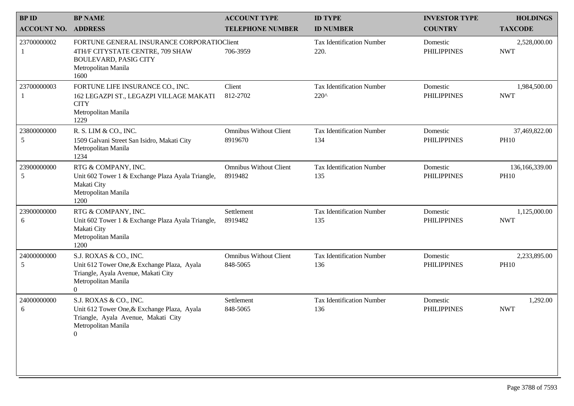| <b>BPID</b>        | <b>BP NAME</b>                                                                                                                                          | <b>ACCOUNT TYPE</b>                       | <b>ID TYPE</b>                                    | <b>INVESTOR TYPE</b>           | <b>HOLDINGS</b>               |
|--------------------|---------------------------------------------------------------------------------------------------------------------------------------------------------|-------------------------------------------|---------------------------------------------------|--------------------------------|-------------------------------|
| <b>ACCOUNT NO.</b> | <b>ADDRESS</b>                                                                                                                                          | <b>TELEPHONE NUMBER</b>                   | <b>ID NUMBER</b>                                  | <b>COUNTRY</b>                 | <b>TAXCODE</b>                |
| 23700000002        | FORTUNE GENERAL INSURANCE CORPORATIOClient<br>4TH/F CITYSTATE CENTRE, 709 SHAW<br><b>BOULEVARD, PASIG CITY</b><br>Metropolitan Manila<br>1600           | 706-3959                                  | <b>Tax Identification Number</b><br>220.          | Domestic<br><b>PHILIPPINES</b> | 2,528,000.00<br><b>NWT</b>    |
| 23700000003        | FORTUNE LIFE INSURANCE CO., INC.<br>162 LEGAZPI ST., LEGAZPI VILLAGE MAKATI<br><b>CITY</b><br>Metropolitan Manila<br>1229                               | Client<br>812-2702                        | <b>Tax Identification Number</b><br>$220^{\circ}$ | Domestic<br><b>PHILIPPINES</b> | 1,984,500.00<br><b>NWT</b>    |
| 23800000000<br>5   | R. S. LIM & CO., INC.<br>1509 Galvani Street San Isidro, Makati City<br>Metropolitan Manila<br>1234                                                     | <b>Omnibus Without Client</b><br>8919670  | <b>Tax Identification Number</b><br>134           | Domestic<br><b>PHILIPPINES</b> | 37,469,822.00<br><b>PH10</b>  |
| 23900000000<br>5   | RTG & COMPANY, INC.<br>Unit 602 Tower 1 & Exchange Plaza Ayala Triangle,<br>Makati City<br>Metropolitan Manila<br>1200                                  | <b>Omnibus Without Client</b><br>8919482  | <b>Tax Identification Number</b><br>135           | Domestic<br><b>PHILIPPINES</b> | 136,166,339.00<br><b>PH10</b> |
| 23900000000<br>6   | RTG & COMPANY, INC.<br>Unit 602 Tower 1 & Exchange Plaza Ayala Triangle,<br>Makati City<br>Metropolitan Manila<br>1200                                  | Settlement<br>8919482                     | <b>Tax Identification Number</b><br>135           | Domestic<br><b>PHILIPPINES</b> | 1,125,000.00<br><b>NWT</b>    |
| 24000000000<br>5   | S.J. ROXAS & CO., INC.<br>Unit 612 Tower One, & Exchange Plaza, Ayala<br>Triangle, Ayala Avenue, Makati City<br>Metropolitan Manila<br>$\boldsymbol{0}$ | <b>Omnibus Without Client</b><br>848-5065 | <b>Tax Identification Number</b><br>136           | Domestic<br><b>PHILIPPINES</b> | 2,233,895.00<br><b>PH10</b>   |
| 24000000000<br>6   | S.J. ROXAS & CO., INC.<br>Unit 612 Tower One, & Exchange Plaza, Ayala<br>Triangle, Ayala Avenue, Makati City<br>Metropolitan Manila<br>$\overline{0}$   | Settlement<br>848-5065                    | <b>Tax Identification Number</b><br>136           | Domestic<br><b>PHILIPPINES</b> | 1,292.00<br><b>NWT</b>        |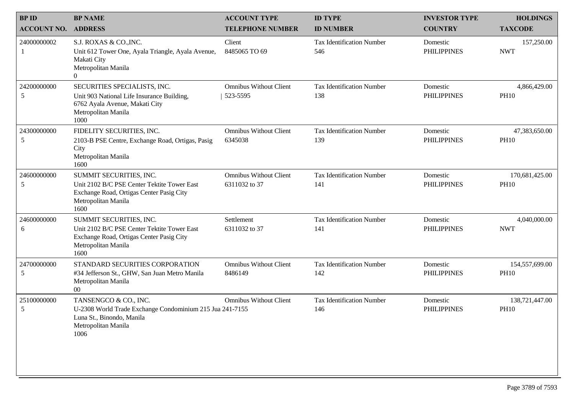| <b>BPID</b>        | <b>BP NAME</b>                                                                                                                                    | <b>ACCOUNT TYPE</b>                            | <b>ID TYPE</b>                          | <b>INVESTOR TYPE</b>           | <b>HOLDINGS</b>               |
|--------------------|---------------------------------------------------------------------------------------------------------------------------------------------------|------------------------------------------------|-----------------------------------------|--------------------------------|-------------------------------|
| <b>ACCOUNT NO.</b> | <b>ADDRESS</b>                                                                                                                                    | <b>TELEPHONE NUMBER</b>                        | <b>ID NUMBER</b>                        | <b>COUNTRY</b>                 | <b>TAXCODE</b>                |
| 24000000002        | S.J. ROXAS & CO., INC.<br>Unit 612 Tower One, Ayala Triangle, Ayala Avenue,<br>Makati City<br>Metropolitan Manila<br>$\Omega$                     | Client<br>8485065 TO 69                        | <b>Tax Identification Number</b><br>546 | Domestic<br><b>PHILIPPINES</b> | 157,250.00<br><b>NWT</b>      |
| 24200000000<br>5   | SECURITIES SPECIALISTS, INC.<br>Unit 903 National Life Insurance Building,<br>6762 Ayala Avenue, Makati City<br>Metropolitan Manila<br>1000       | <b>Omnibus Without Client</b><br>523-5595      | <b>Tax Identification Number</b><br>138 | Domestic<br><b>PHILIPPINES</b> | 4,866,429.00<br><b>PH10</b>   |
| 24300000000<br>5   | FIDELITY SECURITIES, INC.<br>2103-B PSE Centre, Exchange Road, Ortigas, Pasig<br>City<br>Metropolitan Manila<br>1600                              | <b>Omnibus Without Client</b><br>6345038       | <b>Tax Identification Number</b><br>139 | Domestic<br><b>PHILIPPINES</b> | 47,383,650.00<br><b>PH10</b>  |
| 24600000000<br>5   | SUMMIT SECURITIES, INC.<br>Unit 2102 B/C PSE Center Tektite Tower East<br>Exchange Road, Ortigas Center Pasig City<br>Metropolitan Manila<br>1600 | <b>Omnibus Without Client</b><br>6311032 to 37 | <b>Tax Identification Number</b><br>141 | Domestic<br><b>PHILIPPINES</b> | 170,681,425.00<br><b>PH10</b> |
| 24600000000<br>6   | SUMMIT SECURITIES, INC.<br>Unit 2102 B/C PSE Center Tektite Tower East<br>Exchange Road, Ortigas Center Pasig City<br>Metropolitan Manila<br>1600 | Settlement<br>6311032 to 37                    | <b>Tax Identification Number</b><br>141 | Domestic<br><b>PHILIPPINES</b> | 4,040,000.00<br><b>NWT</b>    |
| 24700000000<br>5   | STANDARD SECURITIES CORPORATION<br>#34 Jefferson St., GHW, San Juan Metro Manila<br>Metropolitan Manila<br>$00\,$                                 | <b>Omnibus Without Client</b><br>8486149       | <b>Tax Identification Number</b><br>142 | Domestic<br><b>PHILIPPINES</b> | 154,557,699.00<br><b>PH10</b> |
| 25100000000<br>5   | TANSENGCO & CO., INC.<br>U-2308 World Trade Exchange Condominium 215 Jua 241-7155<br>Luna St., Binondo, Manila<br>Metropolitan Manila<br>1006     | <b>Omnibus Without Client</b>                  | <b>Tax Identification Number</b><br>146 | Domestic<br><b>PHILIPPINES</b> | 138,721,447.00<br><b>PH10</b> |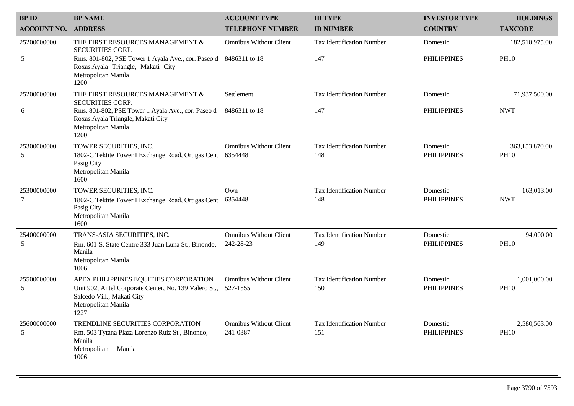| <b>BPID</b>        | <b>BP NAME</b>                                                                                                                                              | <b>ACCOUNT TYPE</b>                        | <b>ID TYPE</b>                          | <b>INVESTOR TYPE</b>           | <b>HOLDINGS</b>               |
|--------------------|-------------------------------------------------------------------------------------------------------------------------------------------------------------|--------------------------------------------|-----------------------------------------|--------------------------------|-------------------------------|
| <b>ACCOUNT NO.</b> | <b>ADDRESS</b>                                                                                                                                              | <b>TELEPHONE NUMBER</b>                    | <b>ID NUMBER</b>                        | <b>COUNTRY</b>                 | <b>TAXCODE</b>                |
| 25200000000        | THE FIRST RESOURCES MANAGEMENT &<br><b>SECURITIES CORP.</b>                                                                                                 | <b>Omnibus Without Client</b>              | <b>Tax Identification Number</b>        | Domestic                       | 182,510,975.00                |
| 5                  | Rms. 801-802, PSE Tower 1 Ayala Ave., cor. Paseo d 8486311 to 18<br>Roxas, Ayala Triangle, Makati City<br>Metropolitan Manila<br>1200                       |                                            | 147                                     | <b>PHILIPPINES</b>             | <b>PH10</b>                   |
| 25200000000        | THE FIRST RESOURCES MANAGEMENT &<br><b>SECURITIES CORP.</b>                                                                                                 | Settlement                                 | <b>Tax Identification Number</b>        | Domestic                       | 71,937,500.00                 |
| 6                  | Rms. 801-802, PSE Tower 1 Ayala Ave., cor. Paseo d<br>Roxas, Ayala Triangle, Makati City<br>Metropolitan Manila<br>1200                                     | 8486311 to 18                              | 147                                     | <b>PHILIPPINES</b>             | <b>NWT</b>                    |
| 25300000000<br>5   | TOWER SECURITIES, INC.<br>1802-C Tektite Tower I Exchange Road, Ortigas Cent 6354448<br>Pasig City<br>Metropolitan Manila<br>1600                           | <b>Omnibus Without Client</b>              | <b>Tax Identification Number</b><br>148 | Domestic<br><b>PHILIPPINES</b> | 363,153,870.00<br><b>PH10</b> |
| 25300000000<br>7   | TOWER SECURITIES, INC.<br>1802-C Tektite Tower I Exchange Road, Ortigas Cent<br>Pasig City<br>Metropolitan Manila<br>1600                                   | Own<br>6354448                             | <b>Tax Identification Number</b><br>148 | Domestic<br><b>PHILIPPINES</b> | 163,013.00<br><b>NWT</b>      |
| 25400000000<br>5   | TRANS-ASIA SECURITIES, INC.<br>Rm. 601-S, State Centre 333 Juan Luna St., Binondo,<br>Manila<br>Metropolitan Manila<br>1006                                 | <b>Omnibus Without Client</b><br>242-28-23 | <b>Tax Identification Number</b><br>149 | Domestic<br><b>PHILIPPINES</b> | 94,000.00<br><b>PH10</b>      |
| 25500000000<br>5   | APEX PHILIPPINES EQUITIES CORPORATION<br>Unit 902, Antel Corporate Center, No. 139 Valero St.,<br>Salcedo Vill., Makati City<br>Metropolitan Manila<br>1227 | <b>Omnibus Without Client</b><br>527-1555  | <b>Tax Identification Number</b><br>150 | Domestic<br><b>PHILIPPINES</b> | 1,001,000.00<br><b>PH10</b>   |
| 25600000000<br>5   | TRENDLINE SECURITIES CORPORATION<br>Rm. 503 Tytana Plaza Lorenzo Ruiz St., Binondo,<br>Manila<br>Metropolitan<br>Manila<br>1006                             | <b>Omnibus Without Client</b><br>241-0387  | <b>Tax Identification Number</b><br>151 | Domestic<br><b>PHILIPPINES</b> | 2,580,563.00<br><b>PH10</b>   |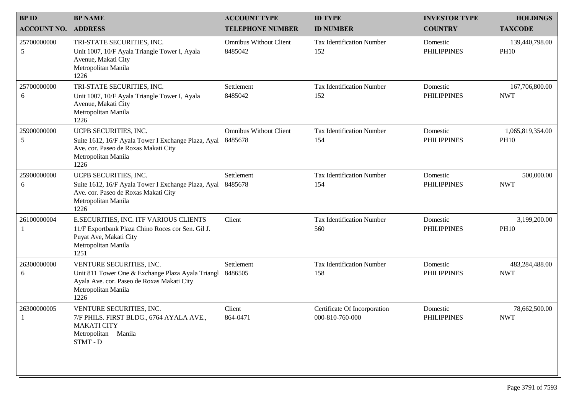| <b>BPID</b>                | <b>BP NAME</b>                                                                                                                                             | <b>ACCOUNT TYPE</b>                      | <b>ID TYPE</b>                                  | <b>INVESTOR TYPE</b>           | <b>HOLDINGS</b>                 |
|----------------------------|------------------------------------------------------------------------------------------------------------------------------------------------------------|------------------------------------------|-------------------------------------------------|--------------------------------|---------------------------------|
| <b>ACCOUNT NO. ADDRESS</b> |                                                                                                                                                            | <b>TELEPHONE NUMBER</b>                  | <b>ID NUMBER</b>                                | <b>COUNTRY</b>                 | <b>TAXCODE</b>                  |
| 25700000000<br>5           | TRI-STATE SECURITIES, INC.<br>Unit 1007, 10/F Ayala Triangle Tower I, Ayala<br>Avenue, Makati City<br>Metropolitan Manila<br>1226                          | <b>Omnibus Without Client</b><br>8485042 | <b>Tax Identification Number</b><br>152         | Domestic<br><b>PHILIPPINES</b> | 139,440,798.00<br><b>PH10</b>   |
| 25700000000<br>6           | TRI-STATE SECURITIES, INC.<br>Unit 1007, 10/F Ayala Triangle Tower I, Ayala<br>Avenue, Makati City<br>Metropolitan Manila<br>1226                          | Settlement<br>8485042                    | <b>Tax Identification Number</b><br>152         | Domestic<br><b>PHILIPPINES</b> | 167,706,800.00<br><b>NWT</b>    |
| 25900000000<br>5           | UCPB SECURITIES, INC.<br>Suite 1612, 16/F Ayala Tower I Exchange Plaza, Ayal<br>Ave. cor. Paseo de Roxas Makati City<br>Metropolitan Manila<br>1226        | <b>Omnibus Without Client</b><br>8485678 | <b>Tax Identification Number</b><br>154         | Domestic<br><b>PHILIPPINES</b> | 1,065,819,354.00<br><b>PH10</b> |
| 25900000000<br>6           | UCPB SECURITIES, INC.<br>Suite 1612, 16/F Ayala Tower I Exchange Plaza, Ayal<br>Ave. cor. Paseo de Roxas Makati City<br>Metropolitan Manila<br>1226        | Settlement<br>8485678                    | <b>Tax Identification Number</b><br>154         | Domestic<br><b>PHILIPPINES</b> | 500,000.00<br><b>NWT</b>        |
| 26100000004                | E.SECURITIES, INC. ITF VARIOUS CLIENTS<br>11/F Exportbank Plaza Chino Roces cor Sen. Gil J.<br>Puyat Ave, Makati City<br>Metropolitan Manila<br>1251       | Client                                   | <b>Tax Identification Number</b><br>560         | Domestic<br><b>PHILIPPINES</b> | 3,199,200.00<br><b>PH10</b>     |
| 26300000000<br>6           | VENTURE SECURITIES, INC.<br>Unit 811 Tower One & Exchange Plaza Ayala Triangl<br>Ayala Ave. cor. Paseo de Roxas Makati City<br>Metropolitan Manila<br>1226 | Settlement<br>8486505                    | <b>Tax Identification Number</b><br>158         | Domestic<br><b>PHILIPPINES</b> | 483,284,488.00<br><b>NWT</b>    |
| 26300000005                | VENTURE SECURITIES, INC.<br>7/F PHILS. FIRST BLDG., 6764 AYALA AVE.,<br><b>MAKATI CITY</b><br>Metropolitan Manila<br>STMT-D                                | Client<br>864-0471                       | Certificate Of Incorporation<br>000-810-760-000 | Domestic<br><b>PHILIPPINES</b> | 78,662,500.00<br><b>NWT</b>     |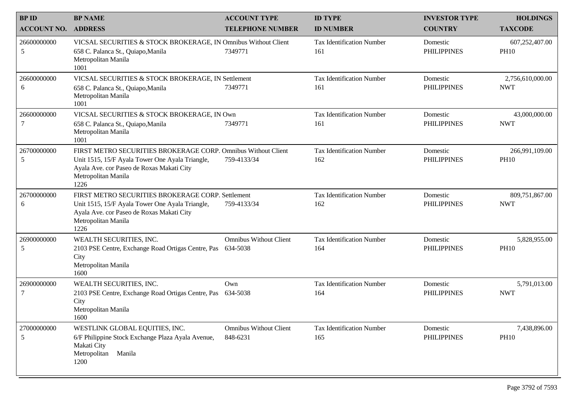| <b>BPID</b>        | <b>BP NAME</b>                                                                                                                                                                               | <b>ACCOUNT TYPE</b>                       | <b>ID TYPE</b>                          | <b>INVESTOR TYPE</b>           | <b>HOLDINGS</b>                |
|--------------------|----------------------------------------------------------------------------------------------------------------------------------------------------------------------------------------------|-------------------------------------------|-----------------------------------------|--------------------------------|--------------------------------|
| <b>ACCOUNT NO.</b> | <b>ADDRESS</b>                                                                                                                                                                               | <b>TELEPHONE NUMBER</b>                   | <b>ID NUMBER</b>                        | <b>COUNTRY</b>                 | <b>TAXCODE</b>                 |
| 26600000000<br>5   | VICSAL SECURITIES & STOCK BROKERAGE, IN Omnibus Without Client<br>658 C. Palanca St., Quiapo, Manila<br>Metropolitan Manila<br>1001                                                          | 7349771                                   | <b>Tax Identification Number</b><br>161 | Domestic<br><b>PHILIPPINES</b> | 607,252,407.00<br><b>PH10</b>  |
| 26600000000<br>6   | VICSAL SECURITIES & STOCK BROKERAGE, IN Settlement<br>658 C. Palanca St., Quiapo, Manila<br>Metropolitan Manila<br>1001                                                                      | 7349771                                   | <b>Tax Identification Number</b><br>161 | Domestic<br><b>PHILIPPINES</b> | 2,756,610,000.00<br><b>NWT</b> |
| 26600000000<br>7   | VICSAL SECURITIES & STOCK BROKERAGE, IN Own<br>658 C. Palanca St., Quiapo, Manila<br>Metropolitan Manila<br>1001                                                                             | 7349771                                   | <b>Tax Identification Number</b><br>161 | Domestic<br><b>PHILIPPINES</b> | 43,000,000.00<br><b>NWT</b>    |
| 26700000000<br>5   | FIRST METRO SECURITIES BROKERAGE CORP. Omnibus Without Client<br>Unit 1515, 15/F Ayala Tower One Ayala Triangle,<br>Ayala Ave. cor Paseo de Roxas Makati City<br>Metropolitan Manila<br>1226 | 759-4133/34                               | <b>Tax Identification Number</b><br>162 | Domestic<br><b>PHILIPPINES</b> | 266,991,109.00<br><b>PH10</b>  |
| 26700000000<br>6   | FIRST METRO SECURITIES BROKERAGE CORP. Settlement<br>Unit 1515, 15/F Ayala Tower One Ayala Triangle,<br>Ayala Ave. cor Paseo de Roxas Makati City<br>Metropolitan Manila<br>1226             | 759-4133/34                               | <b>Tax Identification Number</b><br>162 | Domestic<br><b>PHILIPPINES</b> | 809,751,867.00<br><b>NWT</b>   |
| 26900000000<br>5   | WEALTH SECURITIES, INC.<br>2103 PSE Centre, Exchange Road Ortigas Centre, Pas 634-5038<br>City<br>Metropolitan Manila<br>1600                                                                | <b>Omnibus Without Client</b>             | <b>Tax Identification Number</b><br>164 | Domestic<br><b>PHILIPPINES</b> | 5,828,955.00<br><b>PH10</b>    |
| 26900000000<br>7   | WEALTH SECURITIES, INC.<br>2103 PSE Centre, Exchange Road Ortigas Centre, Pas 634-5038<br>City<br>Metropolitan Manila<br>1600                                                                | Own                                       | <b>Tax Identification Number</b><br>164 | Domestic<br><b>PHILIPPINES</b> | 5,791,013.00<br><b>NWT</b>     |
| 27000000000<br>5   | WESTLINK GLOBAL EQUITIES, INC.<br>6/F Philippine Stock Exchange Plaza Ayala Avenue,<br>Makati City<br>Manila<br>Metropolitan<br>1200                                                         | <b>Omnibus Without Client</b><br>848-6231 | <b>Tax Identification Number</b><br>165 | Domestic<br><b>PHILIPPINES</b> | 7,438,896.00<br><b>PH10</b>    |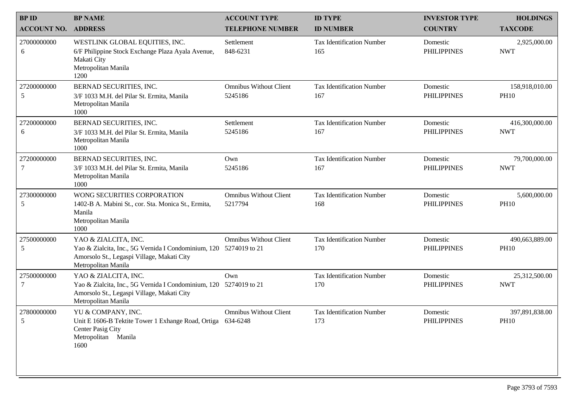| <b>BPID</b>        | <b>BP NAME</b>                                                                                                                                                 | <b>ACCOUNT TYPE</b>                      | <b>ID TYPE</b>                          | <b>INVESTOR TYPE</b>           | <b>HOLDINGS</b>               |
|--------------------|----------------------------------------------------------------------------------------------------------------------------------------------------------------|------------------------------------------|-----------------------------------------|--------------------------------|-------------------------------|
| <b>ACCOUNT NO.</b> | <b>ADDRESS</b>                                                                                                                                                 | <b>TELEPHONE NUMBER</b>                  | <b>ID NUMBER</b>                        | <b>COUNTRY</b>                 | <b>TAXCODE</b>                |
| 27000000000<br>6   | WESTLINK GLOBAL EQUITIES, INC.<br>6/F Philippine Stock Exchange Plaza Ayala Avenue,<br>Makati City<br>Metropolitan Manila<br>1200                              | Settlement<br>848-6231                   | <b>Tax Identification Number</b><br>165 | Domestic<br><b>PHILIPPINES</b> | 2,925,000.00<br><b>NWT</b>    |
| 27200000000<br>5   | BERNAD SECURITIES, INC.<br>3/F 1033 M.H. del Pilar St. Ermita, Manila<br>Metropolitan Manila<br>1000                                                           | <b>Omnibus Without Client</b><br>5245186 | <b>Tax Identification Number</b><br>167 | Domestic<br><b>PHILIPPINES</b> | 158,918,010.00<br><b>PH10</b> |
| 27200000000<br>6   | BERNAD SECURITIES, INC.<br>3/F 1033 M.H. del Pilar St. Ermita, Manila<br>Metropolitan Manila<br>1000                                                           | Settlement<br>5245186                    | <b>Tax Identification Number</b><br>167 | Domestic<br><b>PHILIPPINES</b> | 416,300,000.00<br><b>NWT</b>  |
| 27200000000<br>7   | BERNAD SECURITIES, INC.<br>3/F 1033 M.H. del Pilar St. Ermita, Manila<br>Metropolitan Manila<br>1000                                                           | Own<br>5245186                           | <b>Tax Identification Number</b><br>167 | Domestic<br><b>PHILIPPINES</b> | 79,700,000.00<br><b>NWT</b>   |
| 27300000000<br>5   | WONG SECURITIES CORPORATION<br>1402-B A. Mabini St., cor. Sta. Monica St., Ermita,<br>Manila<br>Metropolitan Manila<br>1000                                    | <b>Omnibus Without Client</b><br>5217794 | <b>Tax Identification Number</b><br>168 | Domestic<br><b>PHILIPPINES</b> | 5,600,000.00<br><b>PH10</b>   |
| 27500000000<br>5   | YAO & ZIALCITA, INC.<br>Yao & Zialcita, Inc., 5G Vernida I Condominium, 120 5274019 to 21<br>Amorsolo St., Legaspi Village, Makati City<br>Metropolitan Manila | <b>Omnibus Without Client</b>            | <b>Tax Identification Number</b><br>170 | Domestic<br><b>PHILIPPINES</b> | 490,663,889.00<br><b>PH10</b> |
| 27500000000<br>7   | YAO & ZIALCITA, INC.<br>Yao & Zialcita, Inc., 5G Vernida I Condominium, 120 5274019 to 21<br>Amorsolo St., Legaspi Village, Makati City<br>Metropolitan Manila | Own                                      | <b>Tax Identification Number</b><br>170 | Domestic<br><b>PHILIPPINES</b> | 25,312,500.00<br><b>NWT</b>   |
| 27800000000<br>5   | YU & COMPANY, INC.<br>Unit E 1606-B Tektite Tower 1 Exhange Road, Ortiga 634-6248<br>Center Pasig City<br>Metropolitan Manila<br>1600                          | <b>Omnibus Without Client</b>            | <b>Tax Identification Number</b><br>173 | Domestic<br><b>PHILIPPINES</b> | 397,891,838.00<br><b>PH10</b> |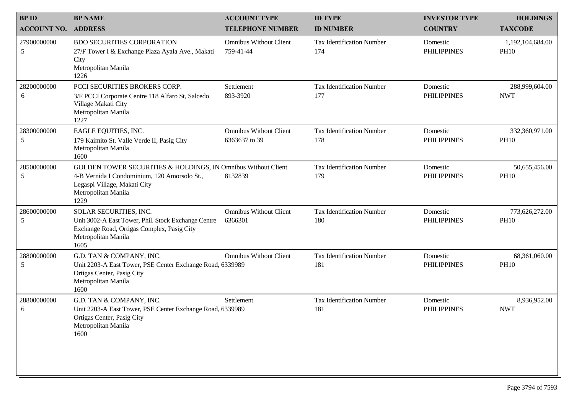| <b>BPID</b>        | <b>BP NAME</b>                                                                                                                                                               | <b>ACCOUNT TYPE</b>                            | <b>ID TYPE</b>                          | <b>INVESTOR TYPE</b>           | <b>HOLDINGS</b>                 |
|--------------------|------------------------------------------------------------------------------------------------------------------------------------------------------------------------------|------------------------------------------------|-----------------------------------------|--------------------------------|---------------------------------|
| <b>ACCOUNT NO.</b> | <b>ADDRESS</b>                                                                                                                                                               | <b>TELEPHONE NUMBER</b>                        | <b>ID NUMBER</b>                        | <b>COUNTRY</b>                 | <b>TAXCODE</b>                  |
| 27900000000<br>5   | <b>BDO SECURITIES CORPORATION</b><br>27/F Tower I & Exchange Plaza Ayala Ave., Makati<br>City<br>Metropolitan Manila<br>1226                                                 | <b>Omnibus Without Client</b><br>759-41-44     | <b>Tax Identification Number</b><br>174 | Domestic<br><b>PHILIPPINES</b> | 1,192,104,684.00<br><b>PH10</b> |
| 28200000000<br>6   | PCCI SECURITIES BROKERS CORP.<br>3/F PCCI Corporate Centre 118 Alfaro St, Salcedo<br>Village Makati City<br>Metropolitan Manila<br>1227                                      | Settlement<br>893-3920                         | <b>Tax Identification Number</b><br>177 | Domestic<br><b>PHILIPPINES</b> | 288,999,604.00<br><b>NWT</b>    |
| 28300000000<br>5   | EAGLE EQUITIES, INC.<br>179 Kaimito St. Valle Verde II, Pasig City<br>Metropolitan Manila<br>1600                                                                            | <b>Omnibus Without Client</b><br>6363637 to 39 | <b>Tax Identification Number</b><br>178 | Domestic<br><b>PHILIPPINES</b> | 332,360,971.00<br><b>PH10</b>   |
| 28500000000<br>5   | GOLDEN TOWER SECURITIES & HOLDINGS, IN Omnibus Without Client<br>4-B Vernida I Condominium, 120 Amorsolo St.,<br>Legaspi Village, Makati City<br>Metropolitan Manila<br>1229 | 8132839                                        | <b>Tax Identification Number</b><br>179 | Domestic<br><b>PHILIPPINES</b> | 50,655,456.00<br><b>PH10</b>    |
| 28600000000<br>5   | SOLAR SECURITIES, INC.<br>Unit 3002-A East Tower, Phil. Stock Exchange Centre<br>Exchange Road, Ortigas Complex, Pasig City<br>Metropolitan Manila<br>1605                   | <b>Omnibus Without Client</b><br>6366301       | <b>Tax Identification Number</b><br>180 | Domestic<br><b>PHILIPPINES</b> | 773,626,272.00<br><b>PH10</b>   |
| 28800000000<br>5   | G.D. TAN & COMPANY, INC.<br>Unit 2203-A East Tower, PSE Center Exchange Road, 6339989<br>Ortigas Center, Pasig City<br>Metropolitan Manila<br>1600                           | <b>Omnibus Without Client</b>                  | <b>Tax Identification Number</b><br>181 | Domestic<br><b>PHILIPPINES</b> | 68,361,060.00<br><b>PH10</b>    |
| 28800000000<br>6   | G.D. TAN & COMPANY, INC.<br>Unit 2203-A East Tower, PSE Center Exchange Road, 6339989<br>Ortigas Center, Pasig City<br>Metropolitan Manila<br>1600                           | Settlement                                     | <b>Tax Identification Number</b><br>181 | Domestic<br><b>PHILIPPINES</b> | 8,936,952.00<br><b>NWT</b>      |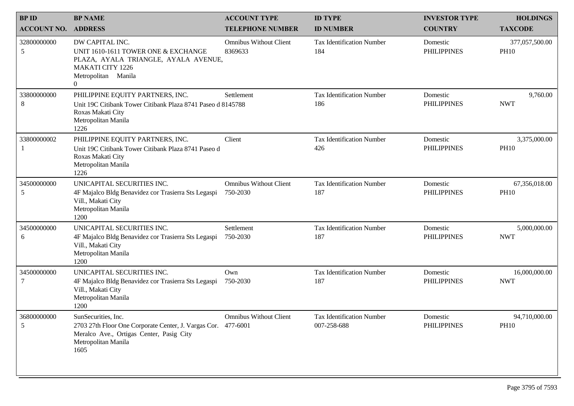| <b>BPID</b>        | <b>BP NAME</b>                                                                                                                                                  | <b>ACCOUNT TYPE</b>                       | <b>ID TYPE</b>                           | <b>INVESTOR TYPE</b>           | <b>HOLDINGS</b>               |
|--------------------|-----------------------------------------------------------------------------------------------------------------------------------------------------------------|-------------------------------------------|------------------------------------------|--------------------------------|-------------------------------|
| <b>ACCOUNT NO.</b> | <b>ADDRESS</b>                                                                                                                                                  | <b>TELEPHONE NUMBER</b>                   | <b>ID NUMBER</b>                         | <b>COUNTRY</b>                 | <b>TAXCODE</b>                |
| 32800000000<br>5   | DW CAPITAL INC.<br>UNIT 1610-1611 TOWER ONE & EXCHANGE<br>PLAZA, AYALA TRIANGLE, AYALA AVENUE,<br><b>MAKATI CITY 1226</b><br>Metropolitan Manila<br>$\theta$    | <b>Omnibus Without Client</b><br>8369633  | <b>Tax Identification Number</b><br>184  | Domestic<br><b>PHILIPPINES</b> | 377,057,500.00<br><b>PH10</b> |
| 33800000000<br>8   | PHILIPPINE EQUITY PARTNERS, INC.<br>Unit 19C Citibank Tower Citibank Plaza 8741 Paseo d 8145788<br>Roxas Makati City<br>Metropolitan Manila<br>1226             | Settlement                                | <b>Tax Identification Number</b><br>186  | Domestic<br><b>PHILIPPINES</b> | 9,760.00<br><b>NWT</b>        |
| 33800000002<br>1   | PHILIPPINE EQUITY PARTNERS, INC.<br>Unit 19C Citibank Tower Citibank Plaza 8741 Paseo d<br>Roxas Makati City<br>Metropolitan Manila<br>1226                     | Client                                    | <b>Tax Identification Number</b><br>426  | Domestic<br><b>PHILIPPINES</b> | 3,375,000.00<br><b>PH10</b>   |
| 34500000000<br>5   | UNICAPITAL SECURITIES INC.<br>4F Majalco Bldg Benavidez cor Trasierra Sts Legaspi<br>Vill., Makati City<br>Metropolitan Manila<br>1200                          | <b>Omnibus Without Client</b><br>750-2030 | <b>Tax Identification Number</b><br>187  | Domestic<br><b>PHILIPPINES</b> | 67,356,018.00<br><b>PH10</b>  |
| 34500000000<br>6   | UNICAPITAL SECURITIES INC.<br>4F Majalco Bldg Benavidez cor Trasierra Sts Legaspi<br>Vill., Makati City<br>Metropolitan Manila<br>1200                          | Settlement<br>750-2030                    | <b>Tax Identification Number</b><br>187  | Domestic<br><b>PHILIPPINES</b> | 5,000,000.00<br><b>NWT</b>    |
| 34500000000<br>7   | UNICAPITAL SECURITIES INC.<br>4F Majalco Bldg Benavidez cor Trasierra Sts Legaspi<br>Vill., Makati City<br>Metropolitan Manila<br>1200                          | Own<br>750-2030                           | <b>Tax Identification Number</b><br>187  | Domestic<br><b>PHILIPPINES</b> | 16,000,000.00<br><b>NWT</b>   |
| 36800000000<br>5   | SunSecurities, Inc.<br>2703 27th Floor One Corporate Center, J. Vargas Cor. 477-6001<br>Meralco Ave., Ortigas Center, Pasig City<br>Metropolitan Manila<br>1605 | <b>Omnibus Without Client</b>             | Tax Identification Number<br>007-258-688 | Domestic<br><b>PHILIPPINES</b> | 94,710,000.00<br><b>PH10</b>  |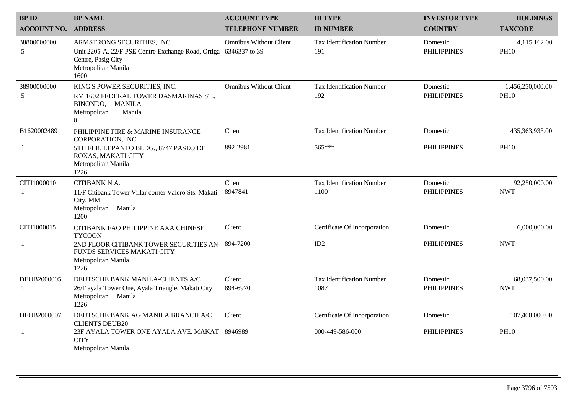| <b>BPID</b>        | <b>BP NAME</b>                                                                                                                                      | <b>ACCOUNT TYPE</b>           | <b>ID TYPE</b>                          | <b>INVESTOR TYPE</b>           | <b>HOLDINGS</b>                 |
|--------------------|-----------------------------------------------------------------------------------------------------------------------------------------------------|-------------------------------|-----------------------------------------|--------------------------------|---------------------------------|
| <b>ACCOUNT NO.</b> | <b>ADDRESS</b>                                                                                                                                      | <b>TELEPHONE NUMBER</b>       | <b>ID NUMBER</b>                        | <b>COUNTRY</b>                 | <b>TAXCODE</b>                  |
| 38800000000<br>5   | ARMSTRONG SECURITIES, INC.<br>Unit 2205-A, 22/F PSE Centre Exchange Road, Ortiga 6346337 to 39<br>Centre, Pasig City<br>Metropolitan Manila<br>1600 | <b>Omnibus Without Client</b> | <b>Tax Identification Number</b><br>191 | Domestic<br><b>PHILIPPINES</b> | 4,115,162.00<br><b>PH10</b>     |
| 38900000000<br>5   | KING'S POWER SECURITIES, INC.<br>RM 1602 FEDERAL TOWER DASMARINAS ST.,<br>BINONDO, MANILA<br>Manila<br>Metropolitan<br>$\overline{0}$               | <b>Omnibus Without Client</b> | <b>Tax Identification Number</b><br>192 | Domestic<br><b>PHILIPPINES</b> | 1,456,250,000.00<br><b>PH10</b> |
| B1620002489        | PHILIPPINE FIRE & MARINE INSURANCE                                                                                                                  | Client                        | <b>Tax Identification Number</b>        | Domestic                       | 435,363,933.00                  |
|                    | CORPORATION, INC.<br>5TH FLR. LEPANTO BLDG., 8747 PASEO DE<br>ROXAS, MAKATI CITY<br>Metropolitan Manila<br>1226                                     | 892-2981                      | 565***                                  | <b>PHILIPPINES</b>             | <b>PH10</b>                     |
| CITI1000010        | CITIBANK N.A.                                                                                                                                       | Client                        | <b>Tax Identification Number</b>        | Domestic                       | 92,250,000.00                   |
| 1                  | 11/F Citibank Tower Villar corner Valero Sts. Makati<br>City, MM<br>Metropolitan<br>Manila<br>1200                                                  | 8947841                       | 1100                                    | <b>PHILIPPINES</b>             | <b>NWT</b>                      |
| CITI1000015        | CITIBANK FAO PHILIPPINE AXA CHINESE<br><b>TYCOON</b>                                                                                                | Client                        | Certificate Of Incorporation            | Domestic                       | 6,000,000.00                    |
|                    | 2ND FLOOR CITIBANK TOWER SECURITIES AN<br>FUNDS SERVICES MAKATI CITY<br>Metropolitan Manila<br>1226                                                 | 894-7200                      | ID2                                     | <b>PHILIPPINES</b>             | <b>NWT</b>                      |
| DEUB2000005        | DEUTSCHE BANK MANILA-CLIENTS A/C                                                                                                                    | Client                        | <b>Tax Identification Number</b>        | Domestic                       | 68,037,500.00                   |
|                    | 26/F ayala Tower One, Ayala Triangle, Makati City<br>Metropolitan Manila<br>1226                                                                    | 894-6970                      | 1087                                    | <b>PHILIPPINES</b>             | <b>NWT</b>                      |
| DEUB2000007        | DEUTSCHE BANK AG MANILA BRANCH A/C<br><b>CLIENTS DEUB20</b>                                                                                         | Client                        | Certificate Of Incorporation            | Domestic                       | 107,400,000.00                  |
|                    | 23F AYALA TOWER ONE AYALA AVE. MAKAT 8946989<br><b>CITY</b><br>Metropolitan Manila                                                                  |                               | 000-449-586-000                         | <b>PHILIPPINES</b>             | <b>PH10</b>                     |
|                    |                                                                                                                                                     |                               |                                         |                                |                                 |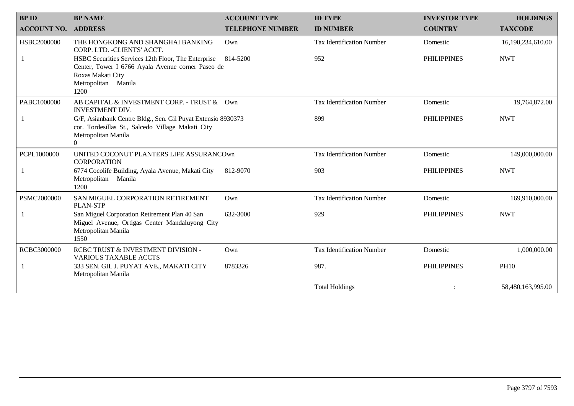| <b>BPID</b>        | <b>BP NAME</b>                                                                                                                                               | <b>ACCOUNT TYPE</b>     | <b>ID TYPE</b>                   | <b>INVESTOR TYPE</b> | <b>HOLDINGS</b>   |
|--------------------|--------------------------------------------------------------------------------------------------------------------------------------------------------------|-------------------------|----------------------------------|----------------------|-------------------|
| <b>ACCOUNT NO.</b> | <b>ADDRESS</b>                                                                                                                                               | <b>TELEPHONE NUMBER</b> | <b>ID NUMBER</b>                 | <b>COUNTRY</b>       | <b>TAXCODE</b>    |
| HSBC2000000        | THE HONGKONG AND SHANGHAI BANKING<br>CORP. LTD. - CLIENTS' ACCT.                                                                                             | Own                     | <b>Tax Identification Number</b> | Domestic             | 16,190,234,610.00 |
|                    | HSBC Securities Services 12th Floor, The Enterprise<br>Center, Tower I 6766 Ayala Avenue corner Paseo de<br>Roxas Makati City<br>Metropolitan Manila<br>1200 | 814-5200                | 952                              | <b>PHILIPPINES</b>   | <b>NWT</b>        |
| PABC1000000        | AB CAPITAL & INVESTMENT CORP. - TRUST & Own<br>INVESTMENT DIV.                                                                                               |                         | <b>Tax Identification Number</b> | Domestic             | 19,764,872.00     |
|                    | G/F, Asianbank Centre Bldg., Sen. Gil Puyat Extensio 8930373<br>cor. Tordesillas St., Salcedo Village Makati City<br>Metropolitan Manila<br>$\Omega$         |                         | 899                              | <b>PHILIPPINES</b>   | <b>NWT</b>        |
| PCPL1000000        | UNITED COCONUT PLANTERS LIFE ASSURANCOwn<br><b>CORPORATION</b>                                                                                               |                         | <b>Tax Identification Number</b> | Domestic             | 149,000,000.00    |
|                    | 6774 Cocolife Building, Ayala Avenue, Makati City<br>Metropolitan Manila<br>1200                                                                             | 812-9070                | 903                              | <b>PHILIPPINES</b>   | <b>NWT</b>        |
| PSMC2000000        | SAN MIGUEL CORPORATION RETIREMENT<br><b>PLAN-STP</b>                                                                                                         | Own                     | <b>Tax Identification Number</b> | Domestic             | 169,910,000.00    |
|                    | San Miguel Corporation Retirement Plan 40 San<br>Miguel Avenue, Ortigas Center Mandaluyong City<br>Metropolitan Manila<br>1550                               | 632-3000                | 929                              | <b>PHILIPPINES</b>   | <b>NWT</b>        |
| RCBC3000000        | RCBC TRUST & INVESTMENT DIVISION -<br><b>VARIOUS TAXABLE ACCTS</b>                                                                                           | $Qw$ n                  | <b>Tax Identification Number</b> | Domestic             | 1,000,000.00      |
|                    | 333 SEN. GIL J. PUYAT AVE., MAKATI CITY<br>Metropolitan Manila                                                                                               | 8783326                 | 987.                             | <b>PHILIPPINES</b>   | <b>PH10</b>       |
|                    |                                                                                                                                                              |                         | <b>Total Holdings</b>            |                      | 58,480,163,995.00 |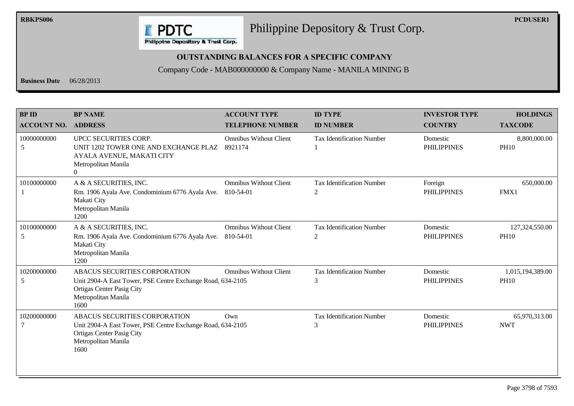

**RBKPS006 PCDUSER1** Philippine Depository & Trust Corp.

#### **OUTSTANDING BALANCES FOR A SPECIFIC COMPANY**

#### Company Code - MAB000000000 & Company Name - MANILA MINING B

**Business Date** 06/28/2013

| <b>BPID</b><br><b>ACCOUNT NO.</b> | <b>BP NAME</b><br><b>ADDRESS</b>                                                                                                                                      | <b>ACCOUNT TYPE</b><br><b>TELEPHONE NUMBER</b> | <b>ID TYPE</b><br><b>ID NUMBER</b>    | <b>INVESTOR TYPE</b><br><b>COUNTRY</b> | <b>HOLDINGS</b><br><b>TAXCODE</b> |
|-----------------------------------|-----------------------------------------------------------------------------------------------------------------------------------------------------------------------|------------------------------------------------|---------------------------------------|----------------------------------------|-----------------------------------|
| 10000000000<br>5                  | UPCC SECURITIES CORP.<br>UNIT 1202 TOWER ONE AND EXCHANGE PLAZ<br>AYALA AVENUE, MAKATI CITY<br>Metropolitan Manila<br>$\Omega$                                        | <b>Omnibus Without Client</b><br>8921174       | <b>Tax Identification Number</b>      | Domestic<br><b>PHILIPPINES</b>         | 8,800,000.00<br><b>PH10</b>       |
| 10100000000                       | A & A SECURITIES, INC.<br>Rm. 1906 Ayala Ave. Condominium 6776 Ayala Ave.<br>Makati City<br>Metropolitan Manila<br>1200                                               | <b>Omnibus Without Client</b><br>810-54-01     | <b>Tax Identification Number</b><br>2 | Foreign<br><b>PHILIPPINES</b>          | 650,000.00<br>FMX1                |
| 10100000000<br>5                  | A & A SECURITIES, INC.<br>Rm. 1906 Ayala Ave. Condominium 6776 Ayala Ave.<br>Makati City<br>Metropolitan Manila<br>1200                                               | <b>Omnibus Without Client</b><br>810-54-01     | <b>Tax Identification Number</b><br>2 | Domestic<br><b>PHILIPPINES</b>         | 127,324,550.00<br><b>PH10</b>     |
| 10200000000<br>5                  | ABACUS SECURITIES CORPORATION<br>Unit 2904-A East Tower, PSE Centre Exchange Road, 634-2105<br><b>Ortigas Center Pasig City</b><br>Metropolitan Manila<br>1600        | <b>Omnibus Without Client</b>                  | <b>Tax Identification Number</b><br>3 | Domestic<br><b>PHILIPPINES</b>         | 1,015,194,389.00<br><b>PH10</b>   |
| 10200000000                       | <b>ABACUS SECURITIES CORPORATION</b><br>Unit 2904-A East Tower, PSE Centre Exchange Road, 634-2105<br><b>Ortigas Center Pasig City</b><br>Metropolitan Manila<br>1600 | $Qw$ n                                         | <b>Tax Identification Number</b><br>3 | Domestic<br><b>PHILIPPINES</b>         | 65,970,313.00<br><b>NWT</b>       |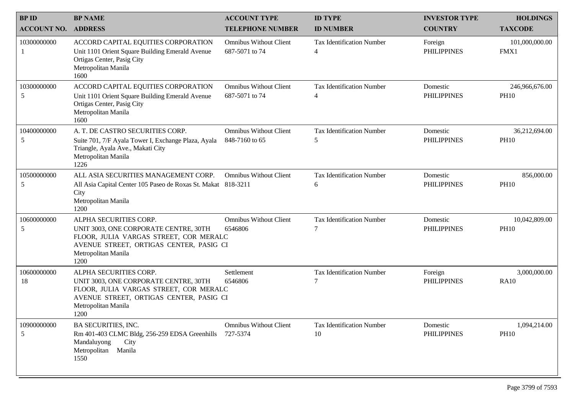| <b>BPID</b>        | <b>BP NAME</b>                                                                                                                                                                      | <b>ACCOUNT TYPE</b>                             | <b>ID TYPE</b>                         | <b>INVESTOR TYPE</b>           | <b>HOLDINGS</b>               |
|--------------------|-------------------------------------------------------------------------------------------------------------------------------------------------------------------------------------|-------------------------------------------------|----------------------------------------|--------------------------------|-------------------------------|
| <b>ACCOUNT NO.</b> | <b>ADDRESS</b>                                                                                                                                                                      | <b>TELEPHONE NUMBER</b>                         | <b>ID NUMBER</b>                       | <b>COUNTRY</b>                 | <b>TAXCODE</b>                |
| 10300000000        | ACCORD CAPITAL EQUITIES CORPORATION<br>Unit 1101 Orient Square Building Emerald Avenue<br>Ortigas Center, Pasig City<br>Metropolitan Manila<br>1600                                 | <b>Omnibus Without Client</b><br>687-5071 to 74 | <b>Tax Identification Number</b><br>4  | Foreign<br><b>PHILIPPINES</b>  | 101,000,000.00<br>FMX1        |
| 10300000000<br>5   | ACCORD CAPITAL EQUITIES CORPORATION<br>Unit 1101 Orient Square Building Emerald Avenue<br>Ortigas Center, Pasig City<br>Metropolitan Manila<br>1600                                 | <b>Omnibus Without Client</b><br>687-5071 to 74 | <b>Tax Identification Number</b><br>4  | Domestic<br><b>PHILIPPINES</b> | 246,966,676.00<br><b>PH10</b> |
| 10400000000<br>5   | A. T. DE CASTRO SECURITIES CORP.<br>Suite 701, 7/F Ayala Tower I, Exchange Plaza, Ayala<br>Triangle, Ayala Ave., Makati City<br>Metropolitan Manila<br>1226                         | <b>Omnibus Without Client</b><br>848-7160 to 65 | <b>Tax Identification Number</b><br>5  | Domestic<br><b>PHILIPPINES</b> | 36,212,694.00<br><b>PH10</b>  |
| 10500000000<br>5   | ALL ASIA SECURITIES MANAGEMENT CORP.<br>All Asia Capital Center 105 Paseo de Roxas St. Makat 818-3211<br>City<br>Metropolitan Manila<br>1200                                        | <b>Omnibus Without Client</b>                   | <b>Tax Identification Number</b><br>6  | Domestic<br><b>PHILIPPINES</b> | 856,000.00<br><b>PH10</b>     |
| 10600000000<br>5   | ALPHA SECURITIES CORP.<br>UNIT 3003, ONE CORPORATE CENTRE, 30TH<br>FLOOR, JULIA VARGAS STREET, COR MERALC<br>AVENUE STREET, ORTIGAS CENTER, PASIG CI<br>Metropolitan Manila<br>1200 | <b>Omnibus Without Client</b><br>6546806        | <b>Tax Identification Number</b>       | Domestic<br><b>PHILIPPINES</b> | 10,042,809.00<br><b>PH10</b>  |
| 10600000000<br>18  | ALPHA SECURITIES CORP.<br>UNIT 3003, ONE CORPORATE CENTRE, 30TH<br>FLOOR, JULIA VARGAS STREET, COR MERALC<br>AVENUE STREET, ORTIGAS CENTER, PASIG CI<br>Metropolitan Manila<br>1200 | Settlement<br>6546806                           | <b>Tax Identification Number</b><br>7  | Foreign<br><b>PHILIPPINES</b>  | 3,000,000.00<br><b>RA10</b>   |
| 10900000000<br>5   | BA SECURITIES, INC.<br>Rm 401-403 CLMC Bldg, 256-259 EDSA Greenhills<br>Mandaluyong<br>City<br>Metropolitan<br>Manila<br>1550                                                       | <b>Omnibus Without Client</b><br>727-5374       | <b>Tax Identification Number</b><br>10 | Domestic<br><b>PHILIPPINES</b> | 1,094,214.00<br><b>PH10</b>   |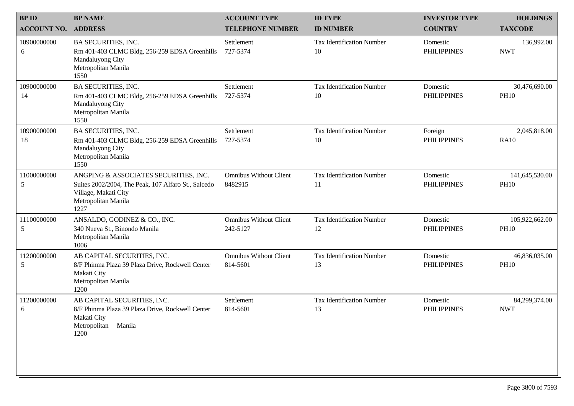| <b>BP NAME</b>                                                                                                                                      | <b>ACCOUNT TYPE</b>                       | <b>ID TYPE</b>                         | <b>INVESTOR TYPE</b>           | <b>HOLDINGS</b>               |
|-----------------------------------------------------------------------------------------------------------------------------------------------------|-------------------------------------------|----------------------------------------|--------------------------------|-------------------------------|
| <b>ADDRESS</b>                                                                                                                                      | <b>TELEPHONE NUMBER</b>                   | <b>ID NUMBER</b>                       | <b>COUNTRY</b>                 | <b>TAXCODE</b>                |
| <b>BA SECURITIES, INC.</b><br>Rm 401-403 CLMC Bldg, 256-259 EDSA Greenhills<br>Mandaluyong City<br>Metropolitan Manila<br>1550                      | Settlement<br>727-5374                    | <b>Tax Identification Number</b><br>10 | Domestic<br><b>PHILIPPINES</b> | 136,992.00<br><b>NWT</b>      |
| <b>BA SECURITIES, INC.</b><br>Rm 401-403 CLMC Bldg, 256-259 EDSA Greenhills<br>Mandaluyong City<br>Metropolitan Manila<br>1550                      | Settlement<br>727-5374                    | <b>Tax Identification Number</b><br>10 | Domestic<br><b>PHILIPPINES</b> | 30,476,690.00<br><b>PH10</b>  |
| <b>BA SECURITIES, INC.</b><br>Rm 401-403 CLMC Bldg, 256-259 EDSA Greenhills<br>Mandaluyong City<br>Metropolitan Manila<br>1550                      | Settlement<br>727-5374                    | <b>Tax Identification Number</b><br>10 | Foreign<br><b>PHILIPPINES</b>  | 2,045,818.00<br><b>RA10</b>   |
| ANGPING & ASSOCIATES SECURITIES, INC.<br>Suites 2002/2004, The Peak, 107 Alfaro St., Salcedo<br>Village, Makati City<br>Metropolitan Manila<br>1227 | <b>Omnibus Without Client</b><br>8482915  | <b>Tax Identification Number</b><br>11 | Domestic<br><b>PHILIPPINES</b> | 141,645,530.00<br><b>PH10</b> |
| ANSALDO, GODINEZ & CO., INC.<br>340 Nueva St., Binondo Manila<br>Metropolitan Manila<br>1006                                                        | <b>Omnibus Without Client</b><br>242-5127 | <b>Tax Identification Number</b><br>12 | Domestic<br><b>PHILIPPINES</b> | 105,922,662.00<br><b>PH10</b> |
| AB CAPITAL SECURITIES, INC.<br>8/F Phinma Plaza 39 Plaza Drive, Rockwell Center<br>Makati City<br>Metropolitan Manila<br>1200                       | <b>Omnibus Without Client</b><br>814-5601 | <b>Tax Identification Number</b><br>13 | Domestic<br><b>PHILIPPINES</b> | 46,836,035.00<br><b>PH10</b>  |
| AB CAPITAL SECURITIES, INC.<br>8/F Phinma Plaza 39 Plaza Drive, Rockwell Center<br>Makati City<br>Metropolitan Manila<br>1200                       | Settlement<br>814-5601                    | <b>Tax Identification Number</b><br>13 | Domestic<br><b>PHILIPPINES</b> | 84,299,374.00<br><b>NWT</b>   |
|                                                                                                                                                     |                                           |                                        |                                |                               |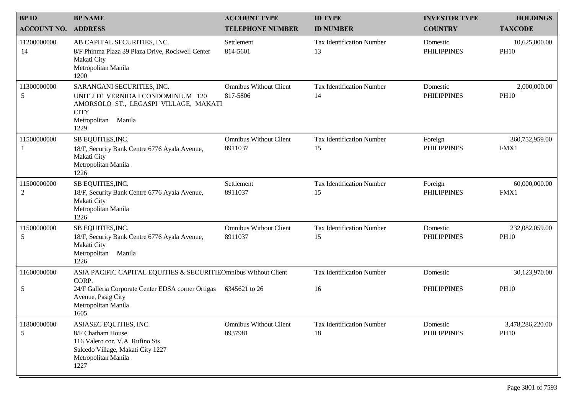| <b>BPID</b>        | <b>BP NAME</b>                                                                                                                                              | <b>ACCOUNT TYPE</b>                       | <b>ID TYPE</b>                         | <b>INVESTOR TYPE</b>           | <b>HOLDINGS</b>                 |
|--------------------|-------------------------------------------------------------------------------------------------------------------------------------------------------------|-------------------------------------------|----------------------------------------|--------------------------------|---------------------------------|
| <b>ACCOUNT NO.</b> | <b>ADDRESS</b>                                                                                                                                              | <b>TELEPHONE NUMBER</b>                   | <b>ID NUMBER</b>                       | <b>COUNTRY</b>                 | <b>TAXCODE</b>                  |
| 11200000000<br>14  | AB CAPITAL SECURITIES, INC.<br>8/F Phinma Plaza 39 Plaza Drive, Rockwell Center<br>Makati City<br>Metropolitan Manila<br>1200                               | Settlement<br>814-5601                    | <b>Tax Identification Number</b><br>13 | Domestic<br><b>PHILIPPINES</b> | 10,625,000.00<br><b>PH10</b>    |
| 11300000000<br>5   | SARANGANI SECURITIES, INC.<br>UNIT 2 D1 VERNIDA I CONDOMINIUM 120<br>AMORSOLO ST., LEGASPI VILLAGE, MAKATI<br><b>CITY</b><br>Manila<br>Metropolitan<br>1229 | <b>Omnibus Without Client</b><br>817-5806 | <b>Tax Identification Number</b><br>14 | Domestic<br><b>PHILIPPINES</b> | 2,000,000.00<br><b>PH10</b>     |
| 11500000000        | SB EQUITIES, INC.<br>18/F, Security Bank Centre 6776 Ayala Avenue,<br>Makati City<br>Metropolitan Manila<br>1226                                            | <b>Omnibus Without Client</b><br>8911037  | <b>Tax Identification Number</b><br>15 | Foreign<br><b>PHILIPPINES</b>  | 360,752,959.00<br>FMX1          |
| 11500000000<br>2   | SB EQUITIES, INC.<br>18/F, Security Bank Centre 6776 Ayala Avenue,<br>Makati City<br>Metropolitan Manila<br>1226                                            | Settlement<br>8911037                     | <b>Tax Identification Number</b><br>15 | Foreign<br><b>PHILIPPINES</b>  | 60,000,000.00<br>FMX1           |
| 11500000000<br>5   | SB EQUITIES, INC.<br>18/F, Security Bank Centre 6776 Ayala Avenue,<br>Makati City<br>Metropolitan<br>Manila<br>1226                                         | <b>Omnibus Without Client</b><br>8911037  | <b>Tax Identification Number</b><br>15 | Domestic<br><b>PHILIPPINES</b> | 232,082,059.00<br><b>PH10</b>   |
| 11600000000        | ASIA PACIFIC CAPITAL EQUITIES & SECURITIEOmnibus Without Client<br>CORP.                                                                                    |                                           | <b>Tax Identification Number</b>       | Domestic                       | 30,123,970.00                   |
| 5                  | 24/F Galleria Corporate Center EDSA corner Ortigas<br>Avenue, Pasig City<br>Metropolitan Manila<br>1605                                                     | 6345621 to 26                             | 16                                     | <b>PHILIPPINES</b>             | <b>PH10</b>                     |
| 11800000000<br>5   | ASIASEC EQUITIES, INC.<br>8/F Chatham House<br>116 Valero cor. V.A. Rufino Sts<br>Salcedo Village, Makati City 1227<br>Metropolitan Manila<br>1227          | <b>Omnibus Without Client</b><br>8937981  | <b>Tax Identification Number</b><br>18 | Domestic<br><b>PHILIPPINES</b> | 3,478,286,220.00<br><b>PH10</b> |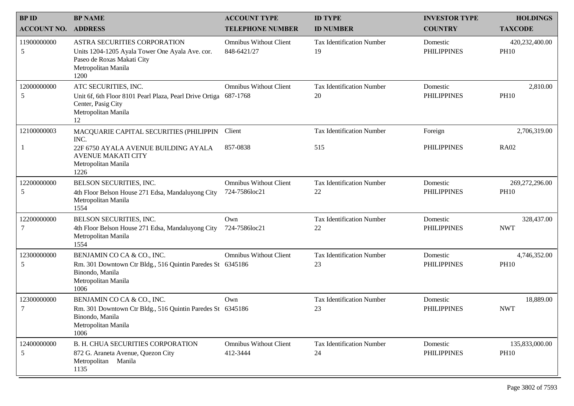| <b>BPID</b>        | <b>BP NAME</b>                                                                                                                               | <b>ACCOUNT TYPE</b>                          | <b>ID TYPE</b>                         | <b>INVESTOR TYPE</b>           | <b>HOLDINGS</b>               |
|--------------------|----------------------------------------------------------------------------------------------------------------------------------------------|----------------------------------------------|----------------------------------------|--------------------------------|-------------------------------|
| <b>ACCOUNT NO.</b> | <b>ADDRESS</b>                                                                                                                               | <b>TELEPHONE NUMBER</b>                      | <b>ID NUMBER</b>                       | <b>COUNTRY</b>                 | <b>TAXCODE</b>                |
| 11900000000<br>5   | ASTRA SECURITIES CORPORATION<br>Units 1204-1205 Ayala Tower One Ayala Ave. cor.<br>Paseo de Roxas Makati City<br>Metropolitan Manila<br>1200 | <b>Omnibus Without Client</b><br>848-6421/27 | <b>Tax Identification Number</b><br>19 | Domestic<br><b>PHILIPPINES</b> | 420,232,400.00<br><b>PH10</b> |
| 12000000000<br>5   | ATC SECURITIES, INC.<br>Unit 6f, 6th Floor 8101 Pearl Plaza, Pearl Drive Ortiga<br>Center, Pasig City<br>Metropolitan Manila<br>12           | <b>Omnibus Without Client</b><br>687-1768    | <b>Tax Identification Number</b><br>20 | Domestic<br><b>PHILIPPINES</b> | 2,810.00<br><b>PH10</b>       |
| 12100000003        | MACQUARIE CAPITAL SECURITIES (PHILIPPIN<br>INC.                                                                                              | Client                                       | <b>Tax Identification Number</b>       | Foreign                        | 2,706,319.00                  |
|                    | 22F 6750 AYALA AVENUE BUILDING AYALA<br><b>AVENUE MAKATI CITY</b><br>Metropolitan Manila<br>1226                                             | 857-0838                                     | 515                                    | <b>PHILIPPINES</b>             | <b>RA02</b>                   |
| 12200000000        | BELSON SECURITIES, INC.                                                                                                                      | <b>Omnibus Without Client</b>                | <b>Tax Identification Number</b>       | Domestic                       | 269,272,296.00                |
| 5                  | 4th Floor Belson House 271 Edsa, Mandaluyong City<br>Metropolitan Manila<br>1554                                                             | 724-7586loc21                                | 22                                     | <b>PHILIPPINES</b>             | <b>PH10</b>                   |
| 12200000000        | BELSON SECURITIES, INC.                                                                                                                      | Own                                          | <b>Tax Identification Number</b>       | Domestic                       | 328,437.00                    |
|                    | 4th Floor Belson House 271 Edsa, Mandaluyong City<br>Metropolitan Manila<br>1554                                                             | 724-7586loc21                                | 22                                     | <b>PHILIPPINES</b>             | <b>NWT</b>                    |
| 12300000000<br>5   | BENJAMIN CO CA & CO., INC.<br>Rm. 301 Downtown Ctr Bldg., 516 Quintin Paredes St 6345186<br>Binondo, Manila<br>Metropolitan Manila<br>1006   | <b>Omnibus Without Client</b>                | <b>Tax Identification Number</b><br>23 | Domestic<br><b>PHILIPPINES</b> | 4,746,352.00<br><b>PH10</b>   |
| 12300000000<br>7   | BENJAMIN CO CA & CO., INC.<br>Rm. 301 Downtown Ctr Bldg., 516 Quintin Paredes St 6345186<br>Binondo, Manila<br>Metropolitan Manila<br>1006   | Own                                          | <b>Tax Identification Number</b><br>23 | Domestic<br><b>PHILIPPINES</b> | 18,889.00<br><b>NWT</b>       |
| 12400000000<br>5   | <b>B. H. CHUA SECURITIES CORPORATION</b><br>872 G. Araneta Avenue, Quezon City<br>Metropolitan Manila<br>1135                                | <b>Omnibus Without Client</b><br>412-3444    | <b>Tax Identification Number</b><br>24 | Domestic<br><b>PHILIPPINES</b> | 135,833,000.00<br><b>PH10</b> |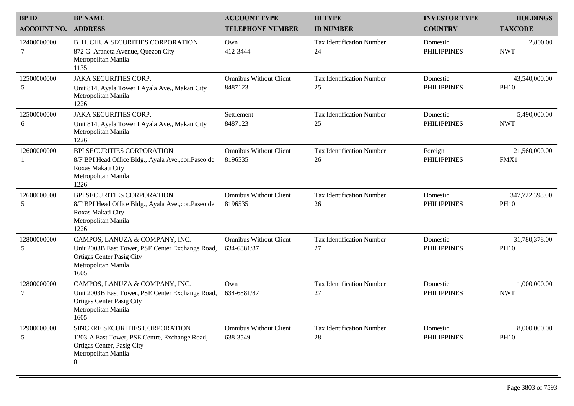| <b>BPID</b>        | <b>BP NAME</b>                                                                                                                                           | <b>ACCOUNT TYPE</b>                          | <b>ID TYPE</b>                         | <b>INVESTOR TYPE</b>           | <b>HOLDINGS</b>               |
|--------------------|----------------------------------------------------------------------------------------------------------------------------------------------------------|----------------------------------------------|----------------------------------------|--------------------------------|-------------------------------|
| <b>ACCOUNT NO.</b> | <b>ADDRESS</b>                                                                                                                                           | <b>TELEPHONE NUMBER</b>                      | <b>ID NUMBER</b>                       | <b>COUNTRY</b>                 | <b>TAXCODE</b>                |
| 12400000000<br>7   | <b>B. H. CHUA SECURITIES CORPORATION</b><br>872 G. Araneta Avenue, Quezon City<br>Metropolitan Manila<br>1135                                            | Own<br>412-3444                              | <b>Tax Identification Number</b><br>24 | Domestic<br><b>PHILIPPINES</b> | 2,800.00<br><b>NWT</b>        |
| 12500000000<br>5   | <b>JAKA SECURITIES CORP.</b><br>Unit 814, Ayala Tower I Ayala Ave., Makati City<br>Metropolitan Manila<br>1226                                           | <b>Omnibus Without Client</b><br>8487123     | <b>Tax Identification Number</b><br>25 | Domestic<br><b>PHILIPPINES</b> | 43,540,000.00<br><b>PH10</b>  |
| 12500000000<br>6   | <b>JAKA SECURITIES CORP.</b><br>Unit 814, Ayala Tower I Ayala Ave., Makati City<br>Metropolitan Manila<br>1226                                           | Settlement<br>8487123                        | <b>Tax Identification Number</b><br>25 | Domestic<br><b>PHILIPPINES</b> | 5,490,000.00<br><b>NWT</b>    |
| 12600000000<br>1   | BPI SECURITIES CORPORATION<br>8/F BPI Head Office Bldg., Ayala Ave., cor. Paseo de<br>Roxas Makati City<br>Metropolitan Manila<br>1226                   | <b>Omnibus Without Client</b><br>8196535     | <b>Tax Identification Number</b><br>26 | Foreign<br><b>PHILIPPINES</b>  | 21,560,000.00<br>FMX1         |
| 12600000000<br>5   | <b>BPI SECURITIES CORPORATION</b><br>8/F BPI Head Office Bldg., Ayala Ave., cor. Paseo de<br>Roxas Makati City<br>Metropolitan Manila<br>1226            | <b>Omnibus Without Client</b><br>8196535     | <b>Tax Identification Number</b><br>26 | Domestic<br><b>PHILIPPINES</b> | 347,722,398.00<br><b>PH10</b> |
| 12800000000<br>5   | CAMPOS, LANUZA & COMPANY, INC.<br>Unit 2003B East Tower, PSE Center Exchange Road,<br>Ortigas Center Pasig City<br>Metropolitan Manila<br>1605           | <b>Omnibus Without Client</b><br>634-6881/87 | <b>Tax Identification Number</b><br>27 | Domestic<br><b>PHILIPPINES</b> | 31,780,378.00<br><b>PH10</b>  |
| 12800000000<br>7   | CAMPOS, LANUZA & COMPANY, INC.<br>Unit 2003B East Tower, PSE Center Exchange Road,<br>Ortigas Center Pasig City<br>Metropolitan Manila<br>1605           | Own<br>634-6881/87                           | <b>Tax Identification Number</b><br>27 | Domestic<br><b>PHILIPPINES</b> | 1,000,000.00<br><b>NWT</b>    |
| 12900000000<br>5   | SINCERE SECURITIES CORPORATION<br>1203-A East Tower, PSE Centre, Exchange Road,<br>Ortigas Center, Pasig City<br>Metropolitan Manila<br>$\boldsymbol{0}$ | <b>Omnibus Without Client</b><br>638-3549    | <b>Tax Identification Number</b><br>28 | Domestic<br><b>PHILIPPINES</b> | 8,000,000.00<br><b>PH10</b>   |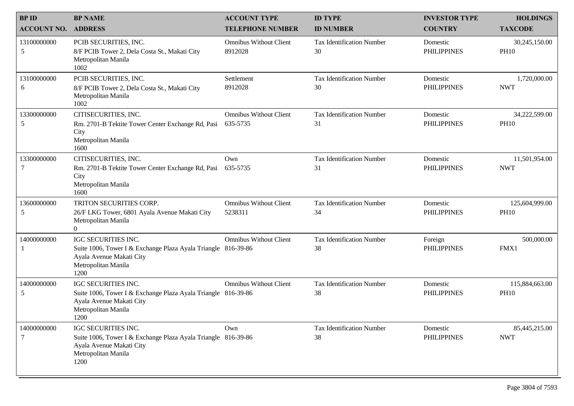| <b>BPID</b>        | <b>BP NAME</b>                                                                                                                                  | <b>ACCOUNT TYPE</b>                       | <b>ID TYPE</b>                         | <b>INVESTOR TYPE</b>           | <b>HOLDINGS</b>               |
|--------------------|-------------------------------------------------------------------------------------------------------------------------------------------------|-------------------------------------------|----------------------------------------|--------------------------------|-------------------------------|
| <b>ACCOUNT NO.</b> | <b>ADDRESS</b>                                                                                                                                  | <b>TELEPHONE NUMBER</b>                   | <b>ID NUMBER</b>                       | <b>COUNTRY</b>                 | <b>TAXCODE</b>                |
| 13100000000<br>5   | PCIB SECURITIES, INC.<br>8/F PCIB Tower 2, Dela Costa St., Makati City<br>Metropolitan Manila<br>1002                                           | <b>Omnibus Without Client</b><br>8912028  | <b>Tax Identification Number</b><br>30 | Domestic<br><b>PHILIPPINES</b> | 30,245,150.00<br><b>PH10</b>  |
| 13100000000<br>6   | PCIB SECURITIES, INC.<br>8/F PCIB Tower 2, Dela Costa St., Makati City<br>Metropolitan Manila<br>1002                                           | Settlement<br>8912028                     | <b>Tax Identification Number</b><br>30 | Domestic<br><b>PHILIPPINES</b> | 1,720,000.00<br><b>NWT</b>    |
| 13300000000<br>5   | CITISECURITIES, INC.<br>Rm. 2701-B Tektite Tower Center Exchange Rd, Pasi<br>City<br>Metropolitan Manila<br>1600                                | <b>Omnibus Without Client</b><br>635-5735 | <b>Tax Identification Number</b><br>31 | Domestic<br><b>PHILIPPINES</b> | 34,222,599.00<br><b>PH10</b>  |
| 13300000000<br>7   | CITISECURITIES, INC.<br>Rm. 2701-B Tektite Tower Center Exchange Rd, Pasi<br>City<br>Metropolitan Manila<br>1600                                | Own<br>635-5735                           | <b>Tax Identification Number</b><br>31 | Domestic<br><b>PHILIPPINES</b> | 11,501,954.00<br><b>NWT</b>   |
| 13600000000<br>5   | TRITON SECURITIES CORP.<br>26/F LKG Tower, 6801 Ayala Avenue Makati City<br>Metropolitan Manila<br>$\Omega$                                     | <b>Omnibus Without Client</b><br>5238311  | <b>Tax Identification Number</b><br>34 | Domestic<br><b>PHILIPPINES</b> | 125,604,999.00<br><b>PH10</b> |
| 14000000000        | IGC SECURITIES INC.<br>Suite 1006, Tower I & Exchange Plaza Ayala Triangle 816-39-86<br>Ayala Avenue Makati City<br>Metropolitan Manila<br>1200 | <b>Omnibus Without Client</b>             | <b>Tax Identification Number</b><br>38 | Foreign<br><b>PHILIPPINES</b>  | 500,000.00<br>FMX1            |
| 14000000000<br>5   | IGC SECURITIES INC.<br>Suite 1006, Tower I & Exchange Plaza Ayala Triangle 816-39-86<br>Ayala Avenue Makati City<br>Metropolitan Manila<br>1200 | <b>Omnibus Without Client</b>             | <b>Tax Identification Number</b><br>38 | Domestic<br><b>PHILIPPINES</b> | 115,884,663.00<br><b>PH10</b> |
| 14000000000<br>7   | IGC SECURITIES INC.<br>Suite 1006, Tower I & Exchange Plaza Ayala Triangle 816-39-86<br>Ayala Avenue Makati City<br>Metropolitan Manila<br>1200 | Own                                       | <b>Tax Identification Number</b><br>38 | Domestic<br><b>PHILIPPINES</b> | 85,445,215.00<br><b>NWT</b>   |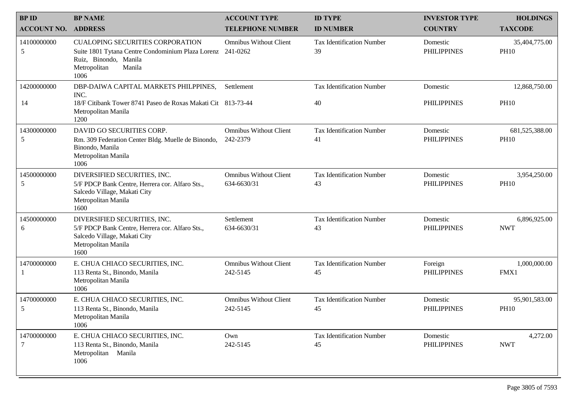| <b>BPID</b>           | <b>BP NAME</b>                                                                                                                                                   | <b>ACCOUNT TYPE</b>                          | <b>ID TYPE</b>                         | <b>INVESTOR TYPE</b>           | <b>HOLDINGS</b>               |
|-----------------------|------------------------------------------------------------------------------------------------------------------------------------------------------------------|----------------------------------------------|----------------------------------------|--------------------------------|-------------------------------|
| <b>ACCOUNT NO.</b>    | <b>ADDRESS</b>                                                                                                                                                   | <b>TELEPHONE NUMBER</b>                      | <b>ID NUMBER</b>                       | <b>COUNTRY</b>                 | <b>TAXCODE</b>                |
| 14100000000<br>5      | <b>CUALOPING SECURITIES CORPORATION</b><br>Suite 1801 Tytana Centre Condominium Plaza Lorenz 241-0262<br>Ruiz, Binondo, Manila<br>Metropolitan<br>Manila<br>1006 | <b>Omnibus Without Client</b>                | <b>Tax Identification Number</b><br>39 | Domestic<br><b>PHILIPPINES</b> | 35,404,775.00<br><b>PH10</b>  |
| 14200000000<br>14     | DBP-DAIWA CAPITAL MARKETS PHILPPINES,<br>INC.<br>18/F Citibank Tower 8741 Paseo de Roxas Makati Cit 813-73-44<br>Metropolitan Manila<br>1200                     | Settlement                                   | <b>Tax Identification Number</b><br>40 | Domestic<br><b>PHILIPPINES</b> | 12,868,750.00<br><b>PH10</b>  |
| 14300000000<br>5      | DAVID GO SECURITIES CORP.<br>Rm. 309 Federation Center Bldg. Muelle de Binondo,<br>Binondo, Manila<br>Metropolitan Manila<br>1006                                | <b>Omnibus Without Client</b><br>242-2379    | <b>Tax Identification Number</b><br>41 | Domestic<br><b>PHILIPPINES</b> | 681,525,388.00<br><b>PH10</b> |
| 14500000000<br>5      | DIVERSIFIED SECURITIES, INC.<br>5/F PDCP Bank Centre, Herrera cor. Alfaro Sts.,<br>Salcedo Village, Makati City<br>Metropolitan Manila<br>1600                   | <b>Omnibus Without Client</b><br>634-6630/31 | <b>Tax Identification Number</b><br>43 | Domestic<br><b>PHILIPPINES</b> | 3,954,250.00<br><b>PH10</b>   |
| 14500000000<br>6      | DIVERSIFIED SECURITIES, INC.<br>5/F PDCP Bank Centre, Herrera cor. Alfaro Sts.,<br>Salcedo Village, Makati City<br>Metropolitan Manila<br>1600                   | Settlement<br>634-6630/31                    | <b>Tax Identification Number</b><br>43 | Domestic<br><b>PHILIPPINES</b> | 6,896,925.00<br><b>NWT</b>    |
| 14700000000           | E. CHUA CHIACO SECURITIES, INC.<br>113 Renta St., Binondo, Manila<br>Metropolitan Manila<br>1006                                                                 | <b>Omnibus Without Client</b><br>242-5145    | <b>Tax Identification Number</b><br>45 | Foreign<br><b>PHILIPPINES</b>  | 1,000,000.00<br>FMX1          |
| 14700000000<br>5      | E. CHUA CHIACO SECURITIES, INC.<br>113 Renta St., Binondo, Manila<br>Metropolitan Manila<br>1006                                                                 | <b>Omnibus Without Client</b><br>242-5145    | <b>Tax Identification Number</b><br>45 | Domestic<br><b>PHILIPPINES</b> | 95,901,583.00<br><b>PH10</b>  |
| 14700000000<br>$\tau$ | E. CHUA CHIACO SECURITIES, INC.<br>113 Renta St., Binondo, Manila<br>Metropolitan Manila<br>1006                                                                 | Own<br>242-5145                              | <b>Tax Identification Number</b><br>45 | Domestic<br><b>PHILIPPINES</b> | 4,272.00<br><b>NWT</b>        |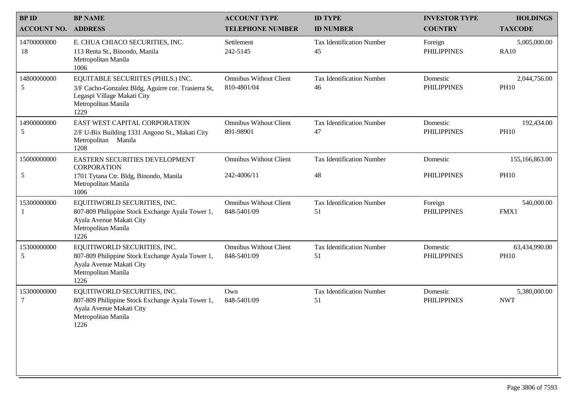| <b>BPID</b>                | <b>BP NAME</b>                                                                                                                                          | <b>ACCOUNT TYPE</b>                          | <b>ID TYPE</b>                         | <b>INVESTOR TYPE</b>           | <b>HOLDINGS</b>              |
|----------------------------|---------------------------------------------------------------------------------------------------------------------------------------------------------|----------------------------------------------|----------------------------------------|--------------------------------|------------------------------|
| <b>ACCOUNT NO. ADDRESS</b> |                                                                                                                                                         | <b>TELEPHONE NUMBER</b>                      | <b>ID NUMBER</b>                       | <b>COUNTRY</b>                 | <b>TAXCODE</b>               |
| 14700000000<br>18          | E. CHUA CHIACO SECURITIES, INC.<br>113 Renta St., Binondo, Manila<br>Metropolitan Manila<br>1006                                                        | Settlement<br>242-5145                       | <b>Tax Identification Number</b><br>45 | Foreign<br><b>PHILIPPINES</b>  | 5,005,000.00<br><b>RA10</b>  |
| 14800000000<br>5           | EQUITABLE SECURIITES (PHILS.) INC.<br>3/F Cacho-Gonzalez Bldg, Aguirre cor. Trasierra St,<br>Legaspi Village Makati City<br>Metropolitan Manila<br>1229 | <b>Omnibus Without Client</b><br>810-4801/04 | <b>Tax Identification Number</b><br>46 | Domestic<br><b>PHILIPPINES</b> | 2,044,756.00<br><b>PH10</b>  |
| 14900000000<br>5           | EAST WEST CAPITAL CORPORATION<br>2/F U-Bix Building 1331 Angono St., Makati City<br>Metropolitan Manila<br>1208                                         | <b>Omnibus Without Client</b><br>891-98901   | <b>Tax Identification Number</b><br>47 | Domestic<br><b>PHILIPPINES</b> | 192,434.00<br><b>PH10</b>    |
| 15000000000                | EASTERN SECURITIES DEVELOPMENT<br><b>CORPORATION</b>                                                                                                    | <b>Omnibus Without Client</b>                | <b>Tax Identification Number</b>       | Domestic                       | 155,166,863.00               |
| 5                          | 1701 Tytana Ctr. Bldg, Binondo, Manila<br>Metropolitan Manila<br>1006                                                                                   | 242-4006/11                                  | 48                                     | <b>PHILIPPINES</b>             | <b>PH10</b>                  |
| 15300000000                | EQUITIWORLD SECURITIES, INC.<br>807-809 Philippine Stock Exchange Ayala Tower 1,<br>Ayala Avenue Makati City<br>Metropolitan Manila<br>1226             | <b>Omnibus Without Client</b><br>848-5401/09 | <b>Tax Identification Number</b><br>51 | Foreign<br><b>PHILIPPINES</b>  | 540,000.00<br>FMX1           |
| 15300000000<br>5           | EQUITIWORLD SECURITIES, INC.<br>807-809 Philippine Stock Exchange Ayala Tower 1,<br>Ayala Avenue Makati City<br>Metropolitan Manila<br>1226             | <b>Omnibus Without Client</b><br>848-5401/09 | <b>Tax Identification Number</b><br>51 | Domestic<br><b>PHILIPPINES</b> | 63,434,990.00<br><b>PH10</b> |
| 15300000000<br>7           | EQUITIWORLD SECURITIES, INC.<br>807-809 Philippine Stock Exchange Ayala Tower 1,<br>Ayala Avenue Makati City<br>Metropolitan Manila<br>1226             | Own<br>848-5401/09                           | <b>Tax Identification Number</b><br>51 | Domestic<br><b>PHILIPPINES</b> | 5,380,000.00<br><b>NWT</b>   |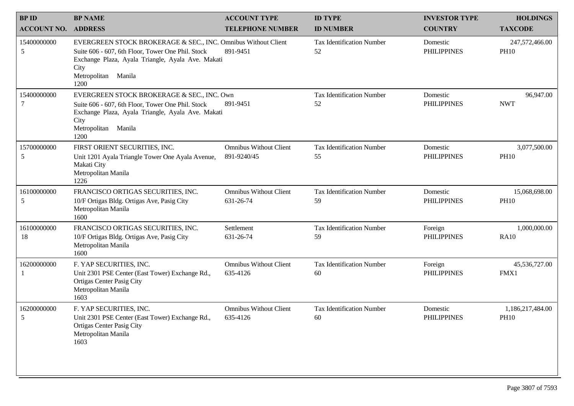| <b>BPID</b>           | <b>BP NAME</b>                                                                                                                                                                                                    | <b>ACCOUNT TYPE</b>                          | <b>ID TYPE</b>                         | <b>INVESTOR TYPE</b>           | <b>HOLDINGS</b>                 |
|-----------------------|-------------------------------------------------------------------------------------------------------------------------------------------------------------------------------------------------------------------|----------------------------------------------|----------------------------------------|--------------------------------|---------------------------------|
| <b>ACCOUNT NO.</b>    | <b>ADDRESS</b>                                                                                                                                                                                                    | <b>TELEPHONE NUMBER</b>                      | <b>ID NUMBER</b>                       | <b>COUNTRY</b>                 | <b>TAXCODE</b>                  |
| 15400000000<br>5      | EVERGREEN STOCK BROKERAGE & SEC., INC. Omnibus Without Client<br>Suite 606 - 607, 6th Floor, Tower One Phil. Stock<br>Exchange Plaza, Ayala Triangle, Ayala Ave. Makati<br>City<br>Metropolitan<br>Manila<br>1200 | 891-9451                                     | <b>Tax Identification Number</b><br>52 | Domestic<br><b>PHILIPPINES</b> | 247,572,466.00<br><b>PH10</b>   |
| 15400000000<br>7      | EVERGREEN STOCK BROKERAGE & SEC., INC. Own<br>Suite 606 - 607, 6th Floor, Tower One Phil. Stock<br>Exchange Plaza, Ayala Triangle, Ayala Ave. Makati<br>City<br>Metropolitan Manila<br>1200                       | 891-9451                                     | <b>Tax Identification Number</b><br>52 | Domestic<br><b>PHILIPPINES</b> | 96,947.00<br><b>NWT</b>         |
| 15700000000<br>5      | FIRST ORIENT SECURITIES, INC.<br>Unit 1201 Ayala Triangle Tower One Ayala Avenue,<br>Makati City<br>Metropolitan Manila<br>1226                                                                                   | <b>Omnibus Without Client</b><br>891-9240/45 | <b>Tax Identification Number</b><br>55 | Domestic<br><b>PHILIPPINES</b> | 3,077,500.00<br><b>PH10</b>     |
| 16100000000<br>5      | FRANCISCO ORTIGAS SECURITIES, INC.<br>10/F Ortigas Bldg. Ortigas Ave, Pasig City<br>Metropolitan Manila<br>1600                                                                                                   | <b>Omnibus Without Client</b><br>631-26-74   | <b>Tax Identification Number</b><br>59 | Domestic<br><b>PHILIPPINES</b> | 15,068,698.00<br><b>PH10</b>    |
| 16100000000<br>18     | FRANCISCO ORTIGAS SECURITIES, INC.<br>10/F Ortigas Bldg. Ortigas Ave, Pasig City<br>Metropolitan Manila<br>1600                                                                                                   | Settlement<br>631-26-74                      | <b>Tax Identification Number</b><br>59 | Foreign<br><b>PHILIPPINES</b>  | 1,000,000.00<br><b>RA10</b>     |
| 16200000000           | F. YAP SECURITIES, INC.<br>Unit 2301 PSE Center (East Tower) Exchange Rd.,<br><b>Ortigas Center Pasig City</b><br>Metropolitan Manila<br>1603                                                                     | <b>Omnibus Without Client</b><br>635-4126    | <b>Tax Identification Number</b><br>60 | Foreign<br><b>PHILIPPINES</b>  | 45,536,727.00<br>FMX1           |
| 16200000000<br>$\leq$ | F. YAP SECURITIES, INC.<br>Unit 2301 PSE Center (East Tower) Exchange Rd.,<br><b>Ortigas Center Pasig City</b><br>Metropolitan Manila<br>1603                                                                     | <b>Omnibus Without Client</b><br>635-4126    | <b>Tax Identification Number</b><br>60 | Domestic<br><b>PHILIPPINES</b> | 1,186,217,484.00<br><b>PH10</b> |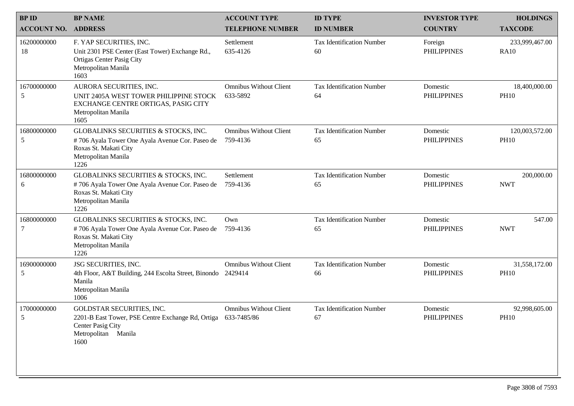| <b>BPID</b>        | <b>BP NAME</b>                                                                                                                                        | <b>ACCOUNT TYPE</b>                       | <b>ID TYPE</b>                         | <b>INVESTOR TYPE</b>           | <b>HOLDINGS</b>               |
|--------------------|-------------------------------------------------------------------------------------------------------------------------------------------------------|-------------------------------------------|----------------------------------------|--------------------------------|-------------------------------|
| <b>ACCOUNT NO.</b> | <b>ADDRESS</b>                                                                                                                                        | <b>TELEPHONE NUMBER</b>                   | <b>ID NUMBER</b>                       | <b>COUNTRY</b>                 | <b>TAXCODE</b>                |
| 16200000000<br>18  | F. YAP SECURITIES, INC.<br>Unit 2301 PSE Center (East Tower) Exchange Rd.,<br><b>Ortigas Center Pasig City</b><br>Metropolitan Manila<br>1603         | Settlement<br>635-4126                    | <b>Tax Identification Number</b><br>60 | Foreign<br><b>PHILIPPINES</b>  | 233,999,467.00<br><b>RA10</b> |
| 16700000000<br>5   | AURORA SECURITIES, INC.<br>UNIT 2405A WEST TOWER PHILIPPINE STOCK<br>EXCHANGE CENTRE ORTIGAS, PASIG CITY<br>Metropolitan Manila<br>1605               | <b>Omnibus Without Client</b><br>633-5892 | <b>Tax Identification Number</b><br>64 | Domestic<br><b>PHILIPPINES</b> | 18,400,000.00<br><b>PH10</b>  |
| 16800000000<br>5   | GLOBALINKS SECURITIES & STOCKS, INC.<br>#706 Ayala Tower One Ayala Avenue Cor. Paseo de<br>Roxas St. Makati City<br>Metropolitan Manila<br>1226       | <b>Omnibus Without Client</b><br>759-4136 | <b>Tax Identification Number</b><br>65 | Domestic<br><b>PHILIPPINES</b> | 120,003,572.00<br><b>PH10</b> |
| 16800000000<br>6   | GLOBALINKS SECURITIES & STOCKS, INC.<br>#706 Ayala Tower One Ayala Avenue Cor. Paseo de<br>Roxas St. Makati City<br>Metropolitan Manila<br>1226       | Settlement<br>759-4136                    | <b>Tax Identification Number</b><br>65 | Domestic<br><b>PHILIPPINES</b> | 200,000.00<br><b>NWT</b>      |
| 16800000000<br>7   | GLOBALINKS SECURITIES & STOCKS, INC.<br>#706 Ayala Tower One Ayala Avenue Cor. Paseo de<br>Roxas St. Makati City<br>Metropolitan Manila<br>1226       | Own<br>759-4136                           | <b>Tax Identification Number</b><br>65 | Domestic<br><b>PHILIPPINES</b> | 547.00<br><b>NWT</b>          |
| 16900000000<br>5   | JSG SECURITIES, INC.<br>4th Floor, A&T Building, 244 Escolta Street, Binondo 2429414<br>Manila<br>Metropolitan Manila<br>1006                         | <b>Omnibus Without Client</b>             | <b>Tax Identification Number</b><br>66 | Domestic<br><b>PHILIPPINES</b> | 31,558,172.00<br><b>PH10</b>  |
| 17000000000<br>5   | <b>GOLDSTAR SECURITIES, INC.</b><br>2201-B East Tower, PSE Centre Exchange Rd, Ortiga 633-7485/86<br>Center Pasig City<br>Metropolitan Manila<br>1600 | <b>Omnibus Without Client</b>             | <b>Tax Identification Number</b><br>67 | Domestic<br><b>PHILIPPINES</b> | 92,998,605.00<br><b>PH10</b>  |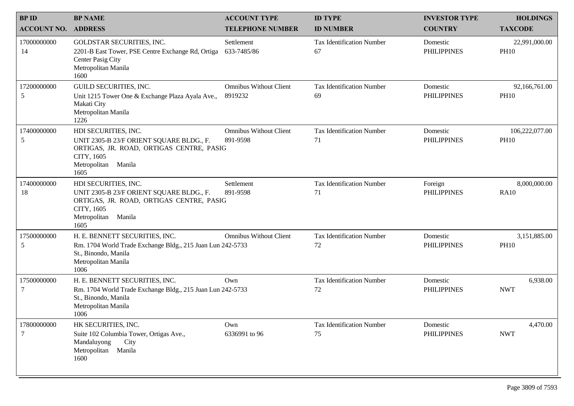| <b>BPID</b>        | <b>BP NAME</b>                                                                                                                                               | <b>ACCOUNT TYPE</b>                       | <b>ID TYPE</b>                         | <b>INVESTOR TYPE</b>           | <b>HOLDINGS</b>               |
|--------------------|--------------------------------------------------------------------------------------------------------------------------------------------------------------|-------------------------------------------|----------------------------------------|--------------------------------|-------------------------------|
| <b>ACCOUNT NO.</b> | <b>ADDRESS</b>                                                                                                                                               | <b>TELEPHONE NUMBER</b>                   | <b>ID NUMBER</b>                       | <b>COUNTRY</b>                 | <b>TAXCODE</b>                |
| 17000000000<br>14  | GOLDSTAR SECURITIES, INC.<br>2201-B East Tower, PSE Centre Exchange Rd, Ortiga<br>Center Pasig City<br>Metropolitan Manila<br>1600                           | Settlement<br>633-7485/86                 | <b>Tax Identification Number</b><br>67 | Domestic<br><b>PHILIPPINES</b> | 22,991,000.00<br><b>PH10</b>  |
| 17200000000<br>5   | GUILD SECURITIES, INC.<br>Unit 1215 Tower One & Exchange Plaza Ayala Ave.,<br>Makati City<br>Metropolitan Manila<br>1226                                     | <b>Omnibus Without Client</b><br>8919232  | <b>Tax Identification Number</b><br>69 | Domestic<br><b>PHILIPPINES</b> | 92,166,761.00<br><b>PH10</b>  |
| 17400000000<br>5   | HDI SECURITIES, INC.<br>UNIT 2305-B 23/F ORIENT SQUARE BLDG., F.<br>ORTIGAS, JR. ROAD, ORTIGAS CENTRE, PASIG<br>CITY, 1605<br>Metropolitan<br>Manila<br>1605 | <b>Omnibus Without Client</b><br>891-9598 | <b>Tax Identification Number</b><br>71 | Domestic<br><b>PHILIPPINES</b> | 106,222,077.00<br><b>PH10</b> |
| 17400000000<br>18  | HDI SECURITIES, INC.<br>UNIT 2305-B 23/F ORIENT SQUARE BLDG., F.<br>ORTIGAS, JR. ROAD, ORTIGAS CENTRE, PASIG<br>CITY, 1605<br>Manila<br>Metropolitan<br>1605 | Settlement<br>891-9598                    | <b>Tax Identification Number</b><br>71 | Foreign<br><b>PHILIPPINES</b>  | 8,000,000.00<br><b>RA10</b>   |
| 17500000000<br>5   | H. E. BENNETT SECURITIES, INC.<br>Rm. 1704 World Trade Exchange Bldg., 215 Juan Lun 242-5733<br>St., Binondo, Manila<br>Metropolitan Manila<br>1006          | <b>Omnibus Without Client</b>             | Tax Identification Number<br>72        | Domestic<br><b>PHILIPPINES</b> | 3,151,885.00<br><b>PH10</b>   |
| 17500000000<br>7   | H. E. BENNETT SECURITIES, INC.<br>Rm. 1704 World Trade Exchange Bldg., 215 Juan Lun 242-5733<br>St., Binondo, Manila<br>Metropolitan Manila<br>1006          | Own                                       | <b>Tax Identification Number</b><br>72 | Domestic<br><b>PHILIPPINES</b> | 6,938.00<br><b>NWT</b>        |
| 17800000000<br>7   | HK SECURITIES, INC.<br>Suite 102 Columbia Tower, Ortigas Ave.,<br>Mandaluyong<br>City<br>Metropolitan<br>Manila<br>1600                                      | Own<br>6336991 to 96                      | <b>Tax Identification Number</b><br>75 | Domestic<br><b>PHILIPPINES</b> | 4,470.00<br><b>NWT</b>        |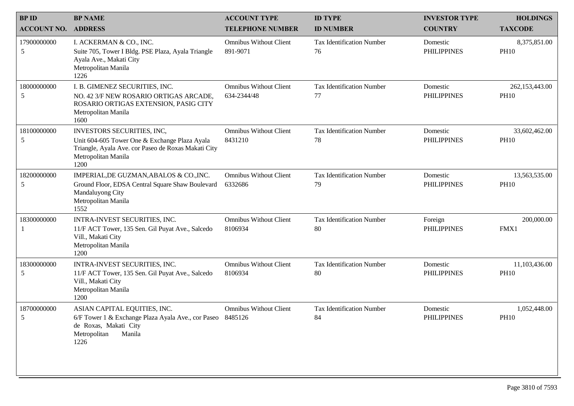| <b>BPID</b>        | <b>BP NAME</b>                                                                                                                                                    | <b>ACCOUNT TYPE</b>                          | <b>ID TYPE</b>                         | <b>INVESTOR TYPE</b>           | <b>HOLDINGS</b>               |
|--------------------|-------------------------------------------------------------------------------------------------------------------------------------------------------------------|----------------------------------------------|----------------------------------------|--------------------------------|-------------------------------|
| <b>ACCOUNT NO.</b> | <b>ADDRESS</b>                                                                                                                                                    | <b>TELEPHONE NUMBER</b>                      | <b>ID NUMBER</b>                       | <b>COUNTRY</b>                 | <b>TAXCODE</b>                |
| 17900000000<br>5   | I. ACKERMAN & CO., INC.<br>Suite 705, Tower I Bldg. PSE Plaza, Ayala Triangle<br>Ayala Ave., Makati City<br>Metropolitan Manila<br>1226                           | <b>Omnibus Without Client</b><br>891-9071    | <b>Tax Identification Number</b><br>76 | Domestic<br><b>PHILIPPINES</b> | 8,375,851.00<br><b>PH10</b>   |
| 18000000000<br>5   | I. B. GIMENEZ SECURITIES, INC.<br>NO. 42 3/F NEW ROSARIO ORTIGAS ARCADE,<br>ROSARIO ORTIGAS EXTENSION, PASIG CITY<br>Metropolitan Manila<br>1600                  | <b>Omnibus Without Client</b><br>634-2344/48 | <b>Tax Identification Number</b><br>77 | Domestic<br><b>PHILIPPINES</b> | 262,153,443.00<br><b>PH10</b> |
| 18100000000<br>5   | INVESTORS SECURITIES, INC,<br>Unit 604-605 Tower One & Exchange Plaza Ayala<br>Triangle, Ayala Ave. cor Paseo de Roxas Makati City<br>Metropolitan Manila<br>1200 | <b>Omnibus Without Client</b><br>8431210     | <b>Tax Identification Number</b><br>78 | Domestic<br><b>PHILIPPINES</b> | 33,602,462.00<br><b>PH10</b>  |
| 18200000000<br>5   | IMPERIAL, DE GUZMAN, ABALOS & CO., INC.<br>Ground Floor, EDSA Central Square Shaw Boulevard<br>Mandaluyong City<br>Metropolitan Manila<br>1552                    | <b>Omnibus Without Client</b><br>6332686     | <b>Tax Identification Number</b><br>79 | Domestic<br><b>PHILIPPINES</b> | 13,563,535.00<br><b>PH10</b>  |
| 18300000000        | INTRA-INVEST SECURITIES, INC.<br>11/F ACT Tower, 135 Sen. Gil Puyat Ave., Salcedo<br>Vill., Makati City<br>Metropolitan Manila<br>1200                            | <b>Omnibus Without Client</b><br>8106934     | <b>Tax Identification Number</b><br>80 | Foreign<br><b>PHILIPPINES</b>  | 200,000.00<br>FMX1            |
| 18300000000<br>5   | INTRA-INVEST SECURITIES, INC.<br>11/F ACT Tower, 135 Sen. Gil Puyat Ave., Salcedo<br>Vill., Makati City<br>Metropolitan Manila<br>1200                            | <b>Omnibus Without Client</b><br>8106934     | <b>Tax Identification Number</b><br>80 | Domestic<br><b>PHILIPPINES</b> | 11,103,436.00<br><b>PH10</b>  |
| 18700000000<br>5   | ASIAN CAPITAL EQUITIES, INC.<br>6/F Tower 1 & Exchange Plaza Ayala Ave., cor Paseo 8485126<br>de Roxas, Makati City<br>Metropolitan<br>Manila<br>1226             | <b>Omnibus Without Client</b>                | <b>Tax Identification Number</b><br>84 | Domestic<br><b>PHILIPPINES</b> | 1,052,448.00<br><b>PH10</b>   |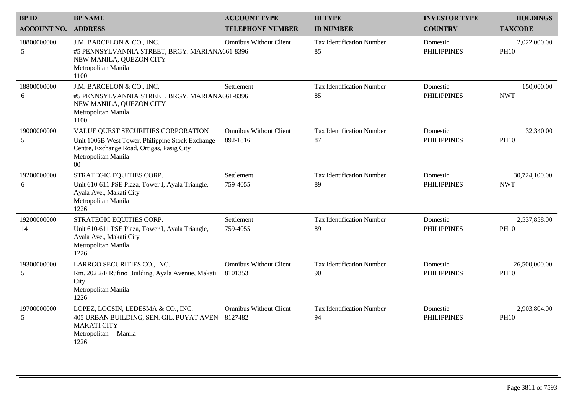| <b>BPID</b>                | <b>BP NAME</b>                                                                                                                                                        | <b>ACCOUNT TYPE</b>                       | <b>ID TYPE</b>                         | <b>INVESTOR TYPE</b>           | <b>HOLDINGS</b>              |
|----------------------------|-----------------------------------------------------------------------------------------------------------------------------------------------------------------------|-------------------------------------------|----------------------------------------|--------------------------------|------------------------------|
| <b>ACCOUNT NO. ADDRESS</b> |                                                                                                                                                                       | <b>TELEPHONE NUMBER</b>                   | <b>ID NUMBER</b>                       | <b>COUNTRY</b>                 | <b>TAXCODE</b>               |
| 18800000000<br>5           | J.M. BARCELON & CO., INC.<br>#5 PENNSYLVANNIA STREET, BRGY. MARIANA661-8396<br>NEW MANILA, QUEZON CITY<br>Metropolitan Manila<br>1100                                 | <b>Omnibus Without Client</b>             | <b>Tax Identification Number</b><br>85 | Domestic<br><b>PHILIPPINES</b> | 2,022,000.00<br><b>PH10</b>  |
| 18800000000<br>6           | J.M. BARCELON & CO., INC.<br>#5 PENNSYLVANNIA STREET, BRGY. MARIANA661-8396<br>NEW MANILA, QUEZON CITY<br>Metropolitan Manila<br>1100                                 | Settlement                                | <b>Tax Identification Number</b><br>85 | Domestic<br><b>PHILIPPINES</b> | 150,000.00<br><b>NWT</b>     |
| 19000000000<br>5           | VALUE QUEST SECURITIES CORPORATION<br>Unit 1006B West Tower, Philippine Stock Exchange<br>Centre, Exchange Road, Ortigas, Pasig City<br>Metropolitan Manila<br>$00\,$ | <b>Omnibus Without Client</b><br>892-1816 | <b>Tax Identification Number</b><br>87 | Domestic<br><b>PHILIPPINES</b> | 32,340.00<br><b>PH10</b>     |
| 19200000000<br>6           | STRATEGIC EQUITIES CORP.<br>Unit 610-611 PSE Plaza, Tower I, Ayala Triangle,<br>Ayala Ave., Makati City<br>Metropolitan Manila<br>1226                                | Settlement<br>759-4055                    | <b>Tax Identification Number</b><br>89 | Domestic<br><b>PHILIPPINES</b> | 30,724,100.00<br><b>NWT</b>  |
| 19200000000<br>14          | STRATEGIC EQUITIES CORP.<br>Unit 610-611 PSE Plaza, Tower I, Ayala Triangle,<br>Ayala Ave., Makati City<br>Metropolitan Manila<br>1226                                | Settlement<br>759-4055                    | <b>Tax Identification Number</b><br>89 | Domestic<br><b>PHILIPPINES</b> | 2,537,858.00<br><b>PH10</b>  |
| 19300000000<br>5           | LARRGO SECURITIES CO., INC.<br>Rm. 202 2/F Rufino Building, Ayala Avenue, Makati<br>City<br>Metropolitan Manila<br>1226                                               | <b>Omnibus Without Client</b><br>8101353  | <b>Tax Identification Number</b><br>90 | Domestic<br><b>PHILIPPINES</b> | 26,500,000.00<br><b>PH10</b> |
| 19700000000<br>5           | LOPEZ, LOCSIN, LEDESMA & CO., INC.<br>405 URBAN BUILDING, SEN. GIL. PUYAT AVEN 8127482<br><b>MAKATI CITY</b><br>Metropolitan Manila<br>1226                           | <b>Omnibus Without Client</b>             | <b>Tax Identification Number</b><br>94 | Domestic<br><b>PHILIPPINES</b> | 2,903,804.00<br><b>PH10</b>  |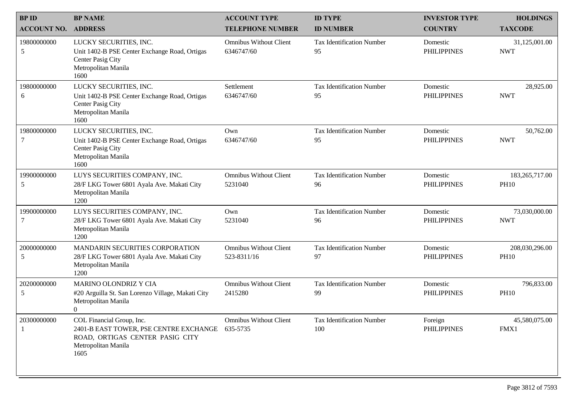| <b>BPID</b>        | <b>BP NAME</b>                                                                                                                        | <b>ACCOUNT TYPE</b>                          | <b>ID TYPE</b>                         | <b>INVESTOR TYPE</b>           | <b>HOLDINGS</b>                 |
|--------------------|---------------------------------------------------------------------------------------------------------------------------------------|----------------------------------------------|----------------------------------------|--------------------------------|---------------------------------|
| <b>ACCOUNT NO.</b> | <b>ADDRESS</b>                                                                                                                        | <b>TELEPHONE NUMBER</b>                      | <b>ID NUMBER</b>                       | <b>COUNTRY</b>                 | <b>TAXCODE</b>                  |
| 19800000000<br>5   | LUCKY SECURITIES, INC.<br>Unit 1402-B PSE Center Exchange Road, Ortigas<br>Center Pasig City<br>Metropolitan Manila<br>1600           | <b>Omnibus Without Client</b><br>6346747/60  | <b>Tax Identification Number</b><br>95 | Domestic<br><b>PHILIPPINES</b> | 31,125,001.00<br><b>NWT</b>     |
| 19800000000<br>6   | LUCKY SECURITIES, INC.<br>Unit 1402-B PSE Center Exchange Road, Ortigas<br>Center Pasig City<br>Metropolitan Manila<br>1600           | Settlement<br>6346747/60                     | <b>Tax Identification Number</b><br>95 | Domestic<br><b>PHILIPPINES</b> | 28,925.00<br><b>NWT</b>         |
| 19800000000<br>7   | LUCKY SECURITIES, INC.<br>Unit 1402-B PSE Center Exchange Road, Ortigas<br>Center Pasig City<br>Metropolitan Manila<br>1600           | Own<br>6346747/60                            | <b>Tax Identification Number</b><br>95 | Domestic<br><b>PHILIPPINES</b> | 50,762.00<br><b>NWT</b>         |
| 19900000000<br>5   | LUYS SECURITIES COMPANY, INC.<br>28/F LKG Tower 6801 Ayala Ave. Makati City<br>Metropolitan Manila<br>1200                            | <b>Omnibus Without Client</b><br>5231040     | <b>Tax Identification Number</b><br>96 | Domestic<br><b>PHILIPPINES</b> | 183, 265, 717.00<br><b>PH10</b> |
| 19900000000        | LUYS SECURITIES COMPANY, INC.<br>28/F LKG Tower 6801 Ayala Ave. Makati City<br>Metropolitan Manila<br>1200                            | Own<br>5231040                               | <b>Tax Identification Number</b><br>96 | Domestic<br><b>PHILIPPINES</b> | 73,030,000.00<br><b>NWT</b>     |
| 20000000000<br>5   | <b>MANDARIN SECURITIES CORPORATION</b><br>28/F LKG Tower 6801 Ayala Ave. Makati City<br>Metropolitan Manila<br>1200                   | <b>Omnibus Without Client</b><br>523-8311/16 | <b>Tax Identification Number</b><br>97 | Domestic<br><b>PHILIPPINES</b> | 208,030,296.00<br><b>PH10</b>   |
| 20200000000<br>5   | <b>MARINO OLONDRIZ Y CIA</b><br>#20 Arguilla St. San Lorenzo Village, Makati City<br>Metropolitan Manila<br>$\overline{0}$            | <b>Omnibus Without Client</b><br>2415280     | <b>Tax Identification Number</b><br>99 | Domestic<br><b>PHILIPPINES</b> | 796,833.00<br><b>PH10</b>       |
| 20300000000        | COL Financial Group, Inc.<br>2401-B EAST TOWER, PSE CENTRE EXCHANGE<br>ROAD, ORTIGAS CENTER PASIG CITY<br>Metropolitan Manila<br>1605 | <b>Omnibus Without Client</b><br>635-5735    | Tax Identification Number<br>100       | Foreign<br><b>PHILIPPINES</b>  | 45,580,075.00<br>FMX1           |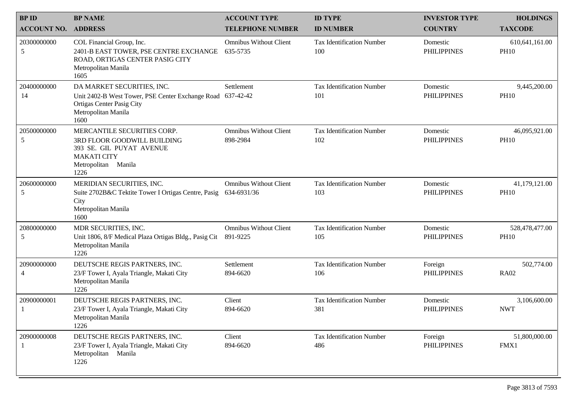| <b>BPID</b>        | <b>BP NAME</b>                                                                                                                              | <b>ACCOUNT TYPE</b>                          | <b>ID TYPE</b>                          | <b>INVESTOR TYPE</b>           | <b>HOLDINGS</b>               |
|--------------------|---------------------------------------------------------------------------------------------------------------------------------------------|----------------------------------------------|-----------------------------------------|--------------------------------|-------------------------------|
| <b>ACCOUNT NO.</b> | <b>ADDRESS</b>                                                                                                                              | <b>TELEPHONE NUMBER</b>                      | <b>ID NUMBER</b>                        | <b>COUNTRY</b>                 | <b>TAXCODE</b>                |
| 20300000000<br>5   | COL Financial Group, Inc.<br>2401-B EAST TOWER, PSE CENTRE EXCHANGE<br>ROAD, ORTIGAS CENTER PASIG CITY<br>Metropolitan Manila<br>1605       | <b>Omnibus Without Client</b><br>635-5735    | <b>Tax Identification Number</b><br>100 | Domestic<br><b>PHILIPPINES</b> | 610,641,161.00<br><b>PH10</b> |
| 20400000000<br>14  | DA MARKET SECURITIES, INC.<br>Unit 2402-B West Tower, PSE Center Exchange Road<br>Ortigas Center Pasig City<br>Metropolitan Manila<br>1600  | Settlement<br>637-42-42                      | <b>Tax Identification Number</b><br>101 | Domestic<br><b>PHILIPPINES</b> | 9,445,200.00<br><b>PH10</b>   |
| 20500000000<br>5   | MERCANTILE SECURITIES CORP.<br>3RD FLOOR GOODWILL BUILDING<br>393 SE. GIL PUYAT AVENUE<br><b>MAKATI CITY</b><br>Metropolitan Manila<br>1226 | <b>Omnibus Without Client</b><br>898-2984    | <b>Tax Identification Number</b><br>102 | Domestic<br><b>PHILIPPINES</b> | 46,095,921.00<br><b>PH10</b>  |
| 20600000000<br>5   | MERIDIAN SECURITIES, INC.<br>Suite 2702B&C Tektite Tower I Ortigas Centre, Pasig<br>City<br>Metropolitan Manila<br>1600                     | <b>Omnibus Without Client</b><br>634-6931/36 | <b>Tax Identification Number</b><br>103 | Domestic<br><b>PHILIPPINES</b> | 41,179,121.00<br><b>PH10</b>  |
| 20800000000<br>5   | MDR SECURITIES, INC.<br>Unit 1806, 8/F Medical Plaza Ortigas Bldg., Pasig Cit<br>Metropolitan Manila<br>1226                                | <b>Omnibus Without Client</b><br>891-9225    | <b>Tax Identification Number</b><br>105 | Domestic<br><b>PHILIPPINES</b> | 528,478,477.00<br><b>PH10</b> |
| 20900000000<br>4   | DEUTSCHE REGIS PARTNERS, INC.<br>23/F Tower I, Ayala Triangle, Makati City<br>Metropolitan Manila<br>1226                                   | Settlement<br>894-6620                       | <b>Tax Identification Number</b><br>106 | Foreign<br><b>PHILIPPINES</b>  | 502,774.00<br><b>RA02</b>     |
| 20900000001        | DEUTSCHE REGIS PARTNERS, INC.<br>23/F Tower I, Ayala Triangle, Makati City<br>Metropolitan Manila<br>1226                                   | Client<br>894-6620                           | <b>Tax Identification Number</b><br>381 | Domestic<br><b>PHILIPPINES</b> | 3,106,600.00<br><b>NWT</b>    |
| 20900000008        | DEUTSCHE REGIS PARTNERS, INC.<br>23/F Tower I, Ayala Triangle, Makati City<br>Metropolitan Manila<br>1226                                   | Client<br>894-6620                           | <b>Tax Identification Number</b><br>486 | Foreign<br><b>PHILIPPINES</b>  | 51,800,000.00<br>FMX1         |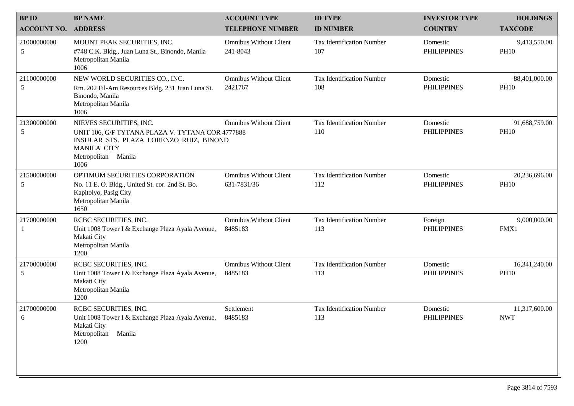| <b>BPID</b>                | <b>BP NAME</b>                                                                                                                                                              | <b>ACCOUNT TYPE</b>                          | <b>ID TYPE</b>                          | <b>INVESTOR TYPE</b>           | <b>HOLDINGS</b>              |
|----------------------------|-----------------------------------------------------------------------------------------------------------------------------------------------------------------------------|----------------------------------------------|-----------------------------------------|--------------------------------|------------------------------|
| <b>ACCOUNT NO. ADDRESS</b> |                                                                                                                                                                             | <b>TELEPHONE NUMBER</b>                      | <b>ID NUMBER</b>                        | <b>COUNTRY</b>                 | <b>TAXCODE</b>               |
| 21000000000<br>5           | MOUNT PEAK SECURITIES, INC.<br>#748 C.K. Bldg., Juan Luna St., Binondo, Manila<br>Metropolitan Manila<br>1006                                                               | <b>Omnibus Without Client</b><br>241-8043    | <b>Tax Identification Number</b><br>107 | Domestic<br><b>PHILIPPINES</b> | 9,413,550.00<br><b>PH10</b>  |
| 21100000000<br>5           | NEW WORLD SECURITIES CO., INC.<br>Rm. 202 Fil-Am Resources Bldg. 231 Juan Luna St.<br>Binondo, Manila<br>Metropolitan Manila<br>1006                                        | <b>Omnibus Without Client</b><br>2421767     | <b>Tax Identification Number</b><br>108 | Domestic<br><b>PHILIPPINES</b> | 88,401,000.00<br><b>PH10</b> |
| 21300000000<br>5           | NIEVES SECURITIES, INC.<br>UNIT 106, G/F TYTANA PLAZA V. TYTANA COR 4777888<br>INSULAR STS. PLAZA LORENZO RUIZ, BINOND<br><b>MANILA CITY</b><br>Metropolitan Manila<br>1006 | <b>Omnibus Without Client</b>                | <b>Tax Identification Number</b><br>110 | Domestic<br><b>PHILIPPINES</b> | 91,688,759.00<br><b>PH10</b> |
| 21500000000<br>5           | OPTIMUM SECURITIES CORPORATION<br>No. 11 E. O. Bldg., United St. cor. 2nd St. Bo.<br>Kapitolyo, Pasig City<br>Metropolitan Manila<br>1650                                   | <b>Omnibus Without Client</b><br>631-7831/36 | <b>Tax Identification Number</b><br>112 | Domestic<br><b>PHILIPPINES</b> | 20,236,696.00<br><b>PH10</b> |
| 21700000000                | RCBC SECURITIES, INC.<br>Unit 1008 Tower I & Exchange Plaza Ayala Avenue,<br>Makati City<br>Metropolitan Manila<br>1200                                                     | <b>Omnibus Without Client</b><br>8485183     | <b>Tax Identification Number</b><br>113 | Foreign<br><b>PHILIPPINES</b>  | 9,000,000.00<br>FMX1         |
| 21700000000<br>5           | RCBC SECURITIES, INC.<br>Unit 1008 Tower I & Exchange Plaza Ayala Avenue,<br>Makati City<br>Metropolitan Manila<br>1200                                                     | <b>Omnibus Without Client</b><br>8485183     | <b>Tax Identification Number</b><br>113 | Domestic<br><b>PHILIPPINES</b> | 16,341,240.00<br><b>PH10</b> |
| 21700000000<br>6           | RCBC SECURITIES, INC.<br>Unit 1008 Tower I & Exchange Plaza Ayala Avenue, 8485183<br>Makati City<br>Metropolitan Manila<br>1200                                             | Settlement                                   | <b>Tax Identification Number</b><br>113 | Domestic<br><b>PHILIPPINES</b> | 11,317,600.00<br><b>NWT</b>  |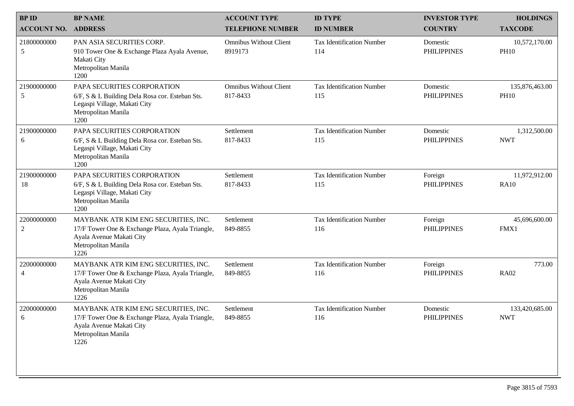| <b>BPID</b>        | <b>BP NAME</b>                                                                                                                                      | <b>ACCOUNT TYPE</b>                       | <b>ID TYPE</b>                          | <b>INVESTOR TYPE</b>           | <b>HOLDINGS</b>               |
|--------------------|-----------------------------------------------------------------------------------------------------------------------------------------------------|-------------------------------------------|-----------------------------------------|--------------------------------|-------------------------------|
| <b>ACCOUNT NO.</b> | <b>ADDRESS</b>                                                                                                                                      | <b>TELEPHONE NUMBER</b>                   | <b>ID NUMBER</b>                        | <b>COUNTRY</b>                 | <b>TAXCODE</b>                |
| 21800000000<br>5   | PAN ASIA SECURITIES CORP.<br>910 Tower One & Exchange Plaza Ayala Avenue,<br>Makati City<br>Metropolitan Manila<br>1200                             | <b>Omnibus Without Client</b><br>8919173  | <b>Tax Identification Number</b><br>114 | Domestic<br><b>PHILIPPINES</b> | 10,572,170.00<br><b>PH10</b>  |
| 21900000000<br>5   | PAPA SECURITIES CORPORATION<br>6/F, S & L Building Dela Rosa cor. Esteban Sts.<br>Legaspi Village, Makati City<br>Metropolitan Manila<br>1200       | <b>Omnibus Without Client</b><br>817-8433 | <b>Tax Identification Number</b><br>115 | Domestic<br><b>PHILIPPINES</b> | 135,876,463.00<br><b>PH10</b> |
| 21900000000<br>6   | PAPA SECURITIES CORPORATION<br>6/F, S & L Building Dela Rosa cor. Esteban Sts.<br>Legaspi Village, Makati City<br>Metropolitan Manila<br>1200       | Settlement<br>817-8433                    | <b>Tax Identification Number</b><br>115 | Domestic<br><b>PHILIPPINES</b> | 1,312,500.00<br><b>NWT</b>    |
| 21900000000<br>18  | PAPA SECURITIES CORPORATION<br>6/F, S & L Building Dela Rosa cor. Esteban Sts.<br>Legaspi Village, Makati City<br>Metropolitan Manila<br>1200       | Settlement<br>817-8433                    | <b>Tax Identification Number</b><br>115 | Foreign<br><b>PHILIPPINES</b>  | 11,972,912.00<br><b>RA10</b>  |
| 22000000000<br>2   | MAYBANK ATR KIM ENG SECURITIES, INC.<br>17/F Tower One & Exchange Plaza, Ayala Triangle,<br>Ayala Avenue Makati City<br>Metropolitan Manila<br>1226 | Settlement<br>849-8855                    | <b>Tax Identification Number</b><br>116 | Foreign<br><b>PHILIPPINES</b>  | 45,696,600.00<br>FMX1         |
| 22000000000<br>4   | MAYBANK ATR KIM ENG SECURITIES, INC.<br>17/F Tower One & Exchange Plaza, Ayala Triangle,<br>Ayala Avenue Makati City<br>Metropolitan Manila<br>1226 | Settlement<br>849-8855                    | <b>Tax Identification Number</b><br>116 | Foreign<br><b>PHILIPPINES</b>  | 773.00<br><b>RA02</b>         |
| 22000000000<br>6   | MAYBANK ATR KIM ENG SECURITIES, INC.<br>17/F Tower One & Exchange Plaza, Ayala Triangle,<br>Ayala Avenue Makati City<br>Metropolitan Manila<br>1226 | Settlement<br>849-8855                    | <b>Tax Identification Number</b><br>116 | Domestic<br><b>PHILIPPINES</b> | 133,420,685.00<br><b>NWT</b>  |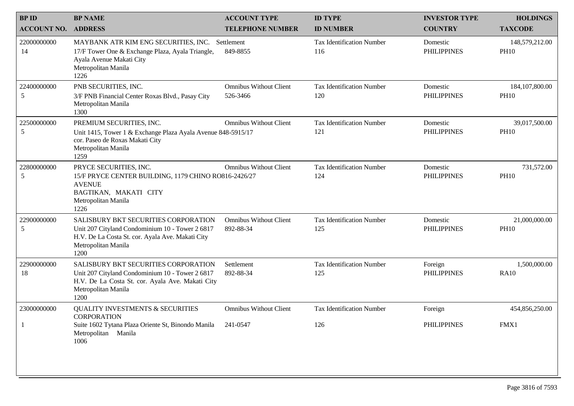| <b>BPID</b>        | <b>BP NAME</b>                                                                                                                                                             | <b>ACCOUNT TYPE</b>                        | <b>ID TYPE</b>                          | <b>INVESTOR TYPE</b>           | <b>HOLDINGS</b>                  |
|--------------------|----------------------------------------------------------------------------------------------------------------------------------------------------------------------------|--------------------------------------------|-----------------------------------------|--------------------------------|----------------------------------|
| <b>ACCOUNT NO.</b> | <b>ADDRESS</b>                                                                                                                                                             | <b>TELEPHONE NUMBER</b>                    | <b>ID NUMBER</b>                        | <b>COUNTRY</b>                 | <b>TAXCODE</b>                   |
| 22000000000<br>14  | MAYBANK ATR KIM ENG SECURITIES, INC. Settlement<br>17/F Tower One & Exchange Plaza, Ayala Triangle,<br>Ayala Avenue Makati City<br>Metropolitan Manila<br>1226             | 849-8855                                   | <b>Tax Identification Number</b><br>116 | Domestic<br><b>PHILIPPINES</b> | 148,579,212.00<br><b>PH10</b>    |
| 22400000000<br>5   | PNB SECURITIES, INC.<br>3/F PNB Financial Center Roxas Blvd., Pasay City<br>Metropolitan Manila<br>1300                                                                    | <b>Omnibus Without Client</b><br>526-3466  | <b>Tax Identification Number</b><br>120 | Domestic<br><b>PHILIPPINES</b> | 184, 107, 800. 00<br><b>PH10</b> |
| 22500000000<br>5   | PREMIUM SECURITIES, INC.<br>Unit 1415, Tower 1 & Exchange Plaza Ayala Avenue 848-5915/17<br>cor. Paseo de Roxas Makati City<br>Metropolitan Manila<br>1259                 | <b>Omnibus Without Client</b>              | <b>Tax Identification Number</b><br>121 | Domestic<br><b>PHILIPPINES</b> | 39,017,500.00<br><b>PH10</b>     |
| 22800000000<br>5   | PRYCE SECURITIES, INC.<br>15/F PRYCE CENTER BUILDING, 1179 CHINO RO816-2426/27<br><b>AVENUE</b><br>BAGTIKAN, MAKATI CITY<br>Metropolitan Manila<br>1226                    | <b>Omnibus Without Client</b>              | <b>Tax Identification Number</b><br>124 | Domestic<br><b>PHILIPPINES</b> | 731,572.00<br><b>PH10</b>        |
| 22900000000<br>5   | SALISBURY BKT SECURITIES CORPORATION<br>Unit 207 Cityland Condominium 10 - Tower 2 6817<br>H.V. De La Costa St. cor. Ayala Ave. Makati City<br>Metropolitan Manila<br>1200 | <b>Omnibus Without Client</b><br>892-88-34 | <b>Tax Identification Number</b><br>125 | Domestic<br><b>PHILIPPINES</b> | 21,000,000.00<br><b>PH10</b>     |
| 22900000000<br>18  | SALISBURY BKT SECURITIES CORPORATION<br>Unit 207 Cityland Condominium 10 - Tower 2 6817<br>H.V. De La Costa St. cor. Ayala Ave. Makati City<br>Metropolitan Manila<br>1200 | Settlement<br>892-88-34                    | <b>Tax Identification Number</b><br>125 | Foreign<br><b>PHILIPPINES</b>  | 1,500,000.00<br><b>RA10</b>      |
| 23000000000        | <b>QUALITY INVESTMENTS &amp; SECURITIES</b><br><b>CORPORATION</b><br>Suite 1602 Tytana Plaza Oriente St, Binondo Manila 241-0547<br>Metropolitan Manila<br>1006            | <b>Omnibus Without Client</b>              | <b>Tax Identification Number</b><br>126 | Foreign<br><b>PHILIPPINES</b>  | 454,856,250.00<br>FMX1           |
|                    |                                                                                                                                                                            |                                            |                                         |                                |                                  |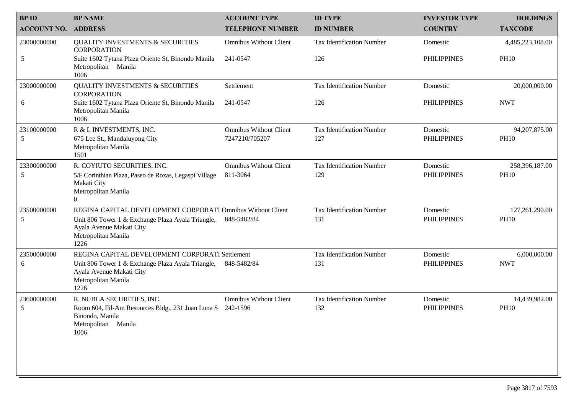| <b>BPID</b>                | <b>BP NAME</b>                                                                                               | <b>ACCOUNT TYPE</b>           | <b>ID TYPE</b>                   | <b>INVESTOR TYPE</b> | <b>HOLDINGS</b>  |
|----------------------------|--------------------------------------------------------------------------------------------------------------|-------------------------------|----------------------------------|----------------------|------------------|
| <b>ACCOUNT NO. ADDRESS</b> |                                                                                                              | <b>TELEPHONE NUMBER</b>       | <b>ID NUMBER</b>                 | <b>COUNTRY</b>       | <b>TAXCODE</b>   |
| 23000000000                | <b>QUALITY INVESTMENTS &amp; SECURITIES</b><br><b>CORPORATION</b>                                            | <b>Omnibus Without Client</b> | <b>Tax Identification Number</b> | Domestic             | 4,485,223,108.00 |
| 5                          | Suite 1602 Tytana Plaza Oriente St, Binondo Manila<br>Metropolitan Manila<br>1006                            | 241-0547                      | 126                              | <b>PHILIPPINES</b>   | <b>PH10</b>      |
| 23000000000                | <b>QUALITY INVESTMENTS &amp; SECURITIES</b><br><b>CORPORATION</b>                                            | Settlement                    | <b>Tax Identification Number</b> | Domestic             | 20,000,000.00    |
| 6                          | Suite 1602 Tytana Plaza Oriente St, Binondo Manila<br>Metropolitan Manila<br>1006                            | 241-0547                      | 126                              | <b>PHILIPPINES</b>   | <b>NWT</b>       |
| 23100000000                | R & L INVESTMENTS, INC.                                                                                      | <b>Omnibus Without Client</b> | <b>Tax Identification Number</b> | Domestic             | 94, 207, 875.00  |
| 5                          | 675 Lee St., Mandaluyong City<br>Metropolitan Manila<br>1501                                                 | 7247210/705207                | 127                              | <b>PHILIPPINES</b>   | <b>PH10</b>      |
| 23300000000                | R. COYIUTO SECURITIES, INC.                                                                                  | <b>Omnibus Without Client</b> | <b>Tax Identification Number</b> | Domestic             | 258,396,187.00   |
| 5                          | 5/F Corinthian Plaza, Paseo de Roxas, Legaspi Village<br>Makati City                                         | 811-3064                      | 129                              | <b>PHILIPPINES</b>   | <b>PH10</b>      |
|                            | Metropolitan Manila<br>$\overline{0}$                                                                        |                               |                                  |                      |                  |
| 23500000000                | REGINA CAPITAL DEVELOPMENT CORPORATI Omnibus Without Client                                                  |                               | <b>Tax Identification Number</b> | Domestic             | 127,261,290.00   |
| 5                          | Unit 806 Tower 1 & Exchange Plaza Ayala Triangle,<br>Ayala Avenue Makati City<br>Metropolitan Manila<br>1226 | 848-5482/84                   | 131                              | <b>PHILIPPINES</b>   | <b>PH10</b>      |
| 23500000000                | REGINA CAPITAL DEVELOPMENT CORPORATI Settlement                                                              |                               | <b>Tax Identification Number</b> | Domestic             | 6,000,000.00     |
| 6                          | Unit 806 Tower 1 & Exchange Plaza Ayala Triangle,<br>Ayala Avenue Makati City<br>Metropolitan Manila<br>1226 | 848-5482/84                   | 131                              | <b>PHILIPPINES</b>   | <b>NWT</b>       |
| 23600000000                | R. NUBLA SECURITIES, INC.                                                                                    | <b>Omnibus Without Client</b> | <b>Tax Identification Number</b> | Domestic             | 14,439,982.00    |
| 5                          | Room 604, Fil-Am Resources Bldg., 231 Juan Luna S 242-1596<br>Binondo, Manila<br>Metropolitan Manila<br>1006 |                               | 132                              | <b>PHILIPPINES</b>   | <b>PH10</b>      |
|                            |                                                                                                              |                               |                                  |                      |                  |
|                            |                                                                                                              |                               |                                  |                      |                  |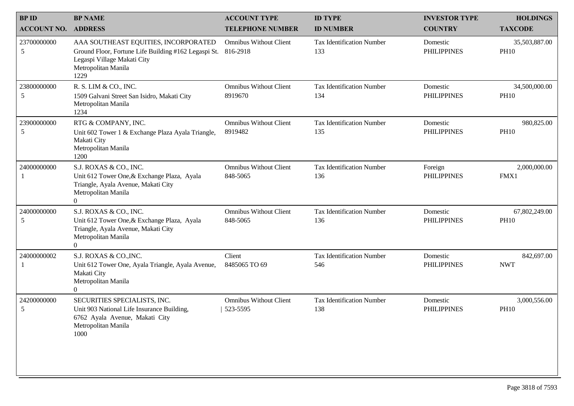| <b>ADDRESS</b>                                                                                                                                             | <b>TELEPHONE NUMBER</b>                   |                                         |                                |                              |
|------------------------------------------------------------------------------------------------------------------------------------------------------------|-------------------------------------------|-----------------------------------------|--------------------------------|------------------------------|
|                                                                                                                                                            |                                           | <b>ID NUMBER</b>                        | <b>COUNTRY</b>                 | <b>TAXCODE</b>               |
| AAA SOUTHEAST EQUITIES, INCORPORATED<br>Ground Floor, Fortune Life Building #162 Legaspi St.<br>Legaspi Village Makati City<br>Metropolitan Manila<br>1229 | <b>Omnibus Without Client</b><br>816-2918 | <b>Tax Identification Number</b><br>133 | Domestic<br><b>PHILIPPINES</b> | 35,503,887.00<br><b>PH10</b> |
| R. S. LIM & CO., INC.<br>1509 Galvani Street San Isidro, Makati City<br>Metropolitan Manila<br>1234                                                        | <b>Omnibus Without Client</b><br>8919670  | <b>Tax Identification Number</b><br>134 | Domestic<br><b>PHILIPPINES</b> | 34,500,000.00<br><b>PH10</b> |
| RTG & COMPANY, INC.<br>Unit 602 Tower 1 & Exchange Plaza Ayala Triangle,<br>Makati City<br>Metropolitan Manila<br>1200                                     | <b>Omnibus Without Client</b><br>8919482  | <b>Tax Identification Number</b><br>135 | Domestic<br><b>PHILIPPINES</b> | 980,825.00<br><b>PH10</b>    |
| S.J. ROXAS & CO., INC.<br>Unit 612 Tower One, & Exchange Plaza, Ayala<br>Triangle, Ayala Avenue, Makati City<br>Metropolitan Manila<br>$\overline{0}$      | <b>Omnibus Without Client</b><br>848-5065 | <b>Tax Identification Number</b><br>136 | Foreign<br><b>PHILIPPINES</b>  | 2,000,000.00<br>FMX1         |
| S.J. ROXAS & CO., INC.<br>Unit 612 Tower One, & Exchange Plaza, Ayala<br>Triangle, Ayala Avenue, Makati City<br>Metropolitan Manila<br>$\Omega$            | <b>Omnibus Without Client</b><br>848-5065 | <b>Tax Identification Number</b><br>136 | Domestic<br><b>PHILIPPINES</b> | 67,802,249.00<br><b>PH10</b> |
| S.J. ROXAS & CO., INC.<br>Unit 612 Tower One, Ayala Triangle, Ayala Avenue,<br>Makati City<br>Metropolitan Manila<br>$\boldsymbol{0}$                      | Client<br>8485065 TO 69                   | <b>Tax Identification Number</b><br>546 | Domestic<br><b>PHILIPPINES</b> | 842,697.00<br><b>NWT</b>     |
| SECURITIES SPECIALISTS, INC.<br>Unit 903 National Life Insurance Building,<br>6762 Ayala Avenue, Makati City<br>Metropolitan Manila<br>1000                | <b>Omnibus Without Client</b><br>523-5595 | <b>Tax Identification Number</b><br>138 | Domestic<br><b>PHILIPPINES</b> | 3,000,556.00<br><b>PH10</b>  |
|                                                                                                                                                            |                                           |                                         |                                |                              |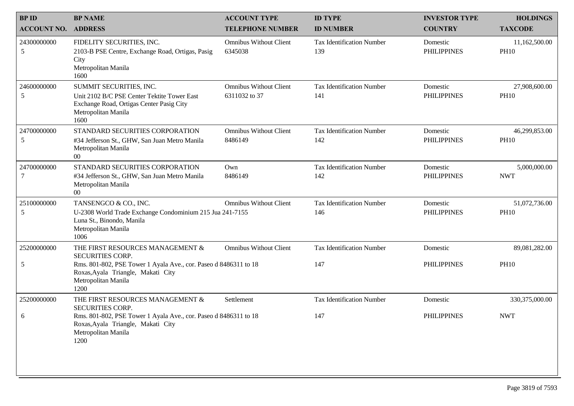| <b>BPID</b>        | <b>BP NAME</b>                                                                                                                                    | <b>ACCOUNT TYPE</b>                            | <b>ID TYPE</b>                          | <b>INVESTOR TYPE</b>           | <b>HOLDINGS</b>              |
|--------------------|---------------------------------------------------------------------------------------------------------------------------------------------------|------------------------------------------------|-----------------------------------------|--------------------------------|------------------------------|
| <b>ACCOUNT NO.</b> | <b>ADDRESS</b>                                                                                                                                    | <b>TELEPHONE NUMBER</b>                        | <b>ID NUMBER</b>                        | <b>COUNTRY</b>                 | <b>TAXCODE</b>               |
| 24300000000<br>5   | FIDELITY SECURITIES, INC.<br>2103-B PSE Centre, Exchange Road, Ortigas, Pasig<br>City<br>Metropolitan Manila<br>1600                              | <b>Omnibus Without Client</b><br>6345038       | Tax Identification Number<br>139        | Domestic<br><b>PHILIPPINES</b> | 11,162,500.00<br><b>PH10</b> |
| 24600000000<br>5   | SUMMIT SECURITIES, INC.<br>Unit 2102 B/C PSE Center Tektite Tower East<br>Exchange Road, Ortigas Center Pasig City<br>Metropolitan Manila<br>1600 | <b>Omnibus Without Client</b><br>6311032 to 37 | <b>Tax Identification Number</b><br>141 | Domestic<br><b>PHILIPPINES</b> | 27,908,600.00<br><b>PH10</b> |
| 24700000000<br>5   | STANDARD SECURITIES CORPORATION<br>#34 Jefferson St., GHW, San Juan Metro Manila<br>Metropolitan Manila<br>$00\,$                                 | <b>Omnibus Without Client</b><br>8486149       | <b>Tax Identification Number</b><br>142 | Domestic<br><b>PHILIPPINES</b> | 46,299,853.00<br><b>PH10</b> |
| 24700000000<br>7   | STANDARD SECURITIES CORPORATION<br>#34 Jefferson St., GHW, San Juan Metro Manila<br>Metropolitan Manila<br>$00\,$                                 | Own<br>8486149                                 | <b>Tax Identification Number</b><br>142 | Domestic<br><b>PHILIPPINES</b> | 5,000,000.00<br><b>NWT</b>   |
| 25100000000<br>5   | TANSENGCO & CO., INC.<br>U-2308 World Trade Exchange Condominium 215 Jua 241-7155<br>Luna St., Binondo, Manila<br>Metropolitan Manila<br>1006     | <b>Omnibus Without Client</b>                  | <b>Tax Identification Number</b><br>146 | Domestic<br><b>PHILIPPINES</b> | 51,072,736.00<br><b>PH10</b> |
| 25200000000        | THE FIRST RESOURCES MANAGEMENT &<br><b>SECURITIES CORP.</b>                                                                                       | <b>Omnibus Without Client</b>                  | <b>Tax Identification Number</b>        | Domestic                       | 89,081,282.00                |
| 5                  | Rms. 801-802, PSE Tower 1 Ayala Ave., cor. Paseo d 8486311 to 18<br>Roxas, Ayala Triangle, Makati City<br>Metropolitan Manila<br>1200             |                                                | 147                                     | <b>PHILIPPINES</b>             | <b>PH10</b>                  |
| 25200000000        | THE FIRST RESOURCES MANAGEMENT &<br><b>SECURITIES CORP.</b>                                                                                       | Settlement                                     | <b>Tax Identification Number</b>        | Domestic                       | 330, 375, 000.00             |
| 6                  | Rms. 801-802, PSE Tower 1 Ayala Ave., cor. Paseo d 8486311 to 18<br>Roxas, Ayala Triangle, Makati City<br>Metropolitan Manila<br>1200             |                                                | 147                                     | <b>PHILIPPINES</b>             | <b>NWT</b>                   |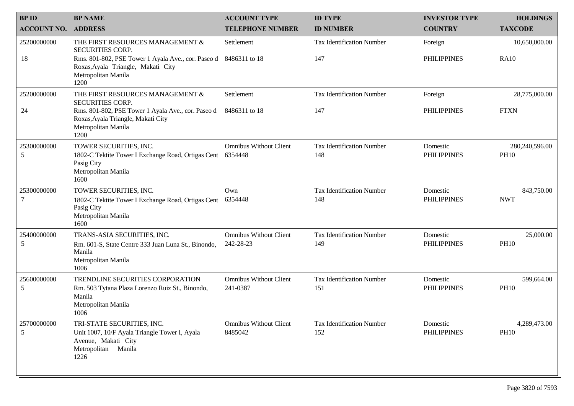| <b>BPID</b>        | <b>BP NAME</b>                                                                                                                    | <b>ACCOUNT TYPE</b>                      | <b>ID TYPE</b>                          | <b>INVESTOR TYPE</b>           | <b>HOLDINGS</b>               |
|--------------------|-----------------------------------------------------------------------------------------------------------------------------------|------------------------------------------|-----------------------------------------|--------------------------------|-------------------------------|
| <b>ACCOUNT NO.</b> | <b>ADDRESS</b>                                                                                                                    | <b>TELEPHONE NUMBER</b>                  | <b>ID NUMBER</b>                        | <b>COUNTRY</b>                 | <b>TAXCODE</b>                |
| 25200000000        | THE FIRST RESOURCES MANAGEMENT &<br><b>SECURITIES CORP.</b>                                                                       | Settlement                               | <b>Tax Identification Number</b>        | Foreign                        | 10,650,000.00                 |
| 18                 | Rms. 801-802, PSE Tower 1 Ayala Ave., cor. Paseo d<br>Roxas, Ayala Triangle, Makati City<br>Metropolitan Manila<br>1200           | 8486311 to 18                            | 147                                     | <b>PHILIPPINES</b>             | <b>RA10</b>                   |
| 25200000000        | THE FIRST RESOURCES MANAGEMENT &<br><b>SECURITIES CORP.</b>                                                                       | Settlement                               | <b>Tax Identification Number</b>        | Foreign                        | 28,775,000.00                 |
| 24                 | Rms. 801-802, PSE Tower 1 Ayala Ave., cor. Paseo d<br>Roxas, Ayala Triangle, Makati City<br>Metropolitan Manila<br>1200           | 8486311 to 18                            | 147                                     | <b>PHILIPPINES</b>             | <b>FTXN</b>                   |
| 25300000000<br>5   | TOWER SECURITIES, INC.<br>1802-C Tektite Tower I Exchange Road, Ortigas Cent 6354448<br>Pasig City<br>Metropolitan Manila<br>1600 | <b>Omnibus Without Client</b>            | <b>Tax Identification Number</b><br>148 | Domestic<br><b>PHILIPPINES</b> | 280,240,596.00<br><b>PH10</b> |
| 25300000000        | TOWER SECURITIES, INC.                                                                                                            | Own                                      | <b>Tax Identification Number</b>        | Domestic                       | 843,750.00                    |
| 7                  | 1802-C Tektite Tower I Exchange Road, Ortigas Cent<br>Pasig City<br>Metropolitan Manila<br>1600                                   | 6354448                                  | 148                                     | <b>PHILIPPINES</b>             | <b>NWT</b>                    |
| 25400000000        | TRANS-ASIA SECURITIES, INC.                                                                                                       | <b>Omnibus Without Client</b>            | <b>Tax Identification Number</b>        | Domestic                       | 25,000.00                     |
| 5                  | Rm. 601-S, State Centre 333 Juan Luna St., Binondo,<br>Manila<br>Metropolitan Manila<br>1006                                      | 242-28-23                                | 149                                     | <b>PHILIPPINES</b>             | <b>PH10</b>                   |
| 25600000000        | TRENDLINE SECURITIES CORPORATION                                                                                                  | <b>Omnibus Without Client</b>            | <b>Tax Identification Number</b>        | Domestic                       | 599,664.00                    |
| 5                  | Rm. 503 Tytana Plaza Lorenzo Ruiz St., Binondo,<br>Manila<br>Metropolitan Manila<br>1006                                          | 241-0387                                 | 151                                     | <b>PHILIPPINES</b>             | <b>PH10</b>                   |
| 25700000000<br>5   | TRI-STATE SECURITIES, INC.<br>Unit 1007, 10/F Ayala Triangle Tower I, Ayala<br>Avenue, Makati City<br>Metropolitan Manila<br>1226 | <b>Omnibus Without Client</b><br>8485042 | <b>Tax Identification Number</b><br>152 | Domestic<br><b>PHILIPPINES</b> | 4,289,473.00<br><b>PH10</b>   |
|                    |                                                                                                                                   |                                          |                                         |                                |                               |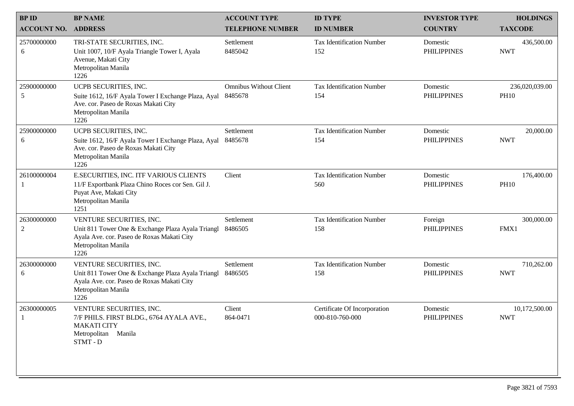| <b>BPID</b>        | <b>BP NAME</b>                                                                                                                                             | <b>ACCOUNT TYPE</b>                      | <b>ID TYPE</b>                                  | <b>INVESTOR TYPE</b>           | <b>HOLDINGS</b>               |
|--------------------|------------------------------------------------------------------------------------------------------------------------------------------------------------|------------------------------------------|-------------------------------------------------|--------------------------------|-------------------------------|
| <b>ACCOUNT NO.</b> | <b>ADDRESS</b>                                                                                                                                             | <b>TELEPHONE NUMBER</b>                  | <b>ID NUMBER</b>                                | <b>COUNTRY</b>                 | <b>TAXCODE</b>                |
| 25700000000<br>6   | TRI-STATE SECURITIES, INC.<br>Unit 1007, 10/F Ayala Triangle Tower I, Ayala<br>Avenue, Makati City<br>Metropolitan Manila<br>1226                          | Settlement<br>8485042                    | <b>Tax Identification Number</b><br>152         | Domestic<br><b>PHILIPPINES</b> | 436,500.00<br><b>NWT</b>      |
| 25900000000<br>5   | UCPB SECURITIES, INC.<br>Suite 1612, 16/F Ayala Tower I Exchange Plaza, Ayal<br>Ave. cor. Paseo de Roxas Makati City<br>Metropolitan Manila<br>1226        | <b>Omnibus Without Client</b><br>8485678 | <b>Tax Identification Number</b><br>154         | Domestic<br><b>PHILIPPINES</b> | 236,020,039.00<br><b>PH10</b> |
| 25900000000<br>6   | UCPB SECURITIES, INC.<br>Suite 1612, 16/F Ayala Tower I Exchange Plaza, Ayal<br>Ave. cor. Paseo de Roxas Makati City<br>Metropolitan Manila<br>1226        | Settlement<br>8485678                    | <b>Tax Identification Number</b><br>154         | Domestic<br><b>PHILIPPINES</b> | 20,000.00<br><b>NWT</b>       |
| 26100000004<br>-1  | E.SECURITIES, INC. ITF VARIOUS CLIENTS<br>11/F Exportbank Plaza Chino Roces cor Sen. Gil J.<br>Puyat Ave, Makati City<br>Metropolitan Manila<br>1251       | Client                                   | <b>Tax Identification Number</b><br>560         | Domestic<br><b>PHILIPPINES</b> | 176,400.00<br><b>PH10</b>     |
| 26300000000<br>2   | VENTURE SECURITIES, INC.<br>Unit 811 Tower One & Exchange Plaza Ayala Triangl<br>Ayala Ave. cor. Paseo de Roxas Makati City<br>Metropolitan Manila<br>1226 | Settlement<br>8486505                    | <b>Tax Identification Number</b><br>158         | Foreign<br><b>PHILIPPINES</b>  | 300,000.00<br>FMX1            |
| 26300000000<br>6   | VENTURE SECURITIES, INC.<br>Unit 811 Tower One & Exchange Plaza Ayala Triangl<br>Ayala Ave. cor. Paseo de Roxas Makati City<br>Metropolitan Manila<br>1226 | Settlement<br>8486505                    | <b>Tax Identification Number</b><br>158         | Domestic<br><b>PHILIPPINES</b> | 710,262.00<br><b>NWT</b>      |
| 26300000005        | VENTURE SECURITIES, INC.<br>7/F PHILS. FIRST BLDG., 6764 AYALA AVE.,<br><b>MAKATI CITY</b><br>Metropolitan Manila<br>STMT-D                                | Client<br>864-0471                       | Certificate Of Incorporation<br>000-810-760-000 | Domestic<br><b>PHILIPPINES</b> | 10,172,500.00<br><b>NWT</b>   |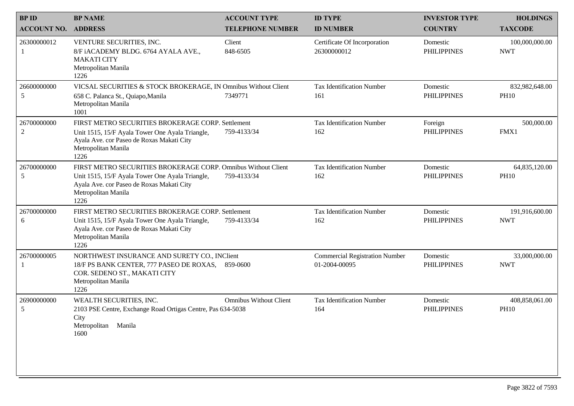| <b>BPID</b>                   | <b>BP NAME</b>                                                                                                                                                                               | <b>ACCOUNT TYPE</b>           | <b>ID TYPE</b>                                         | <b>INVESTOR TYPE</b>           | <b>HOLDINGS</b>               |
|-------------------------------|----------------------------------------------------------------------------------------------------------------------------------------------------------------------------------------------|-------------------------------|--------------------------------------------------------|--------------------------------|-------------------------------|
| <b>ACCOUNT NO. ADDRESS</b>    |                                                                                                                                                                                              | <b>TELEPHONE NUMBER</b>       | <b>ID NUMBER</b>                                       | <b>COUNTRY</b>                 | <b>TAXCODE</b>                |
| 26300000012                   | VENTURE SECURITIES, INC.<br>8/F iACADEMY BLDG. 6764 AYALA AVE.,<br><b>MAKATI CITY</b><br>Metropolitan Manila<br>1226                                                                         | Client<br>848-6505            | Certificate Of Incorporation<br>26300000012            | Domestic<br><b>PHILIPPINES</b> | 100,000,000.00<br><b>NWT</b>  |
| 26600000000<br>5              | VICSAL SECURITIES & STOCK BROKERAGE, IN Omnibus Without Client<br>658 C. Palanca St., Quiapo, Manila<br>Metropolitan Manila<br>1001                                                          | 7349771                       | <b>Tax Identification Number</b><br>161                | Domestic<br><b>PHILIPPINES</b> | 832,982,648.00<br><b>PH10</b> |
| 26700000000<br>$\overline{c}$ | FIRST METRO SECURITIES BROKERAGE CORP. Settlement<br>Unit 1515, 15/F Ayala Tower One Ayala Triangle,<br>Ayala Ave. cor Paseo de Roxas Makati City<br>Metropolitan Manila<br>1226             | 759-4133/34                   | <b>Tax Identification Number</b><br>162                | Foreign<br><b>PHILIPPINES</b>  | 500,000.00<br>FMX1            |
| 26700000000<br>5              | FIRST METRO SECURITIES BROKERAGE CORP. Omnibus Without Client<br>Unit 1515, 15/F Ayala Tower One Ayala Triangle,<br>Ayala Ave. cor Paseo de Roxas Makati City<br>Metropolitan Manila<br>1226 | 759-4133/34                   | <b>Tax Identification Number</b><br>162                | Domestic<br><b>PHILIPPINES</b> | 64,835,120.00<br><b>PH10</b>  |
| 26700000000<br>6              | FIRST METRO SECURITIES BROKERAGE CORP. Settlement<br>Unit 1515, 15/F Ayala Tower One Ayala Triangle,<br>Ayala Ave. cor Paseo de Roxas Makati City<br>Metropolitan Manila<br>1226             | 759-4133/34                   | <b>Tax Identification Number</b><br>162                | Domestic<br><b>PHILIPPINES</b> | 191,916,600.00<br><b>NWT</b>  |
| 26700000005                   | NORTHWEST INSURANCE AND SURETY CO., INClient<br>18/F PS BANK CENTER, 777 PASEO DE ROXAS,<br>COR. SEDENO ST., MAKATI CITY<br>Metropolitan Manila<br>1226                                      | 859-0600                      | <b>Commercial Registration Number</b><br>01-2004-00095 | Domestic<br><b>PHILIPPINES</b> | 33,000,000.00<br><b>NWT</b>   |
| 26900000000<br>5              | WEALTH SECURITIES, INC.<br>2103 PSE Centre, Exchange Road Ortigas Centre, Pas 634-5038<br>City<br>Metropolitan<br>Manila<br>1600                                                             | <b>Omnibus Without Client</b> | <b>Tax Identification Number</b><br>164                | Domestic<br><b>PHILIPPINES</b> | 408,858,061.00<br><b>PH10</b> |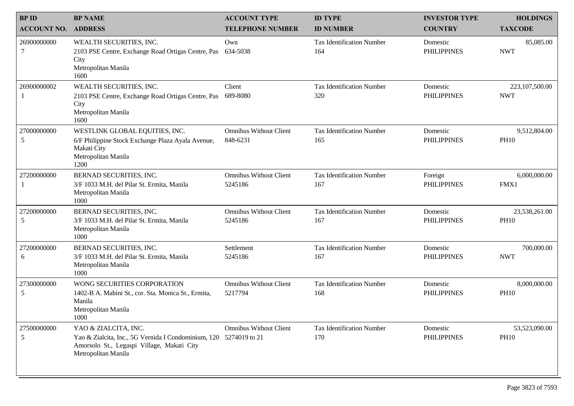| <b>BPID</b>        | <b>BP NAME</b>                                                                                                                                                 | <b>ACCOUNT TYPE</b>                       | <b>ID TYPE</b>                          | <b>INVESTOR TYPE</b>           | <b>HOLDINGS</b>              |
|--------------------|----------------------------------------------------------------------------------------------------------------------------------------------------------------|-------------------------------------------|-----------------------------------------|--------------------------------|------------------------------|
| <b>ACCOUNT NO.</b> | <b>ADDRESS</b>                                                                                                                                                 | <b>TELEPHONE NUMBER</b>                   | <b>ID NUMBER</b>                        | <b>COUNTRY</b>                 | <b>TAXCODE</b>               |
| 26900000000<br>7   | WEALTH SECURITIES, INC.<br>2103 PSE Centre, Exchange Road Ortigas Centre, Pas<br>City<br>Metropolitan Manila<br>1600                                           | Own<br>634-5038                           | <b>Tax Identification Number</b><br>164 | Domestic<br><b>PHILIPPINES</b> | 85,085.00<br><b>NWT</b>      |
| 26900000002        | WEALTH SECURITIES, INC.<br>2103 PSE Centre, Exchange Road Ortigas Centre, Pas<br>City<br>Metropolitan Manila<br>1600                                           | Client<br>689-8080                        | <b>Tax Identification Number</b><br>320 | Domestic<br><b>PHILIPPINES</b> | 223,107,500.00<br><b>NWT</b> |
| 27000000000<br>5   | WESTLINK GLOBAL EQUITIES, INC.<br>6/F Philippine Stock Exchange Plaza Ayala Avenue,<br>Makati City<br>Metropolitan Manila<br>1200                              | <b>Omnibus Without Client</b><br>848-6231 | <b>Tax Identification Number</b><br>165 | Domestic<br><b>PHILIPPINES</b> | 9,512,804.00<br><b>PH10</b>  |
| 27200000000        | BERNAD SECURITIES, INC.<br>3/F 1033 M.H. del Pilar St. Ermita, Manila<br>Metropolitan Manila<br>1000                                                           | <b>Omnibus Without Client</b><br>5245186  | <b>Tax Identification Number</b><br>167 | Foreign<br><b>PHILIPPINES</b>  | 6,000,000.00<br>FMX1         |
| 27200000000<br>5   | BERNAD SECURITIES, INC.<br>3/F 1033 M.H. del Pilar St. Ermita, Manila<br>Metropolitan Manila<br>1000                                                           | <b>Omnibus Without Client</b><br>5245186  | <b>Tax Identification Number</b><br>167 | Domestic<br><b>PHILIPPINES</b> | 23,538,261.00<br><b>PH10</b> |
| 27200000000<br>6   | BERNAD SECURITIES, INC.<br>3/F 1033 M.H. del Pilar St. Ermita, Manila<br>Metropolitan Manila<br>1000                                                           | Settlement<br>5245186                     | <b>Tax Identification Number</b><br>167 | Domestic<br><b>PHILIPPINES</b> | 700,000.00<br><b>NWT</b>     |
| 27300000000<br>5   | WONG SECURITIES CORPORATION<br>1402-B A. Mabini St., cor. Sta. Monica St., Ermita,<br>Manila<br>Metropolitan Manila<br>1000                                    | <b>Omnibus Without Client</b><br>5217794  | <b>Tax Identification Number</b><br>168 | Domestic<br><b>PHILIPPINES</b> | 8,000,000.00<br><b>PH10</b>  |
| 27500000000<br>5   | YAO & ZIALCITA, INC.<br>Yao & Zialcita, Inc., 5G Vernida I Condominium, 120 5274019 to 21<br>Amorsolo St., Legaspi Village, Makati City<br>Metropolitan Manila | <b>Omnibus Without Client</b>             | <b>Tax Identification Number</b><br>170 | Domestic<br><b>PHILIPPINES</b> | 53,523,090.00<br><b>PH10</b> |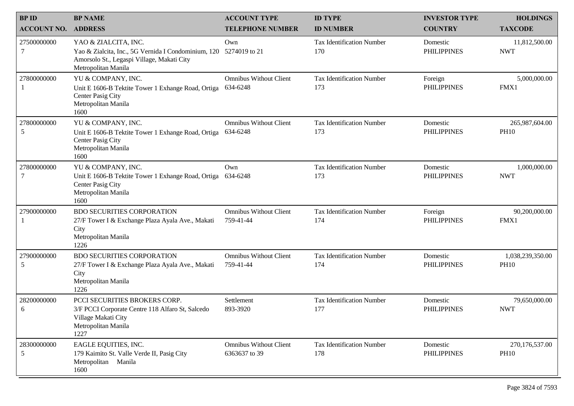| <b>BPID</b>        | <b>BP NAME</b>                                                                                                                                                 | <b>ACCOUNT TYPE</b>                            | <b>ID TYPE</b>                          | <b>INVESTOR TYPE</b>           | <b>HOLDINGS</b>                 |
|--------------------|----------------------------------------------------------------------------------------------------------------------------------------------------------------|------------------------------------------------|-----------------------------------------|--------------------------------|---------------------------------|
| <b>ACCOUNT NO.</b> | <b>ADDRESS</b>                                                                                                                                                 | <b>TELEPHONE NUMBER</b>                        | <b>ID NUMBER</b>                        | <b>COUNTRY</b>                 | <b>TAXCODE</b>                  |
| 27500000000<br>7   | YAO & ZIALCITA, INC.<br>Yao & Zialcita, Inc., 5G Vernida I Condominium, 120 5274019 to 21<br>Amorsolo St., Legaspi Village, Makati City<br>Metropolitan Manila | Own                                            | <b>Tax Identification Number</b><br>170 | Domestic<br><b>PHILIPPINES</b> | 11,812,500.00<br><b>NWT</b>     |
| 27800000000        | YU & COMPANY, INC.<br>Unit E 1606-B Tektite Tower 1 Exhange Road, Ortiga<br>Center Pasig City<br>Metropolitan Manila<br>1600                                   | <b>Omnibus Without Client</b><br>634-6248      | <b>Tax Identification Number</b><br>173 | Foreign<br><b>PHILIPPINES</b>  | 5,000,000.00<br>FMX1            |
| 27800000000<br>5   | YU & COMPANY, INC.<br>Unit E 1606-B Tektite Tower 1 Exhange Road, Ortiga<br>Center Pasig City<br>Metropolitan Manila<br>1600                                   | <b>Omnibus Without Client</b><br>634-6248      | <b>Tax Identification Number</b><br>173 | Domestic<br><b>PHILIPPINES</b> | 265,987,604.00<br><b>PH10</b>   |
| 27800000000<br>7   | YU & COMPANY, INC.<br>Unit E 1606-B Tektite Tower 1 Exhange Road, Ortiga<br>Center Pasig City<br>Metropolitan Manila<br>1600                                   | Own<br>634-6248                                | <b>Tax Identification Number</b><br>173 | Domestic<br><b>PHILIPPINES</b> | 1,000,000.00<br><b>NWT</b>      |
| 27900000000        | <b>BDO SECURITIES CORPORATION</b><br>27/F Tower I & Exchange Plaza Ayala Ave., Makati<br>City<br>Metropolitan Manila<br>1226                                   | <b>Omnibus Without Client</b><br>759-41-44     | <b>Tax Identification Number</b><br>174 | Foreign<br><b>PHILIPPINES</b>  | 90,200,000.00<br>FMX1           |
| 27900000000<br>5   | <b>BDO SECURITIES CORPORATION</b><br>27/F Tower I & Exchange Plaza Ayala Ave., Makati<br>City<br>Metropolitan Manila<br>1226                                   | <b>Omnibus Without Client</b><br>759-41-44     | <b>Tax Identification Number</b><br>174 | Domestic<br><b>PHILIPPINES</b> | 1,038,239,350.00<br><b>PH10</b> |
| 28200000000<br>6   | PCCI SECURITIES BROKERS CORP.<br>3/F PCCI Corporate Centre 118 Alfaro St, Salcedo<br>Village Makati City<br>Metropolitan Manila<br>1227                        | Settlement<br>893-3920                         | <b>Tax Identification Number</b><br>177 | Domestic<br><b>PHILIPPINES</b> | 79,650,000.00<br><b>NWT</b>     |
| 28300000000<br>5   | EAGLE EQUITIES, INC.<br>179 Kaimito St. Valle Verde II, Pasig City<br>Metropolitan<br>Manila<br>1600                                                           | <b>Omnibus Without Client</b><br>6363637 to 39 | <b>Tax Identification Number</b><br>178 | Domestic<br><b>PHILIPPINES</b> | 270,176,537.00<br><b>PH10</b>   |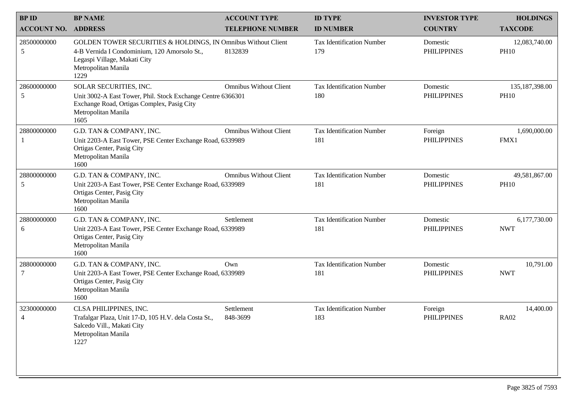| <b>BPID</b>        | <b>BP NAME</b>                                                                                                                                                               | <b>ACCOUNT TYPE</b>           | <b>ID TYPE</b>                          | <b>INVESTOR TYPE</b>           | <b>HOLDINGS</b>                 |
|--------------------|------------------------------------------------------------------------------------------------------------------------------------------------------------------------------|-------------------------------|-----------------------------------------|--------------------------------|---------------------------------|
| <b>ACCOUNT NO.</b> | <b>ADDRESS</b>                                                                                                                                                               | <b>TELEPHONE NUMBER</b>       | <b>ID NUMBER</b>                        | <b>COUNTRY</b>                 | <b>TAXCODE</b>                  |
| 28500000000<br>5   | GOLDEN TOWER SECURITIES & HOLDINGS, IN Omnibus Without Client<br>4-B Vernida I Condominium, 120 Amorsolo St.,<br>Legaspi Village, Makati City<br>Metropolitan Manila<br>1229 | 8132839                       | <b>Tax Identification Number</b><br>179 | Domestic<br><b>PHILIPPINES</b> | 12,083,740.00<br><b>PH10</b>    |
| 28600000000<br>5   | SOLAR SECURITIES, INC.<br>Unit 3002-A East Tower, Phil. Stock Exchange Centre 6366301<br>Exchange Road, Ortigas Complex, Pasig City<br>Metropolitan Manila<br>1605           | <b>Omnibus Without Client</b> | <b>Tax Identification Number</b><br>180 | Domestic<br><b>PHILIPPINES</b> | 135, 187, 398.00<br><b>PH10</b> |
| 28800000000        | G.D. TAN & COMPANY, INC.<br>Unit 2203-A East Tower, PSE Center Exchange Road, 6339989<br>Ortigas Center, Pasig City<br>Metropolitan Manila<br>1600                           | <b>Omnibus Without Client</b> | <b>Tax Identification Number</b><br>181 | Foreign<br><b>PHILIPPINES</b>  | 1,690,000.00<br>FMX1            |
| 28800000000<br>5   | G.D. TAN & COMPANY, INC.<br>Unit 2203-A East Tower, PSE Center Exchange Road, 6339989<br>Ortigas Center, Pasig City<br>Metropolitan Manila<br>1600                           | <b>Omnibus Without Client</b> | <b>Tax Identification Number</b><br>181 | Domestic<br><b>PHILIPPINES</b> | 49,581,867.00<br><b>PH10</b>    |
| 28800000000<br>6   | G.D. TAN & COMPANY, INC.<br>Unit 2203-A East Tower, PSE Center Exchange Road, 6339989<br>Ortigas Center, Pasig City<br>Metropolitan Manila<br>1600                           | Settlement                    | <b>Tax Identification Number</b><br>181 | Domestic<br><b>PHILIPPINES</b> | 6,177,730.00<br><b>NWT</b>      |
| 28800000000<br>7   | G.D. TAN & COMPANY, INC.<br>Unit 2203-A East Tower, PSE Center Exchange Road, 6339989<br>Ortigas Center, Pasig City<br>Metropolitan Manila<br>1600                           | Own                           | <b>Tax Identification Number</b><br>181 | Domestic<br><b>PHILIPPINES</b> | 10,791.00<br><b>NWT</b>         |
| 32300000000        | CLSA PHILIPPINES, INC.<br>Trafalgar Plaza, Unit 17-D, 105 H.V. dela Costa St.,<br>Salcedo Vill., Makati City<br>Metropolitan Manila<br>1227                                  | Settlement<br>848-3699        | <b>Tax Identification Number</b><br>183 | Foreign<br><b>PHILIPPINES</b>  | 14,400.00<br><b>RA02</b>        |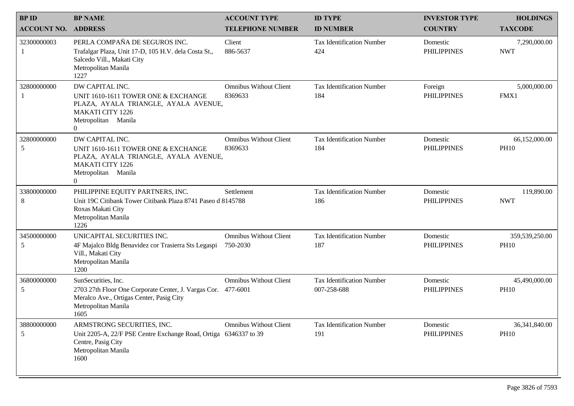| <b>BPID</b>        | <b>BP NAME</b>                                                                                                                                                     | <b>ACCOUNT TYPE</b>                       | <b>ID TYPE</b>                                  | <b>INVESTOR TYPE</b>           | <b>HOLDINGS</b>               |
|--------------------|--------------------------------------------------------------------------------------------------------------------------------------------------------------------|-------------------------------------------|-------------------------------------------------|--------------------------------|-------------------------------|
| <b>ACCOUNT NO.</b> | <b>ADDRESS</b>                                                                                                                                                     | <b>TELEPHONE NUMBER</b>                   | <b>ID NUMBER</b>                                | <b>COUNTRY</b>                 | <b>TAXCODE</b>                |
| 32300000003        | PERLA COMPAÑA DE SEGUROS INC.<br>Trafalgar Plaza, Unit 17-D, 105 H.V. dela Costa St.,<br>Salcedo Vill., Makati City<br>Metropolitan Manila<br>1227                 | Client<br>886-5637                        | <b>Tax Identification Number</b><br>424         | Domestic<br><b>PHILIPPINES</b> | 7,290,000.00<br><b>NWT</b>    |
| 32800000000        | DW CAPITAL INC.<br>UNIT 1610-1611 TOWER ONE & EXCHANGE<br>PLAZA, AYALA TRIANGLE, AYALA AVENUE,<br><b>MAKATI CITY 1226</b><br>Metropolitan Manila<br>$\overline{0}$ | <b>Omnibus Without Client</b><br>8369633  | <b>Tax Identification Number</b><br>184         | Foreign<br><b>PHILIPPINES</b>  | 5,000,000.00<br>FMX1          |
| 32800000000<br>5   | DW CAPITAL INC.<br>UNIT 1610-1611 TOWER ONE & EXCHANGE<br>PLAZA, AYALA TRIANGLE, AYALA AVENUE,<br><b>MAKATI CITY 1226</b><br>Metropolitan Manila<br>$\Omega$       | <b>Omnibus Without Client</b><br>8369633  | <b>Tax Identification Number</b><br>184         | Domestic<br><b>PHILIPPINES</b> | 66,152,000.00<br><b>PH10</b>  |
| 33800000000<br>8   | PHILIPPINE EQUITY PARTNERS, INC.<br>Unit 19C Citibank Tower Citibank Plaza 8741 Paseo d 8145788<br>Roxas Makati City<br>Metropolitan Manila<br>1226                | Settlement                                | <b>Tax Identification Number</b><br>186         | Domestic<br><b>PHILIPPINES</b> | 119,890.00<br><b>NWT</b>      |
| 34500000000<br>5   | UNICAPITAL SECURITIES INC.<br>4F Majalco Bldg Benavidez cor Trasierra Sts Legaspi<br>Vill., Makati City<br>Metropolitan Manila<br>1200                             | <b>Omnibus Without Client</b><br>750-2030 | <b>Tax Identification Number</b><br>187         | Domestic<br><b>PHILIPPINES</b> | 359,539,250.00<br><b>PH10</b> |
| 36800000000<br>5   | SunSecurities, Inc.<br>2703 27th Floor One Corporate Center, J. Vargas Cor. 477-6001<br>Meralco Ave., Ortigas Center, Pasig City<br>Metropolitan Manila<br>1605    | <b>Omnibus Without Client</b>             | <b>Tax Identification Number</b><br>007-258-688 | Domestic<br><b>PHILIPPINES</b> | 45,490,000.00<br><b>PH10</b>  |
| 38800000000<br>5   | ARMSTRONG SECURITIES, INC.<br>Unit 2205-A, 22/F PSE Centre Exchange Road, Ortiga 6346337 to 39<br>Centre, Pasig City<br>Metropolitan Manila<br>1600                | <b>Omnibus Without Client</b>             | <b>Tax Identification Number</b><br>191         | Domestic<br><b>PHILIPPINES</b> | 36,341,840.00<br><b>PH10</b>  |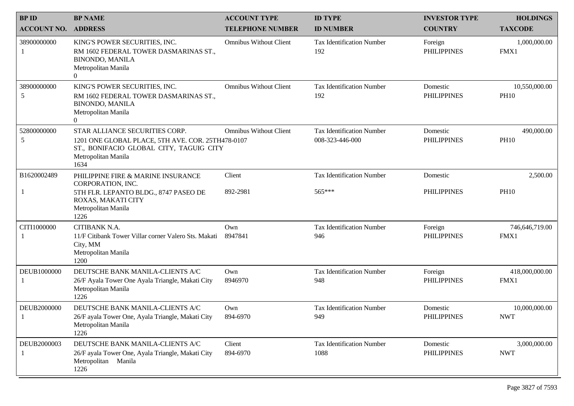| <b>BPID</b>        | <b>BP NAME</b>                                                                                                                                                | <b>ACCOUNT TYPE</b>           | <b>ID TYPE</b>                                      | <b>INVESTOR TYPE</b>           | <b>HOLDINGS</b>                            |
|--------------------|---------------------------------------------------------------------------------------------------------------------------------------------------------------|-------------------------------|-----------------------------------------------------|--------------------------------|--------------------------------------------|
| <b>ACCOUNT NO.</b> | <b>ADDRESS</b>                                                                                                                                                | <b>TELEPHONE NUMBER</b>       | <b>ID NUMBER</b>                                    | <b>COUNTRY</b>                 | <b>TAXCODE</b>                             |
| 38900000000        | KING'S POWER SECURITIES, INC.<br>RM 1602 FEDERAL TOWER DASMARINAS ST.,<br><b>BINONDO, MANILA</b><br>Metropolitan Manila<br>$\overline{0}$                     | <b>Omnibus Without Client</b> | <b>Tax Identification Number</b><br>192             | Foreign<br><b>PHILIPPINES</b>  | 1,000,000.00<br>FMX1                       |
| 38900000000<br>5   | KING'S POWER SECURITIES, INC.<br>RM 1602 FEDERAL TOWER DASMARINAS ST.,<br><b>BINONDO, MANILA</b><br>Metropolitan Manila<br>$\overline{0}$                     | <b>Omnibus Without Client</b> | <b>Tax Identification Number</b><br>192             | Domestic<br><b>PHILIPPINES</b> | 10,550,000.00<br><b>PH10</b>               |
| 52800000000<br>5   | STAR ALLIANCE SECURITIES CORP.<br>1201 ONE GLOBAL PLACE, 5TH AVE. COR. 25TH478-0107<br>ST., BONIFACIO GLOBAL CITY, TAGUIG CITY<br>Metropolitan Manila<br>1634 | <b>Omnibus Without Client</b> | <b>Tax Identification Number</b><br>008-323-446-000 | Domestic<br><b>PHILIPPINES</b> | 490,000.00<br><b>PH10</b>                  |
| B1620002489        | PHILIPPINE FIRE & MARINE INSURANCE<br>CORPORATION, INC.                                                                                                       | Client                        | <b>Tax Identification Number</b>                    | Domestic                       | 2,500.00                                   |
| 1                  | 5TH FLR. LEPANTO BLDG., 8747 PASEO DE<br>ROXAS, MAKATI CITY<br>Metropolitan Manila<br>1226                                                                    | 892-2981                      | 565***                                              | <b>PHILIPPINES</b>             | <b>PH10</b>                                |
| CITI1000000        | CITIBANK N.A.<br>11/F Citibank Tower Villar corner Valero Sts. Makati<br>City, MM<br>Metropolitan Manila<br>1200                                              | Own<br>8947841                | <b>Tax Identification Number</b><br>946             | Foreign<br><b>PHILIPPINES</b>  | 746,646,719.00<br>FMX1                     |
| DEUB1000000        | DEUTSCHE BANK MANILA-CLIENTS A/C<br>26/F Ayala Tower One Ayala Triangle, Makati City<br>Metropolitan Manila<br>1226                                           | Own<br>8946970                | <b>Tax Identification Number</b><br>948             | Foreign<br><b>PHILIPPINES</b>  | 418,000,000.00<br>FMX1                     |
| DEUB2000000        | DEUTSCHE BANK MANILA-CLIENTS A/C<br>26/F ayala Tower One, Ayala Triangle, Makati City<br>Metropolitan Manila<br>1226                                          | Own<br>894-6970               | <b>Tax Identification Number</b><br>949             | Domestic<br><b>PHILIPPINES</b> | 10,000,000.00<br>$\ensuremath{\text{NWT}}$ |
| DEUB2000003        | DEUTSCHE BANK MANILA-CLIENTS A/C<br>26/F ayala Tower One, Ayala Triangle, Makati City<br>Metropolitan Manila<br>1226                                          | Client<br>894-6970            | <b>Tax Identification Number</b><br>1088            | Domestic<br><b>PHILIPPINES</b> | 3,000,000.00<br><b>NWT</b>                 |